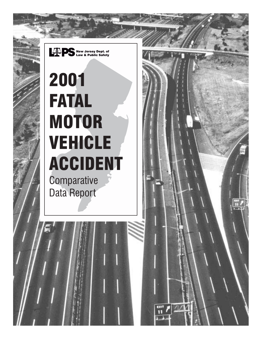

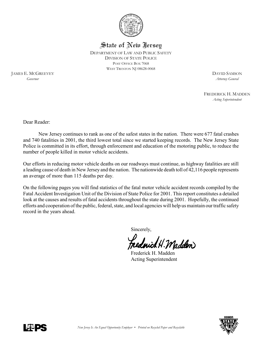

State of New Jersey DEPARTMENT OF LAW AND PUBLIC SAFETY DIVISION OF STATE POLICE POST OFFICE BOX 7068 WEST TRENTON NJ 08628-0068

JAMES E. MCGREEVEY DAVID SAMSON *Governor Attorney General*

FREDERICK H. MADDEN *Acting Superintendent*

Dear Reader:

New Jersey continues to rank as one of the safest states in the nation. There were 677 fatal crashes and 740 fatalities in 2001, the third lowest total since we started keeping records. The New Jersey State Police is committed in its effort, through enforcement and education of the motoring public, to reduce the number of people killed in motor vehicle accidents.

Our efforts in reducing motor vehicle deaths on our roadways must continue, as highway fatalities are still a leading cause of death in New Jersey and the nation. The nationwide death toll of 42,116 people represents an average of more than 115 deaths per day.

On the following pages you will find statistics of the fatal motor vehicle accident records compiled by the Fatal Accident Investigation Unit of the Division of State Police for 2001. This report constitutes a detailed look at the causes and results of fatal accidents throughout the state during 2001. Hopefully, the continued efforts and cooperation of the public, federal, state, and local agencies will help us maintain our traffic safety record in the years ahead.

Sincerely,

ichtl. Maddem

Frederick H. Madden Acting Superintendent



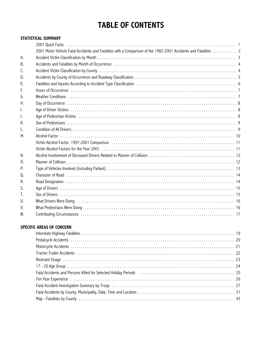## **TABLE OF CONTENTS**

#### **STATISTICAL SUMMARY**

|            | 2001 Motor Vehicle Fatal Accidents and Fatalities with a Comparison of the 1982-2001 Accidents and Fatalities  2                                                                                                              |
|------------|-------------------------------------------------------------------------------------------------------------------------------------------------------------------------------------------------------------------------------|
| А.         |                                                                                                                                                                                                                               |
| В.         |                                                                                                                                                                                                                               |
| C.         |                                                                                                                                                                                                                               |
| D.         |                                                                                                                                                                                                                               |
| Ε.         |                                                                                                                                                                                                                               |
| F.         |                                                                                                                                                                                                                               |
| G.         |                                                                                                                                                                                                                               |
| Η.         |                                                                                                                                                                                                                               |
| Ι.         |                                                                                                                                                                                                                               |
| I.         | Age of Pedestrian Victims (all contained all contained and all contained and all contained and all contained a                                                                                                                |
| Κ.         |                                                                                                                                                                                                                               |
| L.         |                                                                                                                                                                                                                               |
| М.         |                                                                                                                                                                                                                               |
|            | Victim Alcohol Factor, 1997-2001 Comparison (and all alteration and all alternation and all alternation and all the Microsoft Alcohol Tatalorus and Alcohol Tatalorus and Alcohol Tatalorus and Alcohol Tatalorus and Alcohol |
|            |                                                                                                                                                                                                                               |
| N.         |                                                                                                                                                                                                                               |
| $\Omega$ . |                                                                                                                                                                                                                               |
| Ρ.         |                                                                                                                                                                                                                               |
| Q.         |                                                                                                                                                                                                                               |
| R.         |                                                                                                                                                                                                                               |
| S.         |                                                                                                                                                                                                                               |
| T.         |                                                                                                                                                                                                                               |
| U.         |                                                                                                                                                                                                                               |
| V.         | What Pedestrians Were Doing (and according to the contract of the contract of the contract of the contract of t                                                                                                               |
| W.         |                                                                                                                                                                                                                               |

#### **SPECIFIC AREAS OF CONCERN**

| Fatal Accidents and Persons Killed for Selected Holiday Periods (and contain and accidents and Persons Killed for Selected Holiday Periods (and containing according to the 25                                                |  |
|-------------------------------------------------------------------------------------------------------------------------------------------------------------------------------------------------------------------------------|--|
| Ten Year Experience (and according to the control of the control of the control of the control of the control of the control of the control of the control of the control of the control of the control of the control of the |  |
|                                                                                                                                                                                                                               |  |
|                                                                                                                                                                                                                               |  |
|                                                                                                                                                                                                                               |  |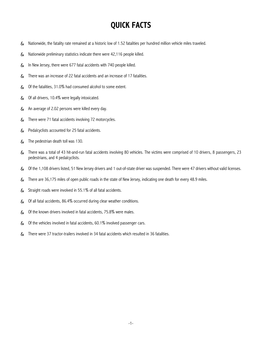## **QUICK FACTS**

- $\gamma$  Nationwide, the fatality rate remained at a historic low of 1.52 fatalities per hundred million vehicle miles traveled.
- 7 Nationwide preliminary statistics indicate there were 42,116 people killed.
- & In New Jersey, there were 677 fatal accidents with 740 people killed.
- $\frac{9}{7}$  There was an increase of 22 fatal accidents and an increase of 17 fatalities.
- $\gamma$  Of the fatalities, 31.0% had consumed alcohol to some extent.
- 7 Of all drivers, 10.4% were legally intoxicated.
- 7 An average of 2.02 persons were killed every day.
- 7 There were 71 fatal accidents involving 72 motorcycles.
- 7 Pedalcyclists accounted for 25 fatal accidents.
- 7 The pedestrian death toll was 130.
- & There was a total of 43 hit-and-run fatal accidents involving 80 vehicles. The victims were comprised of 10 drivers, 8 passengers, 23 pedestrians, and 4 pedalcyclists.
- & Of the 1,108 drivers listed, 51 New Jersey drivers and 1 out-of-state driver was suspended. There were 47 drivers without valid licenses.
- & There are 36,175 miles of open public roads in the state of New Jersey, indicating one death for every 48.9 miles.
- 7 Straight roads were involved in 55.1% of all fatal accidents.
- & Of all fatal accidents, 86.4% occurred during clear weather conditions.
- 7 Of the known drivers involved in fatal accidents, 75.8% were males.
- $7$  Of the vehicles involved in fatal accidents, 60.1% involved passenger cars.
- & There were 37 tractor-trailers involved in 34 fatal accidents which resulted in 36 fatalities.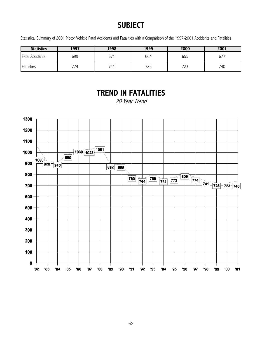## **SUBJECT**

Statistical Summary of 2001 Motor Vehicle Fatal Accidents and Fatalities with a Comparison of the 1997-2001 Accidents and Fatalities.

| <b>Statistics</b>      | 1997 | 1998 | 1999 | 2000 | 2001   |
|------------------------|------|------|------|------|--------|
| <b>Fatal Accidents</b> | 699  | 67   | 664  | 655  | $67^-$ |
| Fatalities             | 774  | 741  | 725  | 723  | 740    |

## **TREND IN FATALITIES**

20 Year Trend

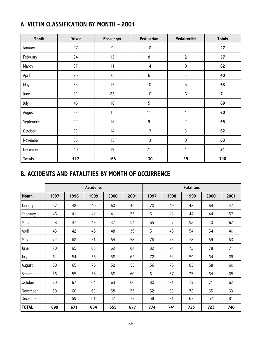|  |  | A. VICTIM CLASSIFICATION BY MONTH - 2001 |  |  |  |  |
|--|--|------------------------------------------|--|--|--|--|
|--|--|------------------------------------------|--|--|--|--|

| Month         | <b>Driver</b> | Passenger | Pedestrian | Pedalcyclist   | <b>Totals</b> |
|---------------|---------------|-----------|------------|----------------|---------------|
| January       | 27            | 9         | $10$       | $\mathbf{1}$   | 47            |
| February      | 34            | 13        | $\,8\,$    | $\mathbf{2}$   | 57            |
| March         | 37            | 11        | 14         | $\mathsf 0$    | 62            |
| April         | 25            | 6         | 6          | 3              | 40            |
| May           | 35            | 13        | $10$       | 5              | 63            |
| June          | 32            | 23        | $10$       | 6              | 71            |
| July          | 45            | 18        | 5          | $\mathbf{1}$   | 69            |
| August        | 33            | 15        | 11         | $\mathbf{1}$   | 60            |
| September     | 42            | 12        | $9\,$      | $\overline{c}$ | 65            |
| October       | 32            | 14        | 13         | 3              | 62            |
| November      | 35            | 15        | 13         | $\mathsf 0$    | 63            |
| December      | 40            | 19        | 21         | 1              | 81            |
| <b>Totals</b> | 417           | 168       | 130        | 25             | 740           |

## **B. ACCIDENTS AND FATALITIES BY MONTH OF OCCURRENCE**

|                | <b>Accidents</b><br><b>Fatalities</b> |      |      |      |      |      |      |      |      |      |
|----------------|---------------------------------------|------|------|------|------|------|------|------|------|------|
| <b>Month</b>   | 1997                                  | 1998 | 1999 | 2000 | 2001 | 1997 | 1998 | 1999 | 2000 | 2001 |
| January        | 67                                    | 48   | 40   | 60   | 46   | 70   | 49   | 42   | 64   | 47   |
| February       | 46                                    | 41   | 41   | 41   | 53   | 51   | 43   | 44   | 44   | 57   |
| March          | 58                                    | 47   | 49   | 37   | 54   | 65   | 57   | 52   | 40   | 62   |
| April          | 45                                    | 42   | 45   | 48   | 39   | 51   | 48   | 54   | 54   | 40   |
| May            | 72                                    | 68   | 71   | 64   | 58   | 76   | 75   | 72   | 69   | 63   |
| June           | 70                                    | 65   | 65   | 69   | 64   | 82   | 71   | 72   | 78   | 71   |
| July           | 61                                    | 54   | 55   | 58   | 62   | 72   | 61   | 59   | 64   | 69   |
| August         | 50                                    | 65   | 75   | 52   | 53   | 56   | 75   | 83   | 58   | 60   |
| September      | 56                                    | 55   | 35   | 58   | 60   | 61   | 57   | 35   | 64   | 65   |
| <b>October</b> | 70                                    | 67   | 64   | 63   | 60   | 80   | 71   | 73   | 71   | 62   |
| November       | 50                                    | 60   | 63   | 58   | 55   | 52   | 63   | 72   | 65   | 63   |
| December       | 54                                    | 59   | 61   | 47   | 73   | 58   | 71   | 67   | 52   | 81   |
| <b>TOTAL</b>   | 699                                   | 671  | 664  | 655  | 677  | 774  | 741  | 725  | 723  | 740  |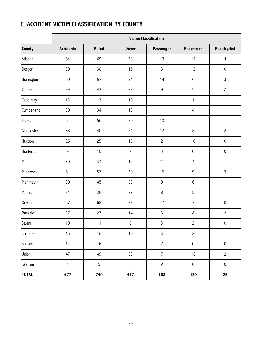## **C. ACCIDENT VICTIM CLASSIFICATION BY COUNTY**

|              | <b>Victim Classification</b> |               |                |                |                     |                     |  |  |  |  |
|--------------|------------------------------|---------------|----------------|----------------|---------------------|---------------------|--|--|--|--|
| County       | <b>Accidents</b>             | <b>Killed</b> | <b>Driver</b>  | Passenger      | Pedestrian          | Pedalcyclist        |  |  |  |  |
| Atlantic     | 64                           | 69            | 38             | 13             | 14                  | $\overline{4}$      |  |  |  |  |
| Bergen       | 30                           | 30            | 15             | $\overline{3}$ | 12                  | $\mathbf 0$         |  |  |  |  |
| Burlington   | 50                           | 57            | 34             | 14             | $\,6$               | $\overline{3}$      |  |  |  |  |
| Camden       | 39                           | 43            | 27             | 9              | 5                   | $\overline{c}$      |  |  |  |  |
| Cape May     | 13                           | 13            | 10             | $\mathbf{1}$   | $\mathbf{1}$        | $\mathbf{1}$        |  |  |  |  |
| Cumberland   | 30                           | 34            | 18             | 11             | $\overline{4}$      | $\mathbf{1}$        |  |  |  |  |
| Essex        | 54                           | 56            | 30             | 10             | 15                  | $\mathbf{1}$        |  |  |  |  |
| Gloucester   | 38                           | 40            | 24             | 12             | $\overline{c}$      | $\overline{c}$      |  |  |  |  |
| Hudson       | 25                           | 25            | 13             | $\overline{c}$ | 10                  | $\mathbf 0$         |  |  |  |  |
| Hunterdon    | $\mathsf 9$                  | 10            | $\overline{7}$ | $\overline{3}$ | $\mathsf{O}\xspace$ | $\mathbf 0$         |  |  |  |  |
| Mercer       | 30                           | 33            | 17             | 11             | $\overline{4}$      | $\mathbf{1}$        |  |  |  |  |
| Middlesex    | 51                           | 57            | 30             | 15             | $\mathsf 9$         | $\overline{3}$      |  |  |  |  |
| Monmouth     | 39                           | 45            | 29             | 9              | $\,6$               | $\mathbf{1}$        |  |  |  |  |
| Morris       | 31                           | 36            | 22             | 8              | 5                   | $\mathbf{1}$        |  |  |  |  |
| Ocean        | 57                           | 68            | 39             | 22             | $\overline{7}$      | $\mathbf 0$         |  |  |  |  |
| Passaic      | 27                           | 27            | 14             | $\mathsf{3}$   | $\,8\,$             | $\overline{c}$      |  |  |  |  |
| Salem        | $10$                         | 11            | 6              | $\mathsf{3}$   | $\overline{c}$      | $\mbox{O}$          |  |  |  |  |
| Somerset     | 15                           | $16$          | $10\,$         | $\mathsf{3}$   | $\overline{c}$      | $\mathbf{1}$        |  |  |  |  |
| Sussex       | 14                           | 16            | $\mathsf 9$    | $\overline{7}$ | $\mathsf{O}\xspace$ | $\mathsf{O}\xspace$ |  |  |  |  |
| Union        | 47                           | 49            | 22             | $\overline{7}$ | $18$                | $\overline{c}$      |  |  |  |  |
| Warren       | $\overline{4}$               | 5             | $\mathsf{3}$   | $\mathbf{2}$   | $\mathsf{O}\xspace$ | $\mathsf{O}\xspace$ |  |  |  |  |
| <b>TOTAL</b> | 677                          | 740           | 417            | 168            | 130                 | 25                  |  |  |  |  |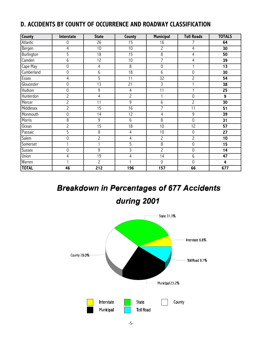## **D. ACCIDENTS BY COUNTY OF OCCURRENCE AND ROADWAY CLASSIFICATION**

| <b>County</b>     | Interstate     | <b>State</b>    | County          | <b>Municipal</b>    | <b>Toll Roads</b>   | <b>TOTALS</b>           |
|-------------------|----------------|-----------------|-----------------|---------------------|---------------------|-------------------------|
| Atlantic          | 0              | 26              | 15              | 16                  | 7                   | 64                      |
| Bergen            | 4              | 10              | 10              | $\overline{c}$      | $\overline{4}$      | 30                      |
| Burlington        | 5              | $\overline{18}$ | $\overline{15}$ | $8\,$               | $\overline{4}$      | 50                      |
| Camden            | 6              | $\overline{12}$ | 10              | 7                   | $\overline{4}$      | 39                      |
| Cape May          | 0              | 4               | 8               | $\mathsf{O}\xspace$ | $\mathbf{1}$        | 13                      |
| Cumberland        | 0              | 6               | $\overline{18}$ | 6                   | $\mathsf{O}\xspace$ | 30                      |
| Essex             | 4              | 5               | 11              | $\overline{32}$     | $\overline{c}$      | 54                      |
| Gloucester        | 0              | 13              | 21              | 3                   |                     | 38                      |
| Hudson            | 0              | 9               | $\overline{4}$  | 11                  | $\mathbf{1}$        | 25                      |
| Hunterdon         | $\overline{2}$ | $\overline{4}$  | $\overline{c}$  | $\mathbf{1}$        | $\mathbf 0$         | 9                       |
| Mercer            | $\overline{c}$ | 11              | $\overline{9}$  | 6                   | $\overline{c}$      | $\overline{30}$         |
| Middlesex         | $\overline{c}$ | 15              | 16              | 7                   | 11                  | 51                      |
| Monmouth          | 0              | 14              | $\overline{12}$ | 4                   | 9                   | 39                      |
| Morris            | 8              | 9               | 6               | $\overline{8}$      | $\mathsf{O}\xspace$ | 31                      |
| O <sub>cean</sub> | $\overline{c}$ | $\overline{15}$ | 18              | 10                  | 12                  | $\overline{57}$         |
| Passaic           | 5              | 8               | 4               | 10                  | $\boldsymbol{0}$    | 27                      |
| Salem             | 0              | $\overline{c}$  | 4               | $\overline{c}$      | $\overline{c}$      | 10                      |
| Somerset          |                | $\mathbf{1}$    | 5               | 8                   | $\mathbf 0$         | 15                      |
| Sussex            | 0              | 9               | $\overline{3}$  | $\overline{c}$      | $\mathbf 0$         | $\overline{14}$         |
| Union             | 4              | $\overline{19}$ | 4               | 14                  | 6                   | 47                      |
| Warren            |                | $\overline{2}$  | 1               | $\mathsf{O}\xspace$ | $\mathbf 0$         | $\overline{\mathbf{4}}$ |
| <b>TOTAL</b>      | 46             | 212             | 196             | 157                 | 66                  | 677                     |

# **Breakdown in Percentages of 677 Accidents**

during 2001

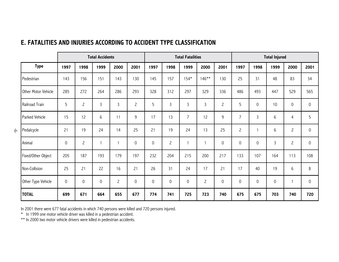|    |                     | <b>Total Accidents</b> |                     |                     | <b>Total Fatalities</b> |              |                     | <b>Total Injured</b> |                |                |                     |                |             |                     |                |             |
|----|---------------------|------------------------|---------------------|---------------------|-------------------------|--------------|---------------------|----------------------|----------------|----------------|---------------------|----------------|-------------|---------------------|----------------|-------------|
|    | <b>Type</b>         | 1997                   | 1998                | 1999                | 2000                    | 2001         | 1997                | 1998                 | 1999           | 2000           | 2001                | 1997           | 1998        | 1999                | 2000           | 2001        |
|    | Pedestrian          | 143                    | 156                 | 151                 | 143                     | 130          | 145                 | 157                  | $154*$         | $146**$        | 130                 | 25             | 31          | 48                  | 83             | 34          |
|    | Other Motor Vehicle | 285                    | 272                 | 264                 | 286                     | 293          | 328                 | 312                  | 297            | 329            | 336                 | 486            | 493         | 447                 | 529            | 565         |
|    | Railroad Train      | 5                      | $\overline{c}$      | 3                   | $\mathsf{3}$            | $\mathsf{S}$ | 5                   | $\mathsf{3}$         | $\overline{3}$ | 3              | $\overline{c}$      | 5              | $\mathbf 0$ | 10                  | $\mathsf{0}$   | 0           |
|    | Parked Vehicle      | 15                     | 12                  | 6                   | 11                      | 9            | 17                  | 13                   | $\overline{7}$ | 12             | 9                   | $\overline{7}$ | 3           | 6                   | $\overline{4}$ | 5           |
| ငှ | Pedalcycle          | 21                     | 19                  | 24                  | 14                      | 25           | 21                  | 19                   | 24             | 13             | 25                  | $\overline{c}$ |             | 6                   | $\overline{c}$ | $\mathbf 0$ |
|    | Animal              | $\mathsf{O}\xspace$    | $\overline{c}$      |                     |                         | 0            | $\mathsf{O}\xspace$ | $\overline{c}$       | $\mathbf{1}$   | $\mathbf{1}$   | 0                   | $\mathbf 0$    | 0           | $\mathsf{3}$        | $\mathbf{2}$   | 0           |
|    | Fixed/Other Object  | 205                    | 187                 | 193                 | 179                     | 197          | 232                 | 204                  | 215            | 200            | 217                 | 133            | 107         | 164                 | 113            | 108         |
|    | Non-Collision       | 25                     | 21                  | 22                  | 16                      | 21           | 26                  | 31                   | 24             | 17             | 21                  | 17             | 40          | 19                  | 6              | 8           |
|    | Other Type Vehicle  | $\mathsf{O}\xspace$    | $\mathsf{O}\xspace$ | $\mathsf{O}\xspace$ | $\overline{c}$          | $\mathsf{0}$ | $\mathsf{O}\xspace$ | $\mathsf{O}\xspace$  | $\mathbf 0$    | $\overline{c}$ | $\mathsf{O}\xspace$ | $\mathbf 0$    | $\mathbf 0$ | $\mathsf{O}\xspace$ |                | $\mathbf 0$ |
|    | <b>TOTAL</b>        | 699                    | 671                 | 664                 | 655                     | 677          | 774                 | 741                  | 725            | 723            | 740                 | 675            | 675         | 703                 | 740            | 720         |

#### **E. FATALITIES AND INJURIES ACCORDING TO ACCIDENT TYPE CLASSIFICATION**

In 2001 there were 677 fatal accidents in which 740 persons were killed and 720 persons injured.

\* In 1999 one motor vehicle driver was killed in a pedestrian accident.

\*\* In 2000 two motor vehicle drivers were killed in pedestrian accidents.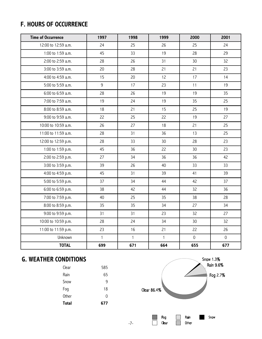## **F. HOURS OF OCCURRENCE**

| <b>Time of Occurrence</b> | 1997         | 1998         | 1999         | 2000           | 2001                |
|---------------------------|--------------|--------------|--------------|----------------|---------------------|
| 12:00 to 12:59 a.m.       | 24           | 25           | 26           | 25             | 24                  |
| 1:00 to 1:59 a.m.         | 45           | 33           | 19           | 28             | 29                  |
| 2:00 to 2:59 a.m.         | 28           | 26           | 31           | 30             | 32                  |
| 3:00 to 3:59 a.m.         | 20           | 28           | 21           | 21             | 23                  |
| 4:00 to 4:59 a.m.         | 15           | 20           | 12           | 17             | 14                  |
| 5:00 to 5:59 a.m.         | 9            | 17           | 23           | 11             | 19                  |
| 6:00 to 6:59 a.m.         | 28           | 26           | 19           | 19             | 35                  |
| 7:00 to 7:59 a.m.         | 19           | 24           | 19           | 35             | 25                  |
| 8:00 to 8:59 a.m.         | 18           | 21           | 15           | 25             | 19                  |
| 9:00 to 9:59 a.m.         | 22           | 25           | 22           | 19             | 27                  |
| 10:00 to 10:59 a.m.       | 26           | 27           | 18           | 21             | 25                  |
| 11:00 to 11:59 a.m.       | 28           | 31           | 36           | 13             | 25                  |
| 12:00 to 12:59 p.m.       | 28           | 33           | 30           | 28             | 23                  |
| 1:00 to 1:59 p.m.         | 45           | 36           | 22           | 30             | 23                  |
| 2:00 to 2:59 p.m.         | 27           | 34           | 36           | 36             | 42                  |
| 3:00 to 3:59 p.m.         | 39           | 26           | 40           | 33             | 33                  |
| 4:00 to 4:59 p.m.         | 45           | 31           | 39           | 41             | 39                  |
| 5:00 to 5:59 p.m.         | 37           | 34           | 44           | 42             | 37                  |
| 6:00 to 6:59 p.m.         | 38           | 42           | 44           | 32             | 36                  |
| 7:00 to 7:59 p.m.         | 40           | 25           | 35           | 38             | 28                  |
| 8:00 to 8:59 p.m.         | 35           | 35           | 34           | 27             | 34                  |
| 9:00 to 9:59 p.m.         | 31           | 31           | 23           | 32             | 27                  |
| 10:00 to 10:59 p.m.       | 28           | 24           | 34           | 30             | 32                  |
| 11:00 to 11:59 p.m.       | 23           | 16           | 21           | 22             | 26                  |
| Unknown                   | $\mathbf{1}$ | $\mathbf{1}$ | $\mathbf{1}$ | $\overline{0}$ | $\mathsf{O}\xspace$ |
| <b>TOTAL</b>              | 699          | 671          | 664          | 655            | 677                 |

### **G. WEATHER CONDITIONS**

| Total | 677 |
|-------|-----|
| Other | 0   |
| Fog   | 18  |
| Snow  | 9   |
| Rain  | 65  |
| Clear | 585 |



-7-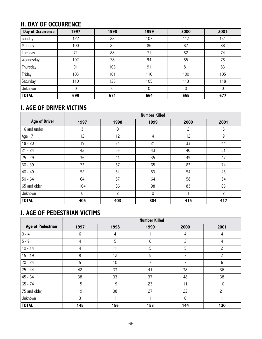## **H. DAY OF OCCURRENCE**

| <b>Day of Occurrence</b> | 1997        | 1998 | 1999 | 2000 | 2001 |
|--------------------------|-------------|------|------|------|------|
| Sunday                   | 122         | 88   | 107  | 112  | 131  |
| Monday                   | 100         | 85   | 86   | 82   | 88   |
| Tuesday                  | 71          | 88   | 71   | 82   | 74   |
| Wednesday                | 102         | 78   | 94   | 85   | 78   |
| Thursday                 | 91          | 106  | 91   | 81   | 83   |
| Friday                   | 103         | 101  | 110  | 100  | 105  |
| Saturday                 | 110         | 125  | 105  | 113  | 118  |
| Unknown                  | $\mathbf 0$ | 0    | 0    | 0    | 0    |
| <b>TOTAL</b>             | 699         | 671  | 664  | 655  | 677  |

## **I. AGE OF DRIVER VICTIMS**

|                      | <b>Number Killed</b> |                |             |                |                |  |  |  |
|----------------------|----------------------|----------------|-------------|----------------|----------------|--|--|--|
| <b>Age of Driver</b> | 1997                 | 1998           | 1999        | 2000           | 2001           |  |  |  |
| 16 and under         | 3                    | 0              |             | $\overline{c}$ | 5              |  |  |  |
| Age 17               | 12                   | 12             | 4           | 12             | 9              |  |  |  |
| $18 - 20$            | 19                   | 34             | 21          | 33             | 44             |  |  |  |
| $21 - 24$            | 42                   | 53             | 43          | 40             | 51             |  |  |  |
| $25 - 29$            | 36                   | 41             | 35          | 49             | 47             |  |  |  |
| $30 - 39$            | 73                   | 67             | 65          | 83             | 74             |  |  |  |
| $40 - 49$            | 52                   | 51             | 53          | 54             | 45             |  |  |  |
| $50 - 64$            | 64                   | 57             | 64          | 58             | 54             |  |  |  |
| 65 and older         | 104                  | 86             | 98          | 83             | 86             |  |  |  |
| Unknown              | 0                    | $\overline{c}$ | $\mathbf 0$ |                | $\overline{c}$ |  |  |  |
| <b>TOTAL</b>         | 405                  | 403            | 384         | 415            | 417            |  |  |  |

### **J. AGE OF PEDESTRIAN VICTIMS**

|                          | <b>Number Killed</b> |      |       |                |      |  |  |  |  |
|--------------------------|----------------------|------|-------|----------------|------|--|--|--|--|
| <b>Age of Pedestrian</b> | 1997                 | 1998 | 1999  | 2000           | 2001 |  |  |  |  |
| $0 - 4$                  | 6                    | 4    |       | 4              | 4    |  |  |  |  |
| $5 - 9$                  | 4                    | 5    | $6\,$ | $\overline{c}$ | 4    |  |  |  |  |
| $10 - 14$                | 4                    |      | 5     | 5              | 2    |  |  |  |  |
| $15 - 19$                | 9                    | 12   | 5     | $\overline{7}$ | 2    |  |  |  |  |
| $20 - 24$                | 5                    | 10   | 7     | $\overline{7}$ | 6    |  |  |  |  |
| $25 - 44$                | 42                   | 33   | 41    | 38             | 36   |  |  |  |  |
| $45 - 64$                | 38                   | 33   | 37    | 48             | 38   |  |  |  |  |
| $65 - 74$                | 15                   | 19   | 23    | 11             | 16   |  |  |  |  |
| 75 and older             | 19                   | 38   | 27    | 22             | 21   |  |  |  |  |
| Unknown                  | 3                    |      |       | $\mathsf 0$    |      |  |  |  |  |
| <b>TOTAL</b>             | 145                  | 156  | 153   | 144            | 130  |  |  |  |  |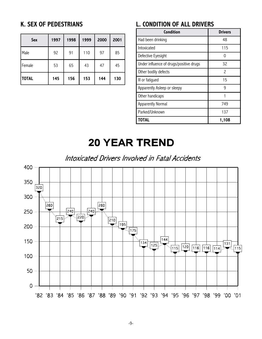## **K. SEX OF PEDESTRIANS**

| <b>Sex</b>   | 1997 | 1998 | 1999 | 2000 | 2001 |
|--------------|------|------|------|------|------|
| Male         | 92   | 91   | 110  | 97   | 85   |
| Female       | 53   | 65   | 43   | 47   | 45   |
| <b>TOTAL</b> | 145  | 156  | 153  | 144  | 130  |

## **L. CONDITION OF ALL DRIVERS**

| Condition                               | <b>Drivers</b>           |
|-----------------------------------------|--------------------------|
| Had been drinking                       | 48                       |
| Intoxicated                             | 115                      |
| Defective Eyesight                      |                          |
| Under influence of drugs/positive drugs | 32                       |
| Other bodily defects                    | $\overline{\phantom{0}}$ |
| III or fatigued                         | 15                       |
| Apparently Asleep or sleepy             | ۹                        |
| Other handicaps                         |                          |
| Apparently Normal                       | 749                      |
| Parked/Unknown                          | 137                      |
| TOTAL                                   | 1,108                    |

# **20 YEAR TREND**

Intoxicated Drivers Involved in Fatal Accidents

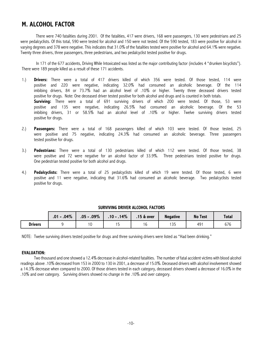#### **M. ALCOHOL FACTOR**

There were 740 fatalities during 2001. Of the fatalities, 417 were drivers, 168 were passengers, 130 were pedestrians and 25 were pedalcyclists. Of this total, 590 were tested for alcohol and 150 were not tested. Of the 590 tested, 183 were positive for alcohol in varying degrees and 378 were negative. This indicates that 31.0% of the fatalities tested were positive for alcohol and 64.1% were negative. Twenty three drivers, three passengers, three pedestrians, and two pedalcyclist tested positive for drugs.

In 171 of the 677 accidents, Driving While Intoxicated was listed as the major contributing factor (includes 4 "drunken bicyclists"). There were 189 people killed as a result of these 171 accidents.

- 1.) **Drivers:** There were a total of 417 drivers killed of which 356 were tested. Of those tested, 114 were positive and 220 were negative, indicating 32.0% had consumed an alcoholic beverage. Of the 114 imbibing drivers, 84 or 73.7% had an alcohol level of .10% or higher. Twenty three deceased drivers tested positive for drugs. Note: One deceased driver tested positive for both alcohol and drugs and is counted in both totals. **Surviving:** There were a total of 691 surviving drivers of which 200 were tested. Of those, 53 were positive and 135 were negative, indicating 26.5% had consumed an alcoholic beverage. Of the 53 imbibing drivers, 31 or 58.5% had an alcohol level of .10% or higher. Twelve surviving drivers tested positive for drugs.
- 2.) **Passengers:** There were a total of 168 passengers killed of which 103 were tested. Of those tested, 25 were positive and 75 negative, indicating 24.3% had consumed an alcoholic beverage. Three passengers tested positive for drugs.
- 3.) **Pedestrians:** There were a total of 130 pedestrians killed of which 112 were tested. Of those tested, 38 were positive and 72 were negative for an alcohol factor of 33.9%. Three pedestrians tested positive for drugs. One pedestrian tested positive for both alcohol and drugs.
- 4.) **Pedalcyclists:** There were a total of 25 pedalcyclists killed of which 19 were tested. Of those tested, 6 were positive and 11 were negative, indicating that 31.6% had consumed an alcoholic beverage. Two pedalcyclists tested positive for drugs.

|                | $.01 - .04\%$ | $.05 - .09\%$ | $.10 - .14%$ | $.15 \&over$ | <b>Negative</b>      | <b>No Test</b> | <b>Total</b> |
|----------------|---------------|---------------|--------------|--------------|----------------------|----------------|--------------|
| <b>Drivers</b> |               | 10            | .<br>.       | . ხ          | $\sim$ $\sim$<br>-35 | 49             | 676          |

#### **SURVIVING DRIVER ALCOHOL FACTORS**

NOTE: Twelve surviving drivers tested positive for drugs and three surviving drivers were listed as "Had been drinking."

#### **EVALUATION:**

Two thousand and one showed a 12.4% decrease in alcohol-related fatalities. The number of fatal accident victims with blood alcohol readings above .10% decreased from 153 in 2000 to 130 in 2001, a decrease of 15.0%. Deceased drivers with alcohol involvement showed a 14.3% decrease when compared to 2000. Of those drivers tested in each category, deceased drivers showed a decrease of 16.0% in the .10% and over category. Surviving drivers showed no change in the .10% and over category.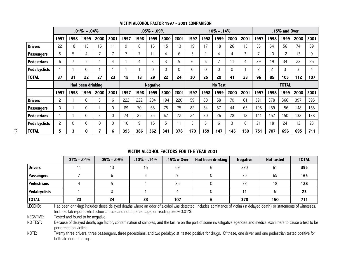|                    | $.01\% - .04\%$ |      |                   |          |                |                 | $.05\% - .09\%$          |      |                | $.10\% - .14\%$ |      |              |      |             | .15% and Over |      |               |      |      |      |
|--------------------|-----------------|------|-------------------|----------|----------------|-----------------|--------------------------|------|----------------|-----------------|------|--------------|------|-------------|---------------|------|---------------|------|------|------|
|                    | 1997            | 1998 | 1999              | 2000     | 2001           | 1997            | 1998                     | 1999 | 2000           | 2001            | 1997 | 1998         | 1999 | 2000        | 2001          | 1997 | 1998          | 1999 | 2000 | 2001 |
| <b>Drivers</b>     | 22              | 18   | 13                | 15       | 11             | 9               | 6                        | 15   | 15             | 13              | 19   | 17           | 18   | 26          | 15            | 58   | 54            | 56   | 74   | 69   |
| Passengers         | 8               | 5    | 4                 |          | $\overline{7}$ |                 | $\overline{\phantom{0}}$ | 11   | 4              | 6               | 5    | 2            | 4    | 4           | 3             | ⇁    | 10            | 12   | 13   | 9    |
| Pedestrians        | 6               | ᄀ    | 5                 | 4        | 4              |                 | 4                        | 3    | 3              | 5               | 6    | 6            | 7    |             | 4             | 29   | 19            | 34   | 22   | 25   |
| Pedalcyclists      |                 |      | $\mathbf{0}$      |          |                |                 |                          | 0    | 0              | 0               | 0    | 0            |      | $\mathbf 0$ |               | 2    | $\mathcal{L}$ | 3    | 3    | 4    |
| <b>TOTAL</b>       | 37              | 31   | 22                | 27       | 23             | 18              | 18                       | 29   | 22             | 24              | 30   | 25           | 29   | 41          | 23            | 96   | 85            | 105  | 112  | 107  |
|                    |                 |      | Had been drinking |          |                | <b>Negative</b> |                          |      | <b>No Test</b> |                 |      | <b>TOTAL</b> |      |             |               |      |               |      |      |      |
|                    | 1997            | 1998 | 1999              | 2000     | 2001           | 1997            | 1998                     | 1999 | 2000           | 2001            | 1997 | 1998         | 1999 | 2000        | 2001          | 1997 | 1998          | 1999 | 2000 | 2001 |
| <b>Drivers</b>     | $\overline{c}$  |      | 0                 | 3        | 6              | 222             | 222                      | 204  | 194            | 220             | 59   | 60           | 58   | 70          | 61            | 391  | 378           | 366  | 397  | 395  |
| Passengers         | $\mathbf 0$     |      | 0                 |          | 0              | 89              | 70                       | 68   | 75             | 75              | 82   | 64           | 57   | 44          | 65            | 198  | 159           | 156  | 148  | 165  |
| <b>Pedestrians</b> |                 |      | $\Omega$          | 3        | 0              | 74              | 85                       | 75   | 67             | 72              | 24   | 30           | 26   | 28          | 18            | 141  | 152           | 150  | 138  | 128  |
| Pedalcyclists      | 2               | 0    | $\Omega$          | $\Omega$ | $\mathbf 0$    | 10              | 9                        | 15   | 5.             | 11              | 5    | 5.           | 6    | 3           | 6             | 21   | 18            | 24   | 12   | 23   |
| <b>TOTAL</b>       | 5               | 3    | 0                 |          | 6              | 395             | 386                      | 362  | 341            | 378             | 170  | 159          | 147  | 145         | 150           | 751  | 707           | 696  | 695  | 711  |

#### **VICTIM ALCOHOL FACTOR 1997 - 2001 COMPARISON**

#### **VICTIM ALCOHOL FACTORS FOR THE YEAR 2001**

|                        | $.01\% - .04\%$ | $.05\% - .09\%$ | $.10\% - .14\%$ | $.15\%$ & Over | Had been drinking | <b>Negative</b> | <b>Not tested</b> | <b>TOTAL</b> |
|------------------------|-----------------|-----------------|-----------------|----------------|-------------------|-----------------|-------------------|--------------|
| <b>Drivers</b>         |                 |                 | 15              | 69             |                   | 220             | 61                | 395          |
| <b>Passengers</b>      |                 |                 |                 |                |                   | 75              | 65                | 165          |
| <b>Pedestrians</b>     |                 |                 |                 | 25             |                   |                 | 18                | 128          |
| <b>Pedalcyclists</b>   |                 |                 |                 |                |                   |                 |                   | 23           |
| <b>TOTAL</b><br>$   -$ | 23              | 24              | 23              | 107            |                   | 378             | 150               | 711          |

LEGEND: Had been drinking: includes those delayed deaths where an odor of alcohol was detected. Includes admittance of victim (in delayed death) or statements of witnesses. Includes lab reports which show a trace and not a percentage, or reading below 0.01%.

NEGATIVE: Tested and found to be negative.<br>NO TEST: Because of delaved death. age fa

Because of delayed death, age factor, contamination of samples, and the failure on the part of some investigative agencies and medical examiners to cause a test to be performed on victims.

NOTE: Twenty three drivers, three passengers, three pedestrians, and two pedalcyclist tested positive for drugs. Of these, one driver and one pedestrian tested positive for both alcohol and drugs.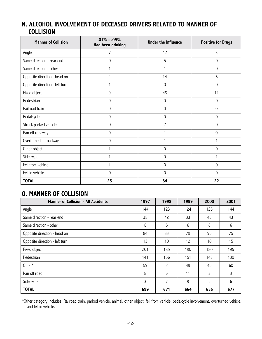### **N. ALCOHOL INVOLVEMENT OF DECEASED DRIVERS RELATED TO MANNER OF COLLISION**

| <b>Manner of Collision</b>     | $.01\% - .09\%$<br><b>Had been drinking</b> | <b>Under the Influence</b> | <b>Positive for Drugs</b> |  |
|--------------------------------|---------------------------------------------|----------------------------|---------------------------|--|
| Angle                          | 7                                           | 12                         | 3                         |  |
| Same direction - rear end      | 0                                           | 5                          | 0                         |  |
| Same direction - other         |                                             |                            | 0                         |  |
| Opposite direction - head on   | 4                                           | 14                         | 6                         |  |
| Opposite direction - left turn |                                             | 0                          | $\mathbf 0$               |  |
| Fixed object                   | 9                                           | 48                         | 11                        |  |
| Pedestrian                     | 0                                           | 0                          | 0                         |  |
| Railroad train                 | 0                                           | 0                          | 0                         |  |
| Pedalcycle                     | $\mathbf 0$                                 | 0                          | 0                         |  |
| Struck parked vehicle          | $\mathsf{O}\xspace$                         | $\overline{c}$             | $\mathbf 0$               |  |
| Ran off roadway                | $\mathsf{O}\xspace$                         |                            | 0                         |  |
| Overturned in roadway          | 0                                           |                            |                           |  |
| Other object                   |                                             | 0                          | 0                         |  |
| Sideswipe                      |                                             | 0                          |                           |  |
| Fell from vehicle              |                                             | 0                          | $\mathbf 0$               |  |
| Fell in vehicle                | $\Omega$                                    | 0                          | $\mathbf 0$               |  |
| <b>TOTAL</b>                   | 25                                          | 84                         | 22                        |  |

### **O. MANNER OF COLLISION**

| <b>Manner of Collision - All Accidents</b> | 1997 | 1998 | 1999 | 2000 | 2001 |
|--------------------------------------------|------|------|------|------|------|
| Angle                                      | 144  | 123  | 124  | 125  | 144  |
| Same direction - rear end                  | 38   | 42   | 33   | 43   | 43   |
| Same direction - other                     | 8    | 5    | 6    | 6    | 6    |
| Opposite direction - head on               | 84   | 83   | 79   | 95   | 75   |
| Opposite direction - left turn             | 13   | 10   | 12   | 10   | 15   |
| Fixed object                               | 201  | 185  | 190  | 180  | 195  |
| Pedestrian                                 | 141  | 156  | 151  | 143  | 130  |
| Other*                                     | 59   | 54   | 49   | 45   | 60   |
| Ran off road                               | 8    | 6    | 11   | 3    | 3    |
| Sideswipe                                  | 3    | 7    | 9    | 5    | 6    |
| <b>TOTAL</b>                               | 699  | 671  | 664  | 655  | 677  |

\*Other category includes: Railroad train, parked vehicle, animal, other object, fell from vehicle, pedalcycle involvement, overturned vehicle, and fell in vehicle.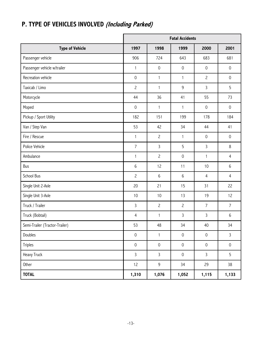|                                |                     |                     | <b>Fatal Accidents</b> |                     |                     |
|--------------------------------|---------------------|---------------------|------------------------|---------------------|---------------------|
| <b>Type of Vehicle</b>         | 1997                | 1998                | 1999                   | 2000                | 2001                |
| Passenger vehicle              | 906                 | 724                 | 643                    | 683                 | 681                 |
| Passenger vehicle w/trailer    | $\mathbf{1}$        | $\mathsf{O}\xspace$ | $\mathsf{O}\xspace$    | $\mathsf{O}\xspace$ | $\mathsf{O}\xspace$ |
| Recreation vehicle             | $\mathsf{O}\xspace$ | $\mathbf{1}$        | $\mathbf{1}$           | $\mathbf{2}$        | $\mathsf{O}\xspace$ |
| Taxicab / Limo                 | $\overline{c}$      | $\mathbf{1}$        | $9\,$                  | 3                   | 5                   |
| Motorcycle                     | 44                  | 36                  | 41                     | 55                  | 73                  |
| Moped                          | $\mathsf{O}\xspace$ | $\mathbf{1}$        | $\mathbf{1}$           | $\mathsf{O}\xspace$ | $\mathsf{O}\xspace$ |
| Pickup / Sport Utility         | 182                 | 151                 | 199                    | 178                 | 184                 |
| Van / Step Van                 | 53                  | 42                  | 34                     | 44                  | 41                  |
| Fire / Rescue                  | $\mathbf{1}$        | $\overline{c}$      | $\mathbf{1}$           | $\mathsf{O}\xspace$ | $\mathsf{O}\xspace$ |
| Police Vehicle                 | $\overline{7}$      | $\mathsf{3}$        | 5                      | 3                   | 8                   |
| Ambulance                      | 1                   | $\overline{c}$      | $\mathsf{O}\xspace$    | 1                   | $\overline{4}$      |
| Bus                            | 6                   | 12                  | 11                     | 10                  | 6                   |
| School Bus                     | $\overline{c}$      | $6\,$               | $6\,$                  | $\overline{4}$      | $\overline{4}$      |
| Single Unit 2-Axle             | 20                  | 21                  | 15                     | 31                  | 22                  |
| Single Unit 3-Axle             | 10                  | 10                  | 13                     | 19                  | 12                  |
| Truck / Trailer                | 3                   | $\overline{c}$      | $\overline{c}$         | $\overline{7}$      | $\overline{7}$      |
| Truck (Bobtail)                | 4                   | 1                   | 3                      | 3                   | 6                   |
| Semi-Trailer (Tractor-Trailer) | 53                  | 48                  | 34                     | 40                  | 34                  |
| Doubles                        | $\mathsf{O}\xspace$ | $\mathbf{1}$        | $\mathsf{O}\xspace$    | $\mathsf{O}\xspace$ | $\mathsf{3}$        |
| Triples                        | $\mathsf{O}\xspace$ | $\mathsf{O}\xspace$ | $\mathsf{O}\xspace$    | $\mathsf{O}\xspace$ | $\mathsf{O}\xspace$ |
| Heavy Truck                    | $\mathsf{3}$        | $\mathsf{3}$        | $\mathsf{O}\xspace$    | $\mathsf{3}$        | 5                   |
| Other                          | 12                  | 9                   | 34                     | 29                  | 38                  |
| <b>TOTAL</b>                   | 1,310               | 1,076               | 1,052                  | 1,115               | 1,133               |

# **P. TYPE OF VEHICLES INVOLVED (Including Parked)**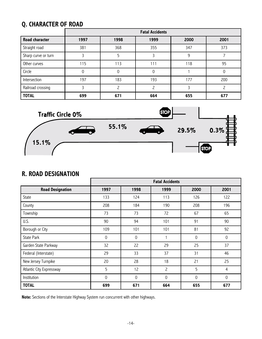## **Q. CHARACTER OF ROAD**

|                       | <b>Fatal Accidents</b> |      |      |      |      |  |  |  |  |  |
|-----------------------|------------------------|------|------|------|------|--|--|--|--|--|
| <b>Road character</b> | 1997                   | 1998 | 1999 | 2000 | 2001 |  |  |  |  |  |
| Straight road         | 381                    | 368  | 355  | 347  | 373  |  |  |  |  |  |
| Sharp curve or turn   |                        |      |      | 9    |      |  |  |  |  |  |
| Other curves          | 115                    | 113  | 111  | 118  | 95   |  |  |  |  |  |
| Circle                |                        | 0    | 0    |      |      |  |  |  |  |  |
| Intersection          | 197                    | 183  | 193  | 177  | 200  |  |  |  |  |  |
| Railroad crossing     |                        |      |      |      |      |  |  |  |  |  |
| <b>TOTAL</b>          | 699                    | 671  | 664  | 655  | 677  |  |  |  |  |  |



### **R. ROAD DESIGNATION**

|                          |             |             | <b>Fatal Accidents</b> |             |                |
|--------------------------|-------------|-------------|------------------------|-------------|----------------|
| <b>Road Designation</b>  | 1997        | 1998        | 1999                   | 2000        | 2001           |
| State                    | 133         | 124         | 113                    | 126         | 122            |
| County                   | 208         | 184         | 190                    | 208         | 196            |
| Township                 | 73          | 73          | 72                     | 67          | 65             |
| U.S.                     | 90          | 94          | 101                    | 91          | 90             |
| Borough or City          | 109         | 101         | 101                    | 81          | 92             |
| <b>State Park</b>        | $\mathbf 0$ | $\mathsf 0$ |                        | $\mathbf 0$ | $\mathsf 0$    |
| Garden State Parkway     | 32          | 22          | 29                     | 25          | 37             |
| Federal (Interstate)     | 29          | 33          | 37                     | 31          | 46             |
| New Jersey Turnpike      | 20          | 28          | 18                     | 21          | 25             |
| Atlantic City Expressway | 5           | 12          | $\overline{c}$         | 5           | $\overline{4}$ |
| Institution              | $\mathbf 0$ | $\mathbf 0$ | $\mathbf 0$            | $\mathbf 0$ | $\mathbf 0$    |
| <b>TOTAL</b>             | 699         | 671         | 664                    | 655         | 677            |

**Note:** Sections of the Interstate Highway System run concurrent with other highways.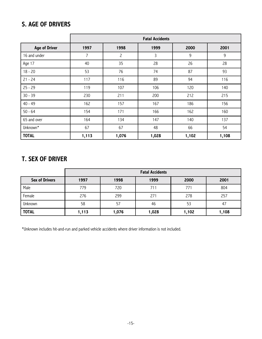### **S. AGE OF DRIVERS**

|                      | <b>Fatal Accidents</b> |                |              |       |       |  |  |
|----------------------|------------------------|----------------|--------------|-------|-------|--|--|
| <b>Age of Driver</b> | 1997                   | 1998           | 1999         | 2000  | 2001  |  |  |
| 16 and under         | $\overline{7}$         | $\overline{c}$ | $\mathsf{3}$ | 9     | 9     |  |  |
| Age 17               | 40                     | 35             | 28           | 26    | 28    |  |  |
| $18 - 20$            | 53                     | 76             | 74           | 87    | 93    |  |  |
| $21 - 24$            | 117                    | 116            | 89           | 94    | 116   |  |  |
| $25 - 29$            | 119                    | 107            | 106          | 120   | 140   |  |  |
| $30 - 39$            | 230                    | 211            | 200          | 212   | 215   |  |  |
| $40 - 49$            | 162                    | 157            | 167          | 186   | 156   |  |  |
| $50 - 64$            | 154                    | 171            | 166          | 162   | 160   |  |  |
| 65 and over          | 164                    | 134            | 147          | 140   | 137   |  |  |
| Unknown*             | 67                     | 67             | 48           | 66    | 54    |  |  |
| <b>TOTAL</b>         | 1,113                  | 1,076          | 1,028        | 1,102 | 1,108 |  |  |

### **T. SEX OF DRIVER**

|                       | <b>Fatal Accidents</b> |       |       |       |       |  |
|-----------------------|------------------------|-------|-------|-------|-------|--|
| <b>Sex of Drivers</b> | 1997                   | 1998  | 1999  | 2000  | 2001  |  |
| Male                  | 779                    | 720   | 711   | 771   | 804   |  |
| Female                | 276                    | 299   | 271   | 278   | 257   |  |
| Unknown               | 58                     | 57    | 46    | 53    | 47    |  |
| <b>TOTAL</b>          | 1,113                  | 1,076 | 1,028 | 1,102 | 1,108 |  |

\*Unknown includes hit-and-run and parked vehicle accidents where driver information is not included.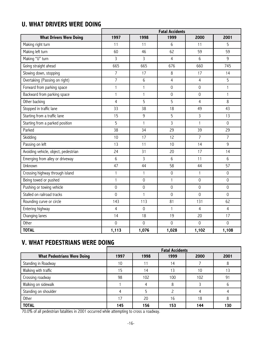## **U. WHAT DRIVERS WERE DOING**

|                                      | <b>Fatal Accidents</b> |                     |                     |                     |                     |  |
|--------------------------------------|------------------------|---------------------|---------------------|---------------------|---------------------|--|
| <b>What Drivers Were Doing</b>       | 1997                   | 1998                | 1999                | 2000                | 2001                |  |
| Making right turn                    | 11                     | 11                  | 6                   | 11                  | 5                   |  |
| Making left turn                     | 60                     | 46                  | 62                  | 59                  | 59                  |  |
| Making "U" turn                      | 3                      | 3                   | $\overline{4}$      | 6                   | 9                   |  |
| Going straight ahead                 | 665                    | 665                 | 676                 | 660                 | 745                 |  |
| Slowing down, stopping               | $\overline{7}$         | 17                  | 8                   | 17                  | 14                  |  |
| Overtaking (Passing on right)        | $\overline{7}$         | 6                   | $\overline{4}$      | $\overline{4}$      | 5                   |  |
| Forward from parking space           | $\mathbf{1}$           | $\mathbf{1}$        | $\mathsf{O}\xspace$ | $\mathsf{O}\xspace$ | $\mathbf{1}$        |  |
| Backward from parking space          | $\mathbf{1}$           | $\mathbf{1}$        | $\mathbf 0$         | $\mathsf{O}\xspace$ | $\mathbf{1}$        |  |
| Other backing                        | $\overline{4}$         | 5                   | 5                   | $\overline{4}$      | 8                   |  |
| Stopped in traffic lane              | 33                     | 38                  | 18                  | 49                  | 43                  |  |
| Starting from a traffic lane         | 15                     | 9                   | 5                   | $\mathsf{3}$        | 13                  |  |
| Starting from a parked position      | 5                      | $\mathbf{1}$        | $\overline{3}$      | $\mathbf{1}$        | $\mathbf 0$         |  |
| Parked                               | 38                     | 34                  | 29                  | 39                  | 29                  |  |
| Skidding                             | 10                     | 17                  | 12                  | $\overline{7}$      | $\overline{7}$      |  |
| Passing on left                      | 13                     | 11                  | 10                  | 14                  | 9                   |  |
| Avoiding vehicle, object, pedestrian | 24                     | 31                  | 20                  | 17                  | 14                  |  |
| Emerging from alley or driveway      | 6                      | $\mathsf{3}$        | 6                   | 11                  | 6                   |  |
| Unknown                              | 47                     | 44                  | 58                  | 44                  | 57                  |  |
| Crossing highway through island      | $\mathbf{1}$           | $\mathbf{1}$        | $\mathbf 0$         | $\mathbf{1}$        | $\mathbf 0$         |  |
| Being towed or pushed                | $\mathbf{1}$           | $\mathsf{O}\xspace$ | 1                   | $\mathsf{O}\xspace$ | $\mathsf{O}\xspace$ |  |
| Pushing or towing vehicle            | $\mathbf 0$            | $\mathsf{O}\xspace$ | $\mathbf 0$         | $\mathbf 0$         | $\mathsf{O}\xspace$ |  |
| Stalled on railroad tracks           | $\mathsf{O}\xspace$    | $\mathbf{1}$        | $\mathsf{O}\xspace$ | $\mathsf{O}\xspace$ | $\mathsf{O}\xspace$ |  |
| Rounding curve or circle             | 143                    | 113                 | 81                  | 131                 | 62                  |  |
| Entering highway                     | 4                      | $\mathbf 0$         | $\mathbf{1}$        | 4                   | $\overline{4}$      |  |
| Changing lanes                       | 14                     | 18                  | 19                  | 20                  | 17                  |  |
| Other                                | $\mathbf 0$            | $\mathbf 0$         | $\mathbf 0$         | $\mathsf{O}\xspace$ | $\mathbf 0$         |  |
| <b>TOTAL</b>                         | 1,113                  | 1,076               | 1,028               | 1,102               | 1,108               |  |

## **V. WHAT PEDESTRIANS WERE DOING**

|                                    | <b>Fatal Accidents</b> |      |      |      |      |
|------------------------------------|------------------------|------|------|------|------|
| <b>What Pedestrians Were Doing</b> | 1997                   | 1998 | 1999 | 2000 | 2001 |
| Standing in Roadway                | 10                     |      | 14   |      |      |
| Walking with traffic               | 15                     | 14   | 13   | 10   | 13   |
| Crossing roadway                   | 98                     | 102  | 100  | 102  | 91   |
| Walking on sidewalk                |                        |      |      |      | h    |
| Standing on shoulder               |                        |      |      |      |      |
| Other                              |                        | 20   | 16   | 18   |      |
| <b>TOTAL</b>                       | 145                    | 156  | 153  | 144  | 130  |

70.0% of all pedestrian fatalities in 2001 occurred while attempting to cross a roadway.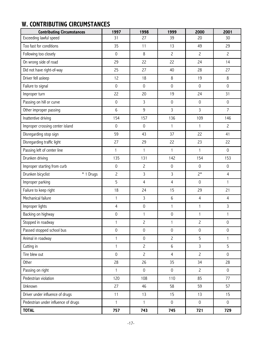## **W. CONTRIBUTING CIRCUMSTANCES**

| <b>Contributing Circumstances</b>   | 1997                | 1998                | 1999                | 2000                | 2001                |
|-------------------------------------|---------------------|---------------------|---------------------|---------------------|---------------------|
| Exceeding lawful speed              | 31                  | 27                  | 39                  | 20                  | 30                  |
| Too fast for conditions             | 35                  | 11                  | 13                  | 49                  | 29                  |
| Following too closely               | $\mathsf{O}\xspace$ | 8                   | $\overline{c}$      | $\overline{c}$      | $\overline{c}$      |
| On wrong side of road               | 29                  | 22                  | 22                  | 24                  | 14                  |
| Did not have right-of-way           | 25                  | 27                  | 40                  | 28                  | 27                  |
| Driver fell asleep                  | 12                  | 18                  | 8                   | 19                  | $\,8\,$             |
| Failure to signal                   | $\mathsf{O}\xspace$ | $\mathbf 0$         | $\mathsf{O}\xspace$ | $\mathsf{O}\xspace$ | $\mathsf{O}\xspace$ |
| Improper turn                       | 22                  | 20                  | 19                  | 24                  | 31                  |
| Passing on hill or curve            | 0                   | 3                   | $\mathsf{O}\xspace$ | $\mathsf{O}\xspace$ | $\mathsf{O}\xspace$ |
| Other improper passing              | 6                   | 9                   | 3                   | 3                   | $\overline{7}$      |
| Inattentive driving                 | 154                 | 157                 | 136                 | 109                 | 146                 |
| Improper crossing center island     | $\mathsf{O}\xspace$ | $\mathbf 0$         | $\mathbf{1}$        | $\mathbf{1}$        | $\overline{c}$      |
| Disregarding stop sign              | 59                  | 43                  | 37                  | 22                  | 41                  |
| Disregarding traffic light          | 27                  | 29                  | 22                  | 23                  | 22                  |
| Passing left of center line         | $\mathbf{1}$        | 1                   | $\mathbf{1}$        | $\mathbf{1}$        | $\mathsf{O}\xspace$ |
| Drunken driving                     | 135                 | 131                 | 142                 | 154                 | 153                 |
| Improper starting from curb         | $\mathsf{O}\xspace$ | $\overline{c}$      | $\mathbf 0$         | $\mathsf{O}\xspace$ | $\mathsf{O}\xspace$ |
| Drunken bicyclist<br>* 1 Drugs      | $\overline{c}$      | 3                   | $\mathsf{3}$        | $2*$                | $\overline{4}$      |
| Improper parking                    | 5                   | $\overline{4}$      | $\overline{4}$      | $\mathsf{O}\xspace$ | 1                   |
| Failure to keep right               | 18                  | 24                  | 15                  | 29                  | 21                  |
| Mechanical failure                  | $\mathbf{1}$        | 3                   | 6                   | $\overline{4}$      | $\overline{4}$      |
| Improper lights                     | $\overline{4}$      | $\mathsf{O}\xspace$ | 1                   | $\mathbf{1}$        | $\mathsf{3}$        |
| Backing on highway                  | $\mathsf{O}\xspace$ | 1                   | $\mathsf{O}\xspace$ | $\mathbf{1}$        | 1                   |
| Stopped in roadway                  |                     | $\overline{c}$      |                     | $\overline{c}$      | $\mathsf 0$         |
| Passed stopped school bus           | $\mathsf{O}\xspace$ | $\mathsf{O}\xspace$ | $\mathsf{O}$        | $\mathsf{O}\xspace$ | $\mathsf{O}\xspace$ |
| Animal in roadway                   | $\mathbf{1}$        | $\mathsf{O}\xspace$ | $\overline{c}$      | 5                   | 1                   |
| Cutting in                          | $\mathbf{1}$        | $\overline{c}$      | 6                   | $\overline{3}$      | 5                   |
| Tire blew out                       | $\mathbf 0$         | $\overline{c}$      | $\overline{4}$      | $\overline{c}$      | $\mathbf 0$         |
| Other                               | 28                  | 26                  | 35                  | 34                  | 28                  |
| Passing on right                    | $\mathbf{1}$        | $\mathbf 0$         | $\mathsf{O}\xspace$ | $\overline{c}$      | $\mathsf{O}\xspace$ |
| Pedestrian violation                | 120                 | 108                 | 110                 | 85                  | 77                  |
| Unknown                             | 27                  | 46                  | 58                  | 59                  | 57                  |
| Driver under influence of drugs     | 11                  | 13                  | 15                  | 13                  | 15                  |
| Pedestrian under influence of drugs | $\mathbf{1}$        | $\mathbf{1}$        | $\mathsf{O}\xspace$ | $\mathsf{O}\xspace$ | $\mathsf{O}\xspace$ |
| <b>TOTAL</b>                        | 757                 | 743                 | 745                 | 721                 | 729                 |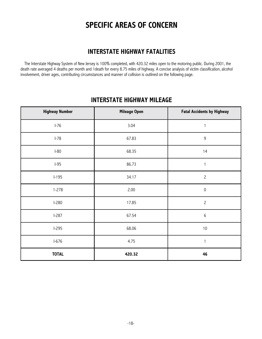## **SPECIFIC AREAS OF CONCERN**

### **INTERSTATE HIGHWAY FATALITIES**

The Interstate Highway System of New Jersey is 100% completed, with 420.32 miles open to the motoring public. During 2001, the death rate averaged 4 deaths per month and 1death for every 8.75 miles of highway. A concise analysis of victim classification, alcohol involvement, driver ages, contributing circumstances and manner of collision is outlined on the following page.

#### **INTERSTATE HIGHWAY MILEAGE**

| <b>Highway Number</b> | <b>Mileage Open</b> | <b>Fatal Accidents by Highway</b> |
|-----------------------|---------------------|-----------------------------------|
| $I-76$                | 3.04                | 1                                 |
| $I-78$                | 67.83               | $\mathsf 9$                       |
| $I-80$                | 68.35               | 14                                |
| $I-95$                | 86.73               | 1                                 |
| $I-195$               | 34.17               | $\overline{c}$                    |
| $1 - 278$             | 2.00                | $\mathsf{O}\xspace$               |
| L280                  | 17.85               | $\overline{c}$                    |
| $I-287$               | 67.54               | $\,6$                             |
| $I-295$               | 68.06               | $10\,$                            |
| $I-676$               | 4.75                | $\mathbf{1}$                      |
| <b>TOTAL</b>          | 420.32              | 46                                |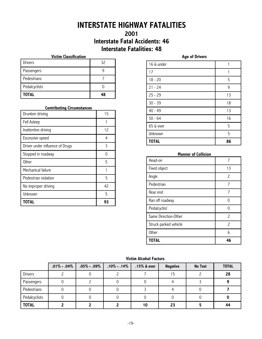## **INTERSTATE HIGHWAY FATALITIES**

### **2001 Interstate Fatal Accidents: 46 Interstate Fatalities: 48**

#### **Victim Classification**

| <b>TOTAL</b>  | 19 |
|---------------|----|
| Pedalcyclists |    |
| Pedestrians   |    |
| Passengers    |    |
| Drivers       | 32 |

#### **Contributing Circumstances**

| <b>TOTAL</b>                    | 93 |
|---------------------------------|----|
| Unknown                         | 5  |
| No improper driving             | 42 |
| Pedestrian violation            | 5  |
| Mechanical failure              |    |
| <b>Other</b>                    | 5  |
| Stopped in roadway              | ი  |
| Driver under influence of Drugs | 3  |
| Excessive speed                 | 4  |
| Inattentive driving             | 12 |
| Fell Asleep                     |    |
| Drunken driving                 | 15 |

| 16 & under   |    |
|--------------|----|
| 17           | 1  |
| $18 - 20$    | 5  |
| $21 - 24$    | 9  |
| $25 - 29$    | 13 |
| $30 - 39$    | 18 |
| $40 - 49$    | 13 |
| $50 - 64$    | 16 |
| 65 & over    | 5  |
| Unknown      | 5  |
| <b>TOTAL</b> | 86 |

**Age of Drivers**

#### **Manner of Collision**

| Head-on               |                          |
|-----------------------|--------------------------|
| Fixed object          | 13                       |
| Angle                 | $\overline{\phantom{0}}$ |
| Pedestrian            | 7                        |
| Rear end              |                          |
| Ran off roadway       |                          |
| Pedalcyclist          |                          |
| Same Direction-Other  | $\overline{\phantom{0}}$ |
| Struck parked vehicle | $\overline{\phantom{0}}$ |
| Other                 | հ                        |
| <b>TOTAL</b>          | 46                       |

#### **Victim Alcohol Factors**

|                | $.01\% - .04\%$ | $.05\%$ - $.09\%$ | $.10\%$ - $.14\%$ | $.15\%$ & over | <b>Negative</b> | No Test | <b>TOTAL</b> |
|----------------|-----------------|-------------------|-------------------|----------------|-----------------|---------|--------------|
| <b>Drivers</b> |                 |                   |                   |                | 15              |         | 28           |
| Passengers     |                 |                   |                   |                |                 |         |              |
| Pedestrians    |                 |                   |                   |                |                 |         |              |
| Pedalcyclists  |                 |                   |                   |                |                 |         |              |
| <b>TOTAL</b>   |                 |                   |                   | 10             | 23              |         | 44           |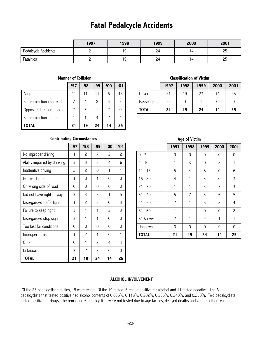## **Fatal Pedalcycle Accidents**

|                      | 1997     | 1998       | 1999 | 2000           | 2001 |
|----------------------|----------|------------|------|----------------|------|
| Pedalcycle Accidents | -<br>_   | 10         | 24   | $\overline{a}$ | 45   |
| Fatalities           | <u>.</u> | 1 Q<br>. . | 24   | д              | د ے  |

|                            | '97 | 498 | '99 | '00 | 61' |
|----------------------------|-----|-----|-----|-----|-----|
| Angle                      |     |     |     |     |     |
| Same direction-rear end    |     |     |     |     |     |
| Opposite direction-head on |     |     |     |     |     |

#### **Manner of Collision**

#### **Classification of Victim**

|              | 1997 | 1998 | 1999 | 2000 | 2001 |
|--------------|------|------|------|------|------|
| Drivers      | 21   | 19   | 23   | 14   | 25   |
| Passengers   |      |      |      |      |      |
| <b>TOTAL</b> | 21   | 19   | 24   | 14   | 25   |

#### **Contributing Circumstances**

Same direction - other  $\begin{array}{|c|c|c|c|c|c|c|c|c|} \hline 1 & 1 & 4 & 2 & 4 \ \hline \end{array}$ 

**TOTAL 21 19 24 14 25**

|                              | 497 | <b>'98</b> | 499            | '00 | '01 |
|------------------------------|-----|------------|----------------|-----|-----|
| No improper driving          | 1   | 2          | 7              | 2   | 2   |
| Ability impaired by drinking | 3   | 3          | 3              | 4   | 6   |
| Inattentive driving          | 2   | 2          | 0              | 1   | 1   |
| No rear lights               | 1   | 0          | 1              | 0   | 0   |
| On wrong side of road        | 0   | 0          | $\Omega$       | 0   | 0   |
| Did not have right-of-way    | 3   | 3          | 3              | 1   | 5   |
| Disregarded traffic light    | 1   | 2          | 3              | 0   | 3   |
| Failure to keep right        | 3   | 1          | 1              | 2   | 3   |
| Disregarded stop sign        | 3   | 1          | 1              | 0   | 0   |
| Too fast for conditions      | 0   | 0          | 0              | 0   | 0   |
| Improper turns               | 1   | 2          | 1              | 0   | 1   |
| <b>Other</b>                 | 0   | 1          | 2              | 4   | 4   |
| Unknown                      | 3   | 2          | $\overline{c}$ | 0   | 0   |
| <b>TOTAL</b>                 | 21  | 19         | 24             | 14  | 25  |

|              |                | <b>Age of Victim</b> |                |                |                |
|--------------|----------------|----------------------|----------------|----------------|----------------|
|              | 1997           | 1998                 | 1999           | 2000           | 2001           |
| $0 - 3$      | 0              | 0                    | 0              | 0              | 0              |
| $4 - 10$     | 1              | 3                    | 0              | $\overline{c}$ | 1              |
| $11 - 15$    | 5              | $\overline{4}$       | 8              | 0              | 6              |
| $16 - 20$    | $\overline{4}$ |                      | 3              | 0              | 3              |
| $21 - 30$    | $\mathbf{1}$   | 1                    | 3              | 3              | 3              |
| $31 - 40$    | 5              | $\overline{7}$       | 3              | 6              | 5              |
| $41 - 50$    | $\overline{c}$ | 1                    | 5              | $\overline{c}$ | $\overline{4}$ |
| $51 - 60$    | $\mathbf{1}$   | 1                    | 0              | 0              | $\overline{c}$ |
| 61 & over    | $\overline{c}$ | 1                    | $\overline{c}$ | 1              | 1              |
| Unknown      | 0              | 0                    | 0              | 0              | 0              |
| <b>TOTAL</b> | 21             | 19                   | 24             | 14             | 25             |

#### **ALCOHOL INVOLVEMENT**

Of the 25 pedalcyclist fatalities, 19 were tested. Of the 19 tested, 6 tested positive for alcohol and 11 tested negative. The 6 pedalcyclists that tested positive had alcohol contents of 0.035%, 0.118%, 0.202%, 0.235%, 0.240%, and 0.250%. Two pedalcyclists tested positive for drugs. The remaining 6 pedalcyclists were not tested due to age factors, delayed deaths and various other reasons.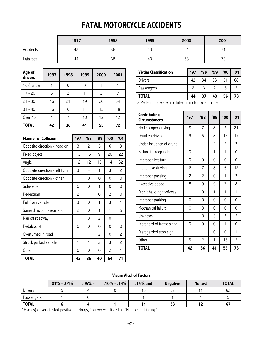## **FATAL MOTORCYCLE ACCIDENTS**

|            | 1997      | 1998 | 1999 | 2000 | 2001 |
|------------|-----------|------|------|------|------|
| Accidents  | . .<br>42 | 36   | 40   | 54   |      |
| Fatalities | 44        | 38   | 40   | 58   | ັ    |

| Age of<br>drivers | 1997 | 1998 | 1999 | 2000                     | 2001 |
|-------------------|------|------|------|--------------------------|------|
| 16 & under        |      | 0    | 0    |                          |      |
| $17 - 20$         | 5    | 2    |      | $\overline{\phantom{0}}$ |      |
| $21 - 30$         | 16   | 21   | 19   | 26                       | 34   |
| $31 - 40$         | 16   | 6    | 11   | 13                       | 18   |
| Over 40           | 4    | 7    | 10   | 13                       | 12   |
| <b>TOTAL</b>      | 42   | 36   | 41   | 55                       | 72   |

| <b>TOTAL</b>                   | 42 | 36 |     | 41           | 55             |                | 72             |
|--------------------------------|----|----|-----|--------------|----------------|----------------|----------------|
| <b>Manner of Collision</b>     |    |    | 497 | 498          | <b>'99</b>     | '00            | '01            |
| Opposite direction - head on   |    |    | 3   | 2            | 5              | 6              | 3              |
| Fixed object                   |    |    | 13  | 15           | 9              | 20             | 22             |
| Angle                          |    |    | 12  | 12           | 16             | 14             | 32             |
| Opposite direction - left turn |    |    | 3   | 4            | 1              | 3              | $\overline{c}$ |
| Opposite direction - other     |    |    | 1   | 0            | 0              | 0              | 0              |
| Sideswipe                      |    |    | 0   | 0            | 1              | $\Omega$       | 0              |
| Pedestrian                     |    |    | 2   | $\mathbf{1}$ | 0              | $\overline{c}$ | 0              |
| Fell from vehicle              |    |    | 3   | 0            | 1              | 3              | 1              |
| Same direction - rear end      |    |    | 2   | 0            | 1              | 1              | 5              |
| Ran off roadway                |    |    | 1   | 0            | $\overline{c}$ | $\Omega$       | $\mathbf{1}$   |
| Pedalcyclist                   |    |    | 0   | 0            | 0              | $\Omega$       | 0              |
| Overturned in road             |    |    | 1   | 1            | $\overline{c}$ | 0              | 2              |
| Struck parked vehicle          |    |    | 1   | 1            | $\overline{c}$ | 3              | 2              |
| Other                          |    |    | 0   | 0            | 0              | $\overline{c}$ | $\mathbf{1}$   |
| TOTAL                          |    |    | 42  | 36           | 40             | 54             | 71             |

| <b>Victim Classification</b> | '97 | '98 | '99 | '00 | '01 |
|------------------------------|-----|-----|-----|-----|-----|
| <b>Drivers</b>               | 42  | 34  | 38  | 51  | 68  |
| Passengers                   |     | 3   |     | 5   |     |
| <b>TOTAL</b>                 | 44  | 37  | 40  | 56  | 73  |

2 Pedestrians were also killed in motorcycle accidents.

| Contributing<br><b>Circumstances</b> | 497 | <b>'98</b>               | 499                      | '00                      | '01            |
|--------------------------------------|-----|--------------------------|--------------------------|--------------------------|----------------|
| No improper driving                  | 8   | 7                        | 8                        | 3                        | 21             |
| Drunken driving                      | 9   | 6                        | 8                        | 15                       | 17             |
| Under influence of drugs             | 1   | 1                        | $\overline{\phantom{0}}$ | $\overline{\phantom{0}}$ | 3              |
| Failure to keep right                | 0   | 1                        | 1                        | 1                        | $\Omega$       |
| Improper left turn                   | 0   | 0                        | 0                        | 0                        | 0              |
| Inattentive driving                  | 6   | 7                        | 8                        | 6                        | 12             |
| Improper passing                     | 2   | $\overline{\phantom{0}}$ | 0                        | 1                        | 3              |
| Excessive speed                      | 8   | 9                        | 9                        | 7                        | 8              |
| Didn't have right-of-way             | 1   | $\Omega$                 | 1                        | $\mathbf{1}$             | 1              |
| Improper parking                     | 0   | 0                        | 0                        | $\Omega$                 | 0              |
| Mechanical failure                   | 0   | 0                        | 0                        | $\Omega$                 | 0              |
| Unknown                              | 1   | 0                        | 3                        | 3                        | $\overline{c}$ |
| Disregard of traffic signal          | 0   | 0                        | $\Omega$                 | $\mathbf{1}$             | $\Omega$       |
| Disregarded stop sign                | 1   | $\mathbf{1}$             | 0                        | 0                        | 1              |
| <b>Other</b>                         | 5   | 2                        | 1                        | 15                       | 5              |
| <b>TOTAL</b>                         | 42  | 36                       | 41                       | 55                       | 73             |

#### **Victim Alcohol Factors**

|                | $.01\% - .04\%$ | $.05\%$ - | $.10\% - .14\%$ | $.15%$ and | <b>Negative</b> | No test | <b>TOTAL</b> |
|----------------|-----------------|-----------|-----------------|------------|-----------------|---------|--------------|
| <b>Drivers</b> |                 |           |                 |            | າ າ             |         | 62           |
| Passengers     |                 |           |                 |            |                 |         |              |
| <b>TOTAL</b>   |                 |           |                 |            | 33              |         | 67           |

\*Five (5) drivers tested positive for drugs, 1 driver was listed as "Had been drinking".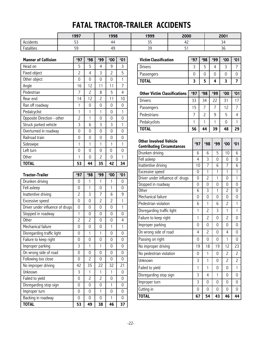## **FATAL TRACTOR-TRAILER ACCIDENTS**

|            | 1997                            | 1998      | 1999                   | 2000 | 2001          |
|------------|---------------------------------|-----------|------------------------|------|---------------|
| Accidents  | $\sim$ $\sim$<br>ь<br><u>JJ</u> | 44        | $\sim$ $-$<br><u>-</u> | 42   | ັ             |
| -atalities | πo<br><u>-</u>                  | ΔΟ<br>. . | $\mathcal{D}$          | ັ    | $\sim$<br>-30 |

| <b>Manner of Collision</b>      | 497                     | <b>'98</b>     | '99            | '00            | '01            |
|---------------------------------|-------------------------|----------------|----------------|----------------|----------------|
| Head on                         | 5                       | 5              | 4              | 9              | 3              |
| Fixed object                    | $\overline{c}$          | 4              | 3              | $\overline{c}$ | 5              |
| Other object                    | $\overline{0}$          | 0              | 0              | 0              | $\mathbf{1}$   |
| Angle                           | 16                      | 12             | 11             | 11             | $\overline{7}$ |
| Pedestrian                      | 7                       | 2              | 8              | 5              | $\overline{4}$ |
| Rear end                        | 14                      | 12             | $\overline{c}$ | 11             | 10             |
| Ran off roadway                 | 1                       | 0              | 0              | 0              | 0              |
| Pedalcyclist                    | $\mathbf{1}$            | 1              | 1              | 0              | 1              |
| Opposite Direction - other      | $\overline{c}$          | 1              | 0              | 0              | 0              |
| Struck parked vehicle           | 3                       | 6              | 3              | 3              | $\mathbf{1}$   |
| Overturned in roadway           | 0                       | 0              | 0              | 0              | 0              |
| Railroad train                  | 0                       | 0              | 0              | 0              | 0              |
| Sideswipe                       | 1                       | 1              | 1              | 1              | $\mathbf{1}$   |
| Left turn                       | 0                       | 0              | 0              | $\mathbf 0$    | 0              |
| Other                           | 1                       | 0              | 2              | 0              | 1              |
| <b>TOTAL</b>                    | 53                      | 44             | 35             | 42             | 34             |
|                                 |                         |                |                |                |                |
| <b>Tractor-Trailer</b>          | '97                     | <b>'98</b>     | '99            | '00            | '01            |
| Drunken driving                 | 0                       | 1              | 1              | $\mathbf{1}$   | $\mathbf 0$    |
| Fell asleep                     | 0                       | 1              | 0              | $\mathbf{1}$   | 0              |
| Inattentive driving             | $\overline{c}$          | 3              | $\overline{7}$ | 6              | 9              |
| Excessive speed                 | 0                       | 0              | $\overline{c}$ | $\overline{c}$ | $\mathbf{1}$   |
| Driver under influence of drugs | 0                       | 0              | 0              | 0              | $\mathbf{1}$   |
| Stopped in roadway              | 1                       | 0              | 0              | 0              | 0              |
| Other                           |                         |                |                |                |                |
|                                 | $\overline{c}$          | $\overline{c}$ | 0              | $\Omega$       | 4              |
| Mechanical failure              | 0                       | 0              | 0              | 1              | 1              |
| Disregarding traffic light      | 0                       | 1              | $\mathbf{1}$   | 0              | $\overline{0}$ |
| Failure to keep right           | 0                       | 0              | 0              | 0              | 0              |
| Improper parking                | $\overline{\mathbf{3}}$ | $\mathbf{1}$   | $\mathbf{1}$   | 0              | $\mathbf 0$    |
| On wrong side of road           | 0                       | 0              | 0              | 0              | 0              |
| Following too close             | 0                       | 2              | 0              | 0              | 0              |
| No improper driving             | 42                      | 35             | 22             | 32             | 21             |
| Unknown                         | 3                       | $\mathbf 1$    | $\mathbf{1}$   | $\mathbf{1}$   | 0              |
| Failed to yield                 | 0                       | $\overline{c}$ | $\overline{c}$ | 0              | 0              |
| Disregarding stop sign          | 0                       | 0              | 0              | $\mathbf{1}$   | 0              |
| Improper turn                   | 0                       | 0              | $\mathbf{1}$   | 0              | 0              |

**TOTAL 53 49 38 46 37**

| <b>Victim Classification</b> | '97 | 498 | '99 | `00 |  |
|------------------------------|-----|-----|-----|-----|--|
| <b>Drivers</b>               |     |     |     |     |  |
| Passengers                   |     |     |     |     |  |
| TOTAL                        |     |     |     |     |  |

| <b>Other Victim Classifications</b> | '97 | 498           | '99 | `00 | '01 |
|-------------------------------------|-----|---------------|-----|-----|-----|
| Drivers                             | 33  | 34            | 22  | 31  | 17  |
| Passengers                          | 15  |               |     | 12  |     |
| Pedestrians                         |     | $\mathcal{P}$ | 9   | 5   |     |
| Pedalcyclists                       |     |               |     | 0   |     |
| <b>TOTAL</b>                        | 56  | 44            | 39  | 48  | 29  |

| <b>Other Involved Vehicle</b><br><b>Contributing Circumstances</b> | 497      | 498                      | 199          | '00            | '01            |
|--------------------------------------------------------------------|----------|--------------------------|--------------|----------------|----------------|
| Drunken driving                                                    | 6        | 6                        | 5            | 10             | 6              |
| Fell asleep                                                        | 4        | 3                        | 0            | $\Omega$       | 0              |
| Inattentive driving                                                | 10       | $\overline{7}$           | 6            | 7              | 6              |
| Excessive speed                                                    | 0        | 1                        | $\mathbf{1}$ | $\mathbf{1}$   | $\mathbf{1}$   |
| Driver under influence of drugs                                    | 0        | $\overline{c}$           | $\mathbf{1}$ | $\mathbf 0$    | $\mathbf{1}$   |
| Stopped in roadway                                                 | 0        | $\Omega$                 | $\Omega$     | $\Omega$       | $\Omega$       |
| Other                                                              | 6        | 3                        | 1            | $\overline{c}$ | $\Omega$       |
| Mechanical failure                                                 | 0        | $\Omega$                 | 0            | $\Omega$       | 0              |
| Pedestrian violation                                               | 6        | 1                        | 6            | 2              | 1              |
| Disregarding traffic light                                         | 1        | $\overline{c}$           | 3            | $\mathbf{1}$   | 1              |
| Failure to keep right                                              | 1        | $\overline{c}$           | 0            | $\overline{c}$ | 0              |
| Improper parking                                                   | 0        | $\Omega$                 | 0            | $\Omega$       | 0              |
| On wrong side of road                                              | 4        | $\overline{\phantom{0}}$ | 0            | 4              | 0              |
| Passing on right                                                   | 0        | 0                        | 0            | $\mathbf{1}$   | 0              |
| No improper driving                                                | 19       | 18                       | 19           | 12             | 23             |
| No pedestrian violation                                            | $\Omega$ | 1                        | 0            | 2              | $\overline{c}$ |
| Unknown                                                            | 3        | 1                        | $\Omega$     | $\overline{c}$ | $\overline{c}$ |
| Failed to yield                                                    | 1        | 1                        | 0            | $\mathbf 0$    | 1              |
| Disregarding stop sign                                             | 3        | 4                        | 1            | $\Omega$       | 0              |
| Improper turn                                                      | 3        | 0                        | 0            | $\Omega$       | 0              |
| Cutting in                                                         | 0        | $\Omega$                 | $\Omega$     | $\Omega$       | $\Omega$       |
| <b>TOTAL</b>                                                       | 67       | 54                       | 43           | 46             | 44             |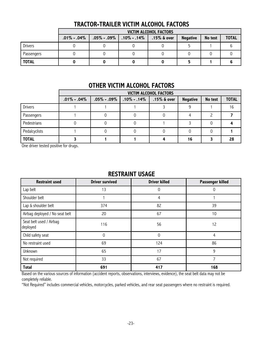|                |                | <b>VICTIM ALCOHOL FACTORS</b>            |  |                |                 |         |              |  |  |  |
|----------------|----------------|------------------------------------------|--|----------------|-----------------|---------|--------------|--|--|--|
|                | $.01\%$ - .04% | $.05\%$ - .09 $\%$   .10 $\%$ - .14 $\%$ |  | $.15\%$ & over | <b>Negative</b> | No test | <b>TOTAL</b> |  |  |  |
| <b>Drivers</b> |                |                                          |  |                |                 |         |              |  |  |  |
| Passengers     |                |                                          |  |                |                 |         |              |  |  |  |
| <b>TOTAL</b>   |                |                                          |  |                |                 |         |              |  |  |  |

### **TRACTOR-TRAILER VICTIM ALCOHOL FACTORS**

### **OTHER VICTIM ALCOHOL FACTORS**

|                | <b>VICTIM ALCOHOL FACTORS</b> |                   |                 |                |                 |         |              |  |  |
|----------------|-------------------------------|-------------------|-----------------|----------------|-----------------|---------|--------------|--|--|
|                | $.01\% - .04\%$               | $.05\%$ - $.09\%$ | $.10\% - .14\%$ | $.15\%$ & over | <b>Negative</b> | No test | <b>TOTAL</b> |  |  |
| <b>Drivers</b> |                               |                   |                 |                |                 |         | 16           |  |  |
| Passengers     |                               |                   |                 |                |                 |         |              |  |  |
| Pedestrians    |                               |                   |                 |                |                 |         |              |  |  |
| Pedalcyclists  |                               |                   |                 |                |                 |         |              |  |  |
| <b>TOTAL</b>   |                               |                   |                 |                | 16              |         | 28           |  |  |

One driver tested positive for drugs.

#### **RESTRAINT USAGE**

| <b>Driver survived</b><br><b>Restraint used</b> |             | <b>Driver killed</b> | Passenger killed |
|-------------------------------------------------|-------------|----------------------|------------------|
| Lap belt                                        | 13          | 0                    | 0                |
| Shoulder belt                                   |             | 4                    |                  |
| Lap & shoulder belt                             | 374         | 82                   | 39               |
| Airbag deployed / No seat belt                  | 20          | 67                   | 10               |
| Seat belt used / Airbag<br>deployed             | 116         | 56                   | 12               |
| Child safety seat                               | $\mathbf 0$ | $\Omega$             | 4                |
| No restraint used                               | 69          | 124                  | 86               |
| Unknown                                         | 65          | 17                   | 9                |
| Not required                                    | 33          | 67                   | 7                |
| <b>Total</b>                                    | 691         | 417                  | 168              |

Based on the various sources of information (accident reports, observations, interviews, evidence), the seat belt data may not be completely reliable.

ìNot Requiredî includes commercial vehicles, motorcycles, parked vehicles, and rear seat passengers where no restraint is required.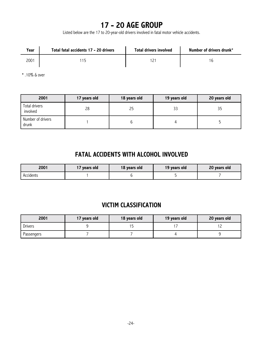## **17 - 20 AGE GROUP**

Listed below are the 17 to 20-year-old drivers involved in fatal motor vehicle accidents.

| Year | Total fatal accidents 17 - 20 drivers | <b>Total drivers involved</b> | Number of drivers drunk* |
|------|---------------------------------------|-------------------------------|--------------------------|
| 2001 |                                       |                               |                          |

\* .10% & over

| 2001                       | 17 years old<br>18 years old |    | 19 years old | 20 years old |
|----------------------------|------------------------------|----|--------------|--------------|
| Total drivers<br>involved  | 28                           | 25 | 33           | 35           |
| Number of drivers<br>drunk |                              |    |              |              |

### **FATAL ACCIDENTS WITH ALCOHOL INVOLVED**

| 2001      | 17 years old | 18 years old | 19 years old | 20 years old |
|-----------|--------------|--------------|--------------|--------------|
| Accidents |              |              |              |              |

### **VICTIM CLASSIFICATION**

| 2001           | 17 years old | 18 years old | 19 years old | 20 years old |
|----------------|--------------|--------------|--------------|--------------|
| <b>Drivers</b> |              |              |              |              |
| Passengers     |              |              |              |              |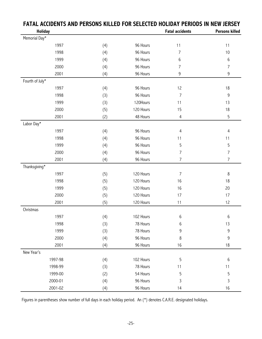| I AIAL ACCIDENTS AND LENSONS |         | INLLLLV I |           | LLLCILD IIVLIDAI I LINVDJ IN NLW JLINJLI |                       |
|------------------------------|---------|-----------|-----------|------------------------------------------|-----------------------|
| <b>Holiday</b>               |         |           |           | <b>Fatal accidents</b>                   | <b>Persons killed</b> |
| Memorial Day*                |         |           |           |                                          |                       |
|                              | 1997    | (4)       | 96 Hours  | 11                                       | 11                    |
|                              | 1998    | (4)       | 96 Hours  | 7                                        | 10                    |
|                              | 1999    | (4)       | 96 Hours  | 6                                        | 6                     |
|                              | 2000    | (4)       | 96 Hours  | 7                                        | $\overline{7}$        |
|                              | 2001    | (4)       | 96 Hours  | 9                                        | 9                     |
| Fourth of July*              |         |           |           |                                          |                       |
|                              | 1997    | (4)       | 96 Hours  | 12                                       | 18                    |
|                              | 1998    | (3)       | 96 Hours  | 7                                        | 9                     |
|                              | 1999    | (3)       | 120Hours  | 11                                       | 13                    |
|                              | 2000    | (5)       | 120 Hours | 15                                       | 18                    |
|                              | 2001    | (2)       | 48 Hours  | 4                                        | 5                     |
| Labor Day*                   |         |           |           |                                          |                       |
|                              | 1997    | (4)       | 96 Hours  | 4                                        | 4                     |
|                              | 1998    | (4)       | 96 Hours  | 11                                       | 11                    |
|                              | 1999    | (4)       | 96 Hours  | 5                                        | 5                     |
|                              | 2000    | (4)       | 96 Hours  | $\overline{7}$                           | $\overline{7}$        |
|                              | 2001    | (4)       | 96 Hours  | $\overline{7}$                           | $\overline{7}$        |
| Thanksgiving*                |         |           |           |                                          |                       |
|                              | 1997    | (5)       | 120 Hours | $\overline{7}$                           | 8                     |
|                              | 1998    | (5)       | 120 Hours | 16                                       | 18                    |
|                              | 1999    | (5)       | 120 Hours | 16                                       | 20                    |
|                              | 2000    | (5)       | 120 Hours | 17                                       | 17                    |
|                              | 2001    | (5)       | 120 Hours | 11                                       | 12                    |
| Christmas                    |         |           |           |                                          |                       |
|                              | 1997    | (4)       | 102 Hours | 6                                        | 6                     |
|                              | 1998    | (3)       | 78 Hours  | 6                                        | 13                    |
|                              | 1999    | (3)       | 78 Hours  | 9                                        | 9                     |
|                              | 2000    | (4)       | 96 Hours  | 8                                        | 9                     |
|                              | 2001    | (4)       | 96 Hours  | 16                                       | 18                    |
| New Year's                   |         |           |           |                                          |                       |
|                              | 1997-98 | (4)       | 102 Hours | 5                                        | 6                     |
|                              | 1998-99 | (3)       | 78 Hours  | 11                                       | 11                    |
|                              | 1999-00 | (2)       | 54 Hours  | 5                                        | 5                     |
|                              | 2000-01 | (4)       | 96 Hours  | 3                                        | 3                     |
|                              | 2001-02 | (4)       | 96 Hours  | 14                                       | 16                    |

### **FATAL ACCIDENTS AND PERSONS KILLED FOR SELECTED HOLIDAY PERIODS IN NEW JERSEY**

Figures in parentheses show number of full days in each holiday period. An (\*) denotes C.A.R.E. designated holidays.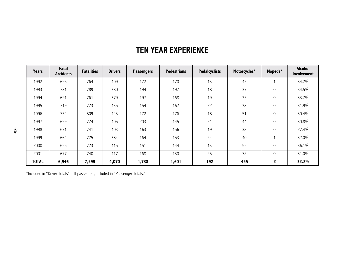| <b>Years</b> | Fatal<br><b>Accidents</b> | <b>Fatalities</b> | <b>Drivers</b> | <b>Passengers</b> | <b>Pedestrians</b> | <b>Pedalcyslists</b> | Motorcycles* | Mopeds*     | Alcohol<br><b>Involvement</b> |
|--------------|---------------------------|-------------------|----------------|-------------------|--------------------|----------------------|--------------|-------------|-------------------------------|
| 1992         | 695                       | 764               | 409            | 172               | 170                | 13                   | 45           |             | 34.2%                         |
| 1993         | 721                       | 789               | 380            | 194               | 197                | 18                   | 37           | $\mathbf 0$ | 34.5%                         |
| 1994         | 691                       | 761               | 379            | 197               | 168                | 19                   | 35           | $\mathbf 0$ | 33.7%                         |
| 1995         | 719                       | 773               | 435            | 154               | 162                | 22                   | 38           | $\mathbf 0$ | 31.9%                         |
| 1996         | 754                       | 809               | 443            | 172               | 176                | 18                   | 51           | $\mathbf 0$ | 30.4%                         |
| 1997         | 699                       | 774               | 405            | 203               | 145                | 21                   | 44           | 0           | 30.8%                         |
| 1998         | 671                       | 741               | 403            | 163               | 156                | 19                   | 38           | 0           | 27.4%                         |
| 1999         | 664                       | 725               | 384            | 164               | 153                | 24                   | 40           |             | 32.0%                         |
| 2000         | 655                       | 723               | 415            | 151               | 144                | 13                   | 55           | $\mathbf 0$ | 36.1%                         |
| 2001         | 677                       | 740               | 417            | 168               | 130                | 25                   | 72           | $\mathbf 0$ | 31.0%                         |
| <b>TOTAL</b> | 6,946                     | 7,599             | 4,070          | 1,738             | 1,601              | 192                  | 455          | 2           | 32.2%                         |

## **TEN YEAR EXPERIENCE**

 $*$ Included in "Driver Totals"—If passenger, included in "Passenger Totals."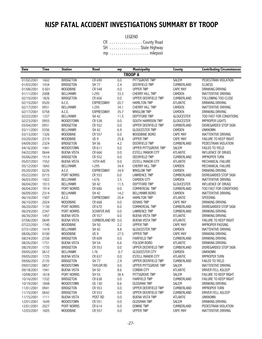## **NJSP FATAL ACCIDENT INVESTIGATIONS SUMMARY BY TROOP**

LEGEND

|  |  |  |  |  |  |  |  | CR County Road   |
|--|--|--|--|--|--|--|--|------------------|
|  |  |  |  |  |  |  |  | SH State Highway |
|  |  |  |  |  |  |  |  |                  |

| <b>Date</b> | Time | <b>Station</b>     | Road                 | mp      | <b>Municipality</b>      | County            | <b>Contributing Circumstances</b> |
|-------------|------|--------------------|----------------------|---------|--------------------------|-------------------|-----------------------------------|
|             |      |                    |                      |         | <b>TROOP A</b>           |                   |                                   |
| 01/02/2001  | 1602 | <b>BRIDGETON</b>   | CR 690               | 0.0     | PITTSGROVE TWP           | <b>SALEM</b>      | PEDESTRIAN VIOLATION              |
| 01/03/2001  | 1434 | <b>BRIDGETON</b>   | <b>SH 77</b>         | 2.4     | DEERFIELD TWP            | CUMBERLAND        | <b>ILLNESS</b>                    |
| 01/08/2001  | 0601 | <b>WOODBINE</b>    | CR 548               | 0.0     | <b>UPPER TWP</b>         | CAPE MAY          | DRINKING DRIVING                  |
| 01/11/2001  | 2008 | <b>BELLMAWR</b>    | $1-295$              | 33.3    | CHERRY HILL TWP          | CAMDEN            | <b>INATTENTIVE DRIVING</b>        |
| 02/10/2001  | 1826 | <b>BRIDGETON</b>   | CR 606               | 0.0     | UPPER DEERFIELD TWP      | CUMBERLAND        | FOLLOWING TOO CLOSE               |
| 02/15/2001  | 0520 | A.C.E.             | <b>EXPRESSWAY</b>    | 20.7    | <b>HAMILTON TWP</b>      | <b>ATLANTIC</b>   | DRINKING DRIVING                  |
| 02/17/2001  | 0931 | <b>BELLMAWR</b>    | $1-295$              | 34.1    | CHERRY HILL TWP          | CAMDEN            | INATTENTIVE DRIVING               |
| 02/17/2001  | 0758 | A.C.E.             | <b>EXPRESSWAY</b>    | 35.7    | <b>WINSLOW TWP</b>       | CAMDEN            | DRINKING DRIVING                  |
| 02/22/2001  | 1337 | <b>BELLMAWR</b>    | <b>SH 42</b>         | 11.5    | <b>DEPTFORD TWP</b>      | <b>GLOUCESTER</b> | TOO FAST FOR CONDITIONS           |
| 02/23/2001  | 0955 | WOODSTOWN          | CR 538               | 0.0     | SOUTH HARRISON TWP       | <b>GLOUCESTER</b> | <b>IMPROPER LIGHTS</b>            |
| 03/04/2001  | 0931 | <b>BRIDGETON</b>   | CR 552               | 0.0     | UPPER DEERFIELD TWP      | CUMBERLAND        | DISREGARDED STOP SIGN             |
| 03/11/2001  | 0356 | <b>BELLMAWR</b>    | SH 42                | 6.9     | <b>GLOUCESTER TWP</b>    | CAMDEN            | <b>UNKNOWN</b>                    |
| 03/13/2001  | 1326 | <b>WOODBINE</b>    | CR 557               | 0.0     | WOODBINE BORO            | CAPE MAY          | <b>INATTENTIVE DRIVING</b>        |
| 03/20/2001  | 2319 | <b>WOODBINE</b>    | US <sub>9</sub>      | 25.8    | <b>UPPER TWP</b>         | <b>CAPE MAY</b>   | FAILURE TO KEEP RIGHT             |
| 04/09/2001  | 2324 | <b>BRIDGETON</b>   | SH 56                | 4.2     | <b>DEERFIELD TWP</b>     | <b>CUMBERLAND</b> | PEDESTRIAN VIOLATION              |
| 04/16/2001  | 1441 | WOODSTOWN          | CR 611               | 0.0     | UPPER PITTSGROVE TWP     | <b>SALEM</b>      | <b>FAILED TO YIELD</b>            |
| 04/22/2001  | 0644 | <b>BUENA VISTA</b> | CR 666               | $0.0\,$ | <b>ESTELL MANOR CITY</b> | <b>ATLANTIC</b>   | <b>INFLUENCE OF DRUGS</b>         |
| 05/06/2001  | 1514 | <b>BRIDGETON</b>   | CR 552               | 0.0     | DEERFIELD TWP            | <b>CUMBERLAND</b> | <b>IMPROPER TURN</b>              |
| 05/07/2001  | 1552 | <b>BUENA VISTA</b> | 10TH AVE             | 0.0     | <b>ESTELL MANOR CITY</b> | <b>ATLANTIC</b>   | MECHANICAL FAILURE                |
| 05/12/2001  | 1843 | <b>BELLMAWR</b>    | $1-295$              | 34.4    | <b>CHERRY HILL TWP</b>   | CAMDEN            | MECHANICAL FAILURE                |
| 05/20/2001  | 0226 | A.C.E.             | <b>EXPRESSWAY</b>    | 34.9    | <b>WINSLOW TWP</b>       | CAMDEN            | DRINKING DRIVING                  |
| 05/22/2001  | 0715 | PORT NORRIS        | CR 553               | 0.0     | <b>LAWRENCE TWP</b>      | CUMBERLAND        | DISREGARDED STOP SIGN             |
| 06/03/2001  | 1422 | <b>BELLMAWR</b>    | $I-676$              | 3.5     | <b>CAMDEN CITY</b>       | CAMDEN            | INATTENTIVE DRIVING               |
| 06/04/2001  | 1013 | <b>BELLMAWR</b>    | <b>SH 42</b>         | 11.5    | <b>DEPTFORD TWP</b>      | <b>GLOUCESTER</b> | <b>INFLUENCE OF DRUGS</b>         |
| 06/04/2001  | 1914 | PORT NORRIS        | CR 680               | $0.0\,$ | COMMERCIAL TWP           | CUMBERLAND        | TOO FAST FOR CONDITIONS           |
| 06/09/2001  | 2314 | <b>BELLMAWR</b>    | <b>SH 42</b>         | 14.2    | <b>BELLMAWR BORO</b>     | CAMDEN            | <b>INATTENTIVE DRIVING</b>        |
| 06/10/2001  | 1507 | A.C.E.             | <b>EXPRESSWAY</b>    | 20.4    | <b>HAMILTON TWP</b>      | <b>ATLANTIC</b>   | SPEEDING                          |
| 06/10/2001  | 2024 | <b>WOODBINE</b>    | CR 668               | 0.0     | <b>DENNIS TWP</b>        | <b>CAPE MAY</b>   | DRINKING DRIVING                  |
| 06/20/2001  | 1130 | PORT NORRIS        | CR 670               | 0.0     | COMMERCIAL TWP           | CUMBERLAND        | DISREGARDED STOP SIGN             |
| 06/29/2001  | 2347 | PORT NORRIS        | <b>SCHAFER AVE</b>   | 0.0     | <b>LAWRENCE TWP</b>      | CUMBERLAND        | DRINKING DRIVING                  |
| 06/30/2001  | 1457 | <b>BUENA VISTA</b> | CR 557               | 0.0     | <b>BUENA VISTA TWP</b>   | <b>ATLANTIC</b>   | DRINKING DRIVING                  |
| 07/06/2001  | 0649 | <b>BUENA VISTA</b> | <b>CUMBERLAND RD</b> | 0.0     | <b>BUENA VISTA TWP</b>   | <b>ATLANTIC</b>   | FAILURE TO KEEP RIGHT             |
| 07/22/2001  | 1740 | <b>WOODBINE</b>    | SH 50                | 2.2     | <b>UPPER TWP</b>         | CAPE MAY          | <b>IMPROPER PASSING</b>           |
| 07/31/2001  | 1419 | <b>BELLMAWR</b>    | <b>SH 42</b>         | 8.8     | <b>GLOUCESTER TWP</b>    | CAMDEN            | <b>INATTENTIVE DRIVING</b>        |
| 08/06/2001  | 0100 | <b>WOODBINE</b>    | US <sub>9</sub>      | 27.5    | <b>UPPER TWP</b>         | <b>CAPE MAY</b>   | DRINKING DRIVING                  |
| 08/24/2001  | 2338 | <b>BRIDGETON</b>   | CR 609               | 0.0     | <b>FAIRFIELD TWP</b>     | CUMBERLAND        | DRINKING DRIVING                  |
| 08/26/2001  | 1731 | <b>BUENA VISTA</b> | SH 54                | 6.6     | FOLSOM BORO              | <b>ATLANTIC</b>   | DRINKING DRIVING                  |
| 08/29/2001  | 1735 | <b>BRIDGETON</b>   | CR 553               | 0.0     | UPPER DEERFIELD TWP      | CUMBERLAND        | DISREGARDED STOP SIGN             |
| 09/05/2001  | 0612 | <b>BELLMAWR</b>    | $I-76$               | 0.7     | <b>GLOUCESTER CITY</b>   | CAMDEN            | <b>UNKNOWN</b>                    |
| 09/05/2001  | 1725 | <b>BUENA VISTA</b> | CR 637               | 0.0     | <b>ESTELL MANOR CITY</b> | <b>ATLANTIC</b>   | <b>IMPROPER TURN</b>              |
| 09/06/2001  | 2135 | <b>BRIDGETON</b>   | SH 77                | 2.9     | UPPER DEERFIELD TWP      | CUMBERLAND        | <b>FAILED TO YIELD</b>            |
| 09/07/2001  | 0857 | <b>WOODSTOWN</b>   | <b>TAYLOR RD</b>     | 0.0     | UPPER PITTSGROVE TWP     | SALEM             | INATTENTIVE DRIVING               |
| 09/18/2001  | 1941 | <b>BUENA VISTA</b> | SH 50                | 8.6     | <b>CORBIN CITY</b>       | <b>ATLANTIC</b>   | DRIVER FELL ASLEEP                |
| 10/08/2001  | 1618 | PORT NORRIS        | SH 55                | 38.4    | PITTSGROVE TWP           | <b>SALEM</b>      | FAILURE TO KEEP RIGHT             |
| 10/16/2001  | 1332 | <b>BRIDGETON</b>   | CR 638               | 0.0     | <b>FAIRFIELD TWP</b>     | CUMBERLAND        | FAILURE TO KEEP RIGHT             |
| 10/19/2001  | 1848 | WOODSTOWN          | <b>US 130</b>        | 8.6     | <b>OLDSMAN TWP</b>       | SALEM             | DRINKING DRIVING                  |
| 11/01/2001  | 0941 | <b>BRIDGETON</b>   | CR 553               | 0.0     | UPPER DEERFIELD TWP      | CUMBERLAND        | <b>IMPROPER TURN</b>              |
| 11/15/2001  | 0642 | <b>BRIDGETON</b>   | CR 553               | 0.0     | UPPER DEERFIELD TWP      | <b>CUMBERLAND</b> | DRIVER FELL ASLEEP                |
| 11/15/2001  | 1111 | <b>BUENA VISTA</b> | POST RD              | 0.0     | <b>BUENA VISTA TWP</b>   | ATLANTIC          | <b>UNKNOWN</b>                    |
| 12/01/2001  | 1649 | WOODSTOWN          | CR 551               | 0.0     | <b>OLDSMAN TWP</b>       | SALEM             | DRINKING DRIVING                  |
| 12/01/2001  | 2027 | PORT NORRIS        | CR 614               | 0.0     | <b>DOWNE TWP</b>         | CUMBERLAND        | PEDESTRIAN VIOLATION              |
| 12/03/2001  | 1605 | WOODBINE           | CR 557               | 0.0     | <b>UPPER TWP</b>         | CAPE MAY          | INATTENTIVE DRIVING               |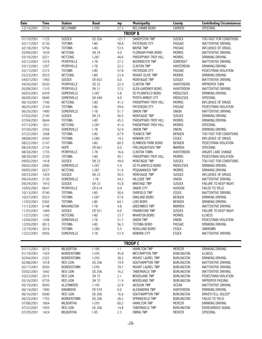| Date                     | <b>Time</b>  | <b>Station</b>           | Road             | mp           | <b>Municipality</b>                     | County                        | <b>Contributing Circumstances</b>          |
|--------------------------|--------------|--------------------------|------------------|--------------|-----------------------------------------|-------------------------------|--------------------------------------------|
| 12/14/2001               | 2316         | <b>BELLMAWR</b>          | $1-295$          | 27.3         | <b>BELLMAWR BORO</b>                    | CAMDEN                        | <b>SPEEDING</b>                            |
|                          |              |                          |                  |              | <b>TROOP B</b>                          |                               |                                            |
| 01/19/2001               | 1125         | <b>SUSSEX</b>            | <b>US 206</b>    | 121.7        | <b>SANDYSTON TWP</b>                    | <b>SUSSEX</b>                 | TOO FAST FOR CONDITIONS                    |
| 02/17/2001               | 0130         | <b>TOTOWA</b>            | $I-80$           | 58.8         | PATERSON CITY                           | <b>PASSAIC</b>                | INATTENTIVE DRIVING                        |
| 02/18/2001               | 0756         | <b>TOTOWA</b>            | $ -80$           | 53.5         | <b>WAYNE TWP</b>                        | PASSAIC                       | INFLUENCE OF DRUGS                         |
| 03/09/2001               | 1639         | NETCONG                  | <b>SH 24</b>     | $4.0\,$      | FLORHAM PARK BORO                       | <b>MORRIS</b>                 | <b>INATTENTIVE DRIVING</b>                 |
| 03/10/2001               | 0221         | NETCONG                  | $1-287$          | 40.6         | PARSIPPANY-TROY HILL                    | <b>MORRIS</b>                 | DRINKING DRIVING                           |
| 03/12/2001               | 1019         | PERRYVILLE               | $I-78$           | 27.2         | <b>BEDMINSTER TWP</b>                   | SOMERSET                      | INATTENTIVE DRIVING                        |
| 03/13/2001               | 1207         | PERRYVILLE               | $I-78$           | 22.2         | <b>CLINTON TWP</b>                      | HUNTERDON                     | DRINKING DRIVING                           |
| 03/17/2001               | 2315         | <b>TOTOWA</b>            | $I-80$           | 57.8         | PATERSON CITY                           | <b>PASSAIC</b>                | PEDESTRIAN VIOLATION                       |
| 03/23/2001               | 0525         | NETCONG                  | $I-80$           | 23.4         | MOUNT OLIVE TWP                         | <b>MORRIS</b>                 | DRINKING DRIVING                           |
| 04/07/2001               | 1450         | <b>SUSSEX</b>            | CR 653           | 0.0          | MONTAGUE TWP                            | <b>SUSSEX</b>                 | INATTENTIVE DRIVING                        |
| 04/20/2001               | 0530         | PERRYVILLE               | <b>US 22</b>     | 22.4         | <b>CLINTON TWP</b>                      | <b>HUNTERDON</b>              | <b>IMPROPER TURN</b>                       |
| 05/08/2001               | 1310         | PERRYVILLE               | SH 31            | 37.2         | <b>GLEN GARDNER BORO</b>                | HUNTERDON                     | <b>INATTENTIVE DRIVING</b>                 |
| 06/03/2001               | 0439         | SOMERVILLE               | $1-287$          | 5.8          | SO PLAINFIELD BORO                      | MIDDLESEX                     | DRINKING DRIVING                           |
| 06/09/2001               | 0840         | SOMERVILLE               | SH 440           | 4.0          | PERTH AMBOY CITY                        | MIDDLESEX<br><b>MORRIS</b>    | SPEEDING                                   |
| 06/10/2001<br>06/25/2001 | 1706<br>2144 | NETCONG<br><b>TOTOWA</b> | $I-80$<br>$I-80$ | 41.2<br>59.6 | PARSIPPANY-TROY HILL<br>PATERSON CITY   | PASSAIC                       | INFLUENCE OF DRUGS<br>PEDESTRIAN VIOLATION |
| 06/26/2001               | 1400         | SOMERVILLE               | $I-78$           | 51.7         | <b>UNION TWP</b>                        | <b>UNION</b>                  | <b>INATTENTIVE DRIVING</b>                 |
| 07/02/2001               | 2145         | <b>SUSSEX</b>            | <b>SH 23</b>     | 50.5         | MONTAGUE TWP                            | <b>SUSSEX</b>                 | DRINKING DRIVING                           |
| 07/04/2001               | 0644         | <b>TOTOWA</b>            | $I-80$           | 45.3         | PARSIPPANY-TROY HILL                    | <b>MORRIS</b>                 | DRINKING DRIVING                           |
| 07/13/2001               | 1031         | NETCONG                  | $1-287$          | 41.4         | PARSIPPANY-TROY HILL                    | <b>MORRIS</b>                 | SPEEDING                                   |
| 07/20/2001               | 2356         | SOMERVILLE               | $I-78$           | 52.4         | <b>UNION TWP</b>                        | <b>UNION</b>                  | DRINKING DRIVING                           |
| 07/22/2001               | 1608         | <b>TOTOWA</b>            | $ -80$           | 67.9         | <b>TEANECK TWP</b>                      | <b>BERGEN</b>                 | TOO FAST FOR CONDITIONS                    |
| 08/08/2001               | 0350         | <b>TOTOWA</b>            | $1 - 280$        | 14.3         | NEWARK CITY                             | <b>ESSEX</b>                  | INFLUENCE OF DRUGS                         |
| 08/22/2001               | 2147         | <b>TOTOWA</b>            | $I-80$           | 60.5         | ELMWOOD PARK BORO                       | <b>BERGEN</b>                 | PEDESTRIAN VIOLATION                       |
| 08/24/2001               | 2154         | HOPE                     | CR 661           | $0.0\,$      | FRELINGHUYSEN TWP                       | WARREN                        | SPEEDING                                   |
| 08/30/2001               | 1735         | PERRYVILLE               | $I-78$           | 16.6         | <b>CLINTON TOWN</b>                     | <b>HUNTERDON</b>              | UNSAFE LANE CHANGE                         |
| 08/30/2001               | 2330         | <b>TOTOWA</b>            | $1-80$           | 45.1         | PARSIPPANY-TROY HILL                    | <b>MORRIS</b>                 | PEDESTRIAN VIOLATION                       |
| 09/02/2001               | 1418         | <b>SUSSEX</b>            | <b>SH 23</b>     | 49.0         | MONTAGUE TWP                            | <b>SUSSEX</b>                 | TOO FAST FOR CONDITIONS                    |
| 09/02/2001               | 2000         | SOMERVILLE               | $1 - 287$        | 5.4          | SO PLAINFIELD BORO                      | MIDDLESEX                     | DRINKING DRIVING                           |
| 09/05/2001               | 0227         | NETCONG                  | $1-287$          | 51.6         | PEQUANNOCK TWP                          | <b>MORRIS</b>                 | DRINKING DRIVING                           |
| 09/23/2001               | 1429         | <b>SUSSEX</b>            | <b>SH 23</b>     | 50.5         | MONTAGUE TWP                            | <b>SUSSEX</b>                 | INFLUENCE OF DRUGS                         |
| 09/24/2001               | 2120         | SOMERVILLE               | $I-78$           | 54.2         | <b>HILLSIDE TWP</b>                     | <b>UNION</b>                  | INATTENTIVE DRIVING                        |
| 09/29/2001               | 1910         | <b>SUSSEX</b>            | <b>SH 23</b>     | 43.8         | <b>WANTAGE TWP</b>                      | <b>SUSSEX</b>                 | FAILURE TO KEEP RIGHT                      |
| 10/05/2001               | 0647         | PERRYVILLE               | CR 614           | $0.0\,$      | UNION CITY                              | <b>HUDSON</b>                 | FAILED TO YIELD                            |
| 10/13/2001               | 0740         | <b>TOTOWA</b>            | $I-80$           | 50.6         | <b>FAIRFIELD TWP</b>                    | <b>ESSEX</b>                  | <b>INATTENTIVE DRIVING</b>                 |
| 10/27/2001               | 0523         | <b>TOTOWA</b>            | $1-287$          | 57.6         | OAKLAND BORO                            | <b>BERGEN</b>                 | DRINKING DRIVING                           |
| 11/03/2001               | 0302         | <b>TOTOWA</b>            | $I-80$           | 64.1         | LODI BORO                               | <b>BERGEN</b>                 | DRINKING DRIVING                           |
| 11/13/2001               | 0148         | WASHINGTON               | $I-78$           | 4.8          | <b>GREENWICH TWP</b>                    | WARREN                        | <b>INATTENTIVE DRIVING</b>                 |
| 11/25/2001 1449          |              | SUSSEX<br><b>NETCONG</b> | CR 521           | 0.0          | FRANKFORD TWP                           | <b>SUSSEX</b>                 | FAILURE TO KEEP RIGHT                      |
| 11/27/2001               | 1342<br>1248 | SOMERVILLE               | $ -80$<br>$I-78$ | 33.7<br>51.7 | <b>WHARTON BORO</b><br><b>UNION TWP</b> | <b>MORRIS</b><br><b>UNION</b> | <b>ILLNESS</b><br>PEDESTRIAN VIOLATION     |
| 12/04/2001<br>12/05/2001 | 0013         | <b>TOTOWA</b>            | $ -80$           | 56.3         | TOTOWA BORO                             | <b>PASSAIC</b>                | DRINKING DRIVING                           |
| 12/19/2001               | 2016         | <b>TOTOWA</b>            | $1 - 280$        | 5.5          | ROSELAND BORO                           | <b>ESSEX</b>                  | <b>UNKNOWN</b>                             |
| 12/22/2001               | 0926         | SOMERVILLE               | $I-78$           | 57.4         | NEWARK CITY                             | <b>ESSEX</b>                  | INATTENTIVE DRIVING                        |
|                          |              |                          |                  |              |                                         |                               |                                            |
|                          |              |                          |                  |              | <b>TROOP C</b>                          |                               |                                            |
| 01/11/2001               | 0215         | <b>WILBURTHA</b>         | $1 - 195$        | 1.1          | <b>HAMILTON TWP</b>                     | <b>MERCER</b>                 | DRINKING DRIVING                           |
| 01/19/2001               | 1429         | <b>BORDENTOWN</b>        | $1-295$          | 45.8         | <b>WESTAMPTON TWP</b>                   | <b>BURLINGTON</b>             | <b>ILLNESS</b>                             |
| 02/04/2001               | 2322         | <b>BORDENTOWN</b>        | $1-295$          | 38.3         | <b>MOUNT LAUREL TWP</b>                 | <b>BURLINGTON</b>             | DRINKING DRIVING                           |
| 02/08/2001               | 1018         | <b>RED LION</b>          | <b>US 206</b>    | 19.9         | SOUTHAMPTON TWP                         | <b>BURLINGTON</b>             | INATTENTIVE DRIVING                        |
| 02/17/2001               | 0920         | <b>BORDENTOWN</b>        | $1-295$          | 39.7         | MOUNT LAUREL TWP                        | <b>BURLINGTON</b>             | INATTENTIVE DRIVING                        |
| 03/02/2001               | 1642         | <b>RED LION</b>          | <b>US 206</b>    | 16.2         | <b>TABERNACLE TWP</b>                   | <b>BURLINGTON</b>             | INATTENTIVE DRIVING                        |
| 03/23/2001               | 2015         | <b>RED LION</b>          | SH 72            | 2.1          | WOODLAND TWP                            | <b>BURLINGTON</b>             | PEDESTRIAN VIOLATION                       |
| 05/16/2001               | 0739         | <b>RED LION</b>          | SH 72            | 11.4         | WOODLAND TWP                            | <b>BURLINGTON</b>             | <b>IMPROPER PASSING</b>                    |
| 05/19/2001               | 0045         | <b>ALLENWOOD</b>         | $1-195$          | 22.9         | <b>JACKSON TWP</b>                      | <b>OCEAN</b>                  | <b>INATTENTIVE DRIVING</b>                 |
| 06/14/2001               | 1900         | <b>KINGWOOD</b>          | CR 579           | 0.0          | ALEXANDRIA TWP                          | <b>HUNTERDON</b>              | DRINKING DRIVING                           |
| 06/16/2001               | 0500         | <b>RED LION</b>          | <b>US 206</b>    | 16.6         | SOUTHAMPTON TWP                         | <b>BURLINGTON</b>             | DRIVER FELL ASLEEP                         |
| 06/25/2001               | 1755         | <b>BORDENTOWN</b>        | <b>US 206</b>    | 28.2         | SPRINGFIELD TWP                         | <b>BURLINGTON</b>             | FAILED TO YIELD                            |
| 07/08/2001               | 1804         | <b>WILBURTHA</b>         | $1-295$          | 60.2         | <b>HAMILTON TWP</b>                     | MERCER                        | DRINKING DRIVING                           |
| 07/22/2001               | 1655         | <b>RED LION</b>          | <b>US 206</b>    | 14.8         | <b>TABERNACLE TWP</b>                   | <b>BURLINGTON</b>             | DISREGARDED SIGNAL                         |
| 07/29/2001               | 1424         | WILBURTHA                | $I-95$           | 2.3          | <b>EWING TWP</b>                        | <b>MERCER</b>                 | SPEEDING                                   |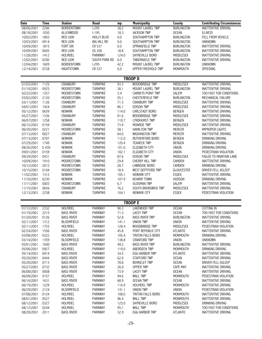| <b>Date</b> | <b>Time</b> | <b>Station</b>    | Road               | mp      | <b>Municipality</b>    | County            | <b>Contributing Circumstances</b> |
|-------------|-------------|-------------------|--------------------|---------|------------------------|-------------------|-----------------------------------|
| 08/06/2001  | 2206        | <b>BORDENTOWN</b> | $1-295$            | 38.2    | MOUNT LAUREL TWP       | <b>BURLINGTON</b> | <b>INATTENTIVE DRIVING</b>        |
| 08/18/2001  | 1030        | ALLENWOOD         | $I-195$            | 18.3    | <b>JACKSON TWP</b>     | <b>OCEAN</b>      | <b>ILLNESS</b>                    |
| 10/02/2001  | 1803        | <b>RED LION</b>   | <b>HOLLY BLVD</b>  | $0.0\,$ | SOUTHAMPTON TWP        | <b>BURLINGTON</b> | FELL FROM VEHICLE                 |
| 10/03/2001  | 0914        | <b>RED LION</b>   | <b>BIG HILL RD</b> | $0.0\,$ | SOUTHAMPTON TWP        | <b>BURLINGTON</b> | <b>UNKNOWN</b>                    |
| 10/09/2001  | 1815        | FORT DIX          | CR 537             | $0.0\,$ | SPRINGFIELD TWP        | <b>BURLINGTON</b> | <b>INATTENTIVE DRIVING</b>        |
|             |             |                   |                    |         |                        |                   |                                   |
| 10/09/2001  | 0605        | <b>RED LION</b>   | <b>US 206</b>      | 18.8    | SOUTHAMPTON TWP        | <b>BURLINGTON</b> | <b>INATTENTIVE DRIVING</b>        |
| 11/28/2001  | 1412        | HOLMDEL           | PARKWAY            | 124.0   | SAYREVILLE BORO        | MIDDLESEX         | INATTENTIVE DRIVING               |
| 12/02/2001  | 0200        | <b>RED LION</b>   | SOUTH PARK RD      | $0.0\,$ | <b>TABERNACLE TWP</b>  | <b>BURLINGTON</b> | <b>INATTENTIVE DRIVING</b>        |
| 12/04/2001  | 1609        | <b>BORDENTOWN</b> | $1-295$            | 42.2    | MOUNT LAUREL TWP       | <b>BURLINGTON</b> | <b>UNKNOWN</b>                    |
| 12/14/2001  | 0728        | <b>HIGHTSTOWN</b> | CR 537             | 0.0     | UPPER FREEHOLD TWP     | MONMOUTH          | SPEEDING                          |
|             |             |                   |                    |         |                        |                   |                                   |
|             |             |                   |                    |         | <b>TROOP D</b>         |                   |                                   |
|             |             |                   |                    |         |                        |                   |                                   |
| 01/03/2001  | 1125        | <b>CRANBURY</b>   | <b>TURNPIKE</b>    | 93.3    | <b>WOODBRIDGE TWP</b>  | <b>MIDDLESEX</b>  | <b>INATTENTIVE DRIVING</b>        |
| 01/10/2001  | 0925        | <b>MOORESTOWN</b> | <b>TURNPIKE</b>    | 38.1    | MOUNT LAUREL TWP       | <b>BURLINGTON</b> | <b>INATTENTIVE DRIVING</b>        |
| 02/22/2001  | 1357        | MOORESTOWN        | <b>TURNPIKE</b>    | 3.4     | CARNEYS POINT TWP      | SALEM             | TOO FAST FOR CONDITIONS           |
| 03/02/2001  | 2120        | <b>MOORESTOWN</b> | <b>TURNPIKE</b>    | 55.1    | CHESTERFIELD TWP       | <b>BURLINGTON</b> | MECHANICAL FAILURE                |
| 03/11/2001  | 1126        | CRANBURY          | <b>TURNPIKE</b>    | 71.3    | <b>CRANBURY TWP</b>    | MIDDLESEX         | <b>INATTENTIVE DRIVING</b>        |
|             |             |                   |                    |         |                        |                   |                                   |
| 04/01/2001  | 1424        | CRANBURY          | <b>TURNPIKE</b>    | 86.1    | <b>EDISON TWP</b>      | MIDDLESEX         | <b>INATTENTIVE DRIVING</b>        |
| 05/12/2001  | 0639        | <b>NEWARK</b>     | <b>TURNPIKE</b>    | 114.0   | CARLSTADT BORO         | <b>BERGEN</b>     | <b>INATTENTIVE DRIVING</b>        |
| 05/27/2001  | 1336        | <b>CRANBURY</b>   | <b>TURNPIKE</b>    | 91.6    | WOODBRIDGE TWP         | MIDDLESEX         | INATTENTIVE DRIVING               |
| 06/07/2001  | 1258        | <b>NEWARK</b>     | <b>TURNPIKE</b>    | 110.7   | <b>LYNDHURST TWP</b>   | <b>BERGEN</b>     | <b>INATTENTIVE DRIVING</b>        |
| 06/12/2001  | 0159        | <b>CRANBURY</b>   | <b>TURNPIKE</b>    | 73.9    | MONROE TWP             | MIDDLESEX         | <b>INATTENTIVE DRIVING</b>        |
| 06/20/2001  | 0221        | MOORESTOWN        | <b>TURNPIKE</b>    | 58.1    | <b>HAMILTON TWP</b>    | MERCER            | <b>IMPROPER LIGHTS</b>            |
|             |             |                   | <b>TURNPIKE</b>    |         |                        |                   |                                   |
| 07/13/2001  | 0027        | <b>CRANBURY</b>   |                    | 64.0    | <b>WASHINGTON TWP</b>  | MERCER            | INATTENTIVE DRIVING               |
| 07/13/2001  | 0707        | <b>NEWARK</b>     | <b>TURNPIKE</b>    | 112.0   | RUTHERFORD BORO        | <b>BERGEN</b>     | DRINKING DRIVING                  |
| 07/29/2001  | 1749        | NEWARK            | <b>TURNPIKE</b>    | 120.4   | <b>TEANECK TWP</b>     | <b>BERGEN</b>     | DRINKING DRIVING                  |
| 08/26/2001  | 0430        | <b>NEWARK</b>     | <b>TURNPIKE</b>    | 101.0   | ELIZABETH CITY         | <b>UNION</b>      | DRINKING DRIVING                  |
| 09/01/2001  | 0159        | <b>NEWARK</b>     | <b>TURNPIKE</b>    | 102.1   | ELIZABETH CITY         | <b>UNION</b>      | PEDESTRIAN VIOLATION              |
| 09/29/2001  | 0431        | <b>CRANBURY</b>   | <b>TURNPIKE</b>    | 87.6    | <b>EDISON TWP</b>      | MIDDLESEX         | FAILED TO MAINTAIN LANE           |
| 10/09/2001  | 1910        | <b>MOORESTOWN</b> | <b>TURNPIKE</b>    | 29.8    | <b>CHERRY HILL TWP</b> | CAMDEN            | INATTENTIVE DRIVING               |
|             |             |                   |                    |         |                        |                   |                                   |
| 10/12/2001  | 2012        | MOORESTOWN        | <b>TURNPIKE</b>    | 28.7    | LAWNSIDE BORO          | CAMDEN            | DRINKING DRIVING                  |
| 10/15/2001  | 0104        | <b>MOORESTOWN</b> | <b>TURNPIKE</b>    | 18.9    | WEST DEPTFORD TWP      | <b>GLOUCESTER</b> | DRIVER FELL ASLEEP                |
| 11/02/2001  | 1312        | <b>NEWARK</b>     | <b>TURNPIKE</b>    | 105.1   | NEWARK CITY            | <b>ESSEX</b>      | <b>INATTENTIVE DRIVING</b>        |
| 11/10/2001  | 0230        | <b>NEWARK</b>     | <b>TURNPIKE</b>    | 107.9   | <b>KEARNY TOWN</b>     | <b>HUDSON</b>     | DRINKING DRIVING                  |
| 11/11/2001  | 0003        | MOORESTOWN        | <b>TURNPIKE</b>    | 6.7     | <b>OLDSMAN TWP</b>     | SALEM             | INATTENTIVE DRIVING               |
| 11/15/2001  | 0656        | CRANBURY          | <b>TURNPIKE</b>    | 76.2    | SOUTH BRUNSWICK TWP    | MIDDLESEX         | <b>INATTENTIVE DRIVING</b>        |
| 12/13/2001  | 2258        | <b>NEWARK</b>     | <b>TURNPIKE</b>    | 104.1   | NEWARK CITY            | <b>ESSEX</b>      | PEDESTRIAN VIOLATION              |
|             |             |                   |                    |         |                        |                   |                                   |
|             |             |                   |                    |         | <b>TROOP E</b>         |                   |                                   |
|             |             |                   |                    |         |                        |                   |                                   |
| 01/12/2001  | 2332        | <b>HOLMDEL</b>    | <b>PARKWAY</b>     | 90.3    | <b>LAKEWOOD TWP</b>    | <b>OCEAN</b>      | <b>CUTTING IN</b>                 |
| 01/19/2001  | 2215        | <b>BASS RIVER</b> | PARKWAY            | 71.3    | <b>LACEY TWP</b>       | <b>OCEAN</b>      | TOO FAST FOR CONDITIONS           |
| 01/20/2001  | 0126        | <b>BASS RIVER</b> | PARKWAY            | 52.8    | <b>BASS RIVER TWP</b>  | <b>BURLINGTON</b> | INATTENTIVE DRIVING               |
| 02/11/2001  | 1312        | <b>BLOOMFIELD</b> | PARKWAY            | 141.1   | <b>UNION TWP</b>       | <b>UNION</b>      | INATTENTIVE DRIVING               |
| 02/11/2001  | 1753        | <b>HOLMDEL</b>    | PARKWAY            | 128.4   | <b>WOODBRIDGE TWP</b>  | <b>MIDDLESEX</b>  | PEDESTRIAN VIOLATION              |
| 02/24/2001  | 1556        | <b>BASS RIVER</b> | PARKWAY            | 45.8    | PORT REPUBLIC CITY     | <b>ATLANTIC</b>   | INATTENTIVE DRIVING               |
|             |             |                   |                    |         |                        |                   |                                   |
| 03/08/2001  | 0322        | HOLMDEL           | PARKWAY            | 105.4   | TINTON FALLS BORO      | MONMOUTH          | DRINKING DRIVING                  |
| 03/14/2001  | 1359        | <b>BLOOMFIELD</b> | <b>PARKWAY</b>     | 138.8   | <b>CRANFORD TWP</b>    | <b>UNION</b>      | <b>UNKNOWN</b>                    |
| 05/01/2001  | 1600        | <b>BASS RIVER</b> | PARKWAY            | 49.2    | <b>BASS RIVER TWP</b>  | <b>BURLINGTON</b> | INATTENTIVE DRIVING               |
| 05/06/2001  | 0927        | HOLMDEL           | PARKWAY            | 119.0   | <b>ABERDEEN TWP</b>    | <b>MONMOUTH</b>   | DRINKING DRIVING                  |
| 05/14/2001  | 0914        | <b>BASS RIVER</b> | PARKWAY            | 34.5    | <b>EGG HARBOR TWP</b>  | <b>ATLANTIC</b>   | <b>INATTENTIVE DRIVING</b>        |
| 05/20/2001  | 0444        | <b>BASS RIVER</b> | PARKWAY            | 62.0    | <b>STAFFORD TWP</b>    | <b>OCEAN</b>      | <b>INATTENTIVE DRIVING</b>        |
| 05/20/2001  | 0713        | <b>BASS RIVER</b> | PARKWAY            | 78.8    | <b>BERKELEY TWP</b>    | <b>OCEAN</b>      | DRIVER FELL ASLEEP                |
|             |             |                   |                    |         |                        |                   |                                   |
| 05/27/2001  | 0732        | <b>BASS RIVER</b> | <b>PARKWAY</b>     | 26.0    | <b>UPPER TWP</b>       | <b>CAPE MAY</b>   | INATTENTIVE DRIVING               |
| 06/08/2001  | 0008        | <b>BASS RIVER</b> | PARKWAY            | 73.9    | <b>LACEY TWP</b>       | <b>OCEAN</b>      | INATTENTIVE DRIVING               |
| 06/09/2001  | 0157        | HOLMDEL           | <b>PARKWAY</b>     | 94.6    | <b>WALL TWP</b>        | MONMOUTH          | PEDESTRIAN VIOLATION              |
| 06/16/2001  | 1631        | <b>BASS RIVER</b> | PARKWAY            | 68.9    | <b>OCEAN TWP</b>       | <b>OCEAN</b>      | INATTENTIVE DRIVING               |
| 06/19/2001  | 1229        | HOLMDEL           | <b>PARKWAY</b>     | 116.9   | <b>HOLMDEL TWP</b>     | <b>MONMOUTH</b>   | <b>INATTENTIVE DRIVING</b>        |
| 06/29/2001  | 2124        | <b>BLOOMFIELD</b> | <b>PARKWAY</b>     | 141.1   | <b>UNION TWP</b>       | <b>UNION</b>      | PEDESTRIAN VIOLATION              |
|             |             |                   |                    |         |                        |                   |                                   |
| 07/08/2001  | 0124        | HOLMDEL           | <b>PARKWAY</b>     | 108.0   | TINTON FALLS BORO      | MONMOUTH          | INATTENTIVE DRIVING               |
| 08/01/2001  | 0527        | <b>HOLMDEL</b>    | <b>PARKWAY</b>     | 96.4    | <b>WALL TWP</b>        | MONMOUTH          | INATTENTIVE DRIVING               |
| 08/12/2001  | 0327        | HOLMDEL           | PARKWAY            | 125.0   | SAYREVILLE BORO        | <b>MIDDLESEX</b>  | DRINKING DRIVING                  |
| 08/12/2001  | 0244        | HOLMDEL           | PARKWAY            | 95.1    | <b>WALL TWP</b>        | MONMOUTH          | TOO FAST FOR CONDITIONS           |
| 08/28/2001  | 2011        | <b>BASS RIVER</b> | PARKWAY            | 32.9    | <b>EGG HARBOR TWP</b>  | <b>ATLANTIC</b>   | INATTENTIVE DRIVING               |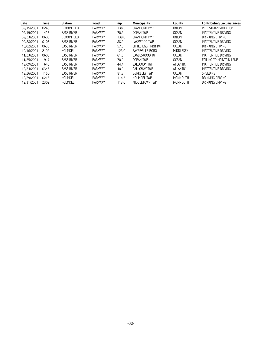| <b>Date</b> | Time | <b>Station</b>    | Road           | mp    | <b>Municipality</b>    | County          | <b>Contributing Circumstances</b> |
|-------------|------|-------------------|----------------|-------|------------------------|-----------------|-----------------------------------|
| 09/15/2001  | 0245 | <b>BLOOMFIELD</b> | <b>PARKWAY</b> | 138.3 | <b>CRANFORD TWP</b>    | <b>UNION</b>    | PEDESTRIAN VIOLATION              |
| 09/19/2001  | 1423 | <b>BASS RIVER</b> | <b>PARKWAY</b> | 70.2  | <b>OCEAN TWP</b>       | <b>OCEAN</b>    | INATTENTIVE DRIVING               |
| 09/23/2001  | 0608 | <b>BLOOMFIELD</b> | <b>PARKWAY</b> | 139.0 | <b>CRANFORD TWP</b>    | <b>UNION</b>    | DRINKING DRIVING                  |
| 09/28/2001  | 0106 | <b>BASS RIVER</b> | <b>PARKWAY</b> | 88.2  | LAKEWOOD TWP           | <b>OCEAN</b>    | INATTENTIVE DRIVING               |
| 10/02/2001  | 0635 | <b>BASS RIVER</b> | <b>PARKWAY</b> | 57.3  | LITTLE EGG HRBR TWP    | <b>OCEAN</b>    | DRINKING DRIVING                  |
| 10/16/2001  | 2102 | HOLMDEL           | <b>PARKWAY</b> | 123.0 | SAYREVILLE BORO        | MIDDLESEX       | INATTENTIVE DRIVING               |
| 11/23/2001  | 0606 | <b>BASS RIVER</b> | <b>PARKWAY</b> | 61.5  | <b>FAGI ESWOOD TWP</b> | <b>OCEAN</b>    | INATTENTIVE DRIVING               |
| 11/25/2001  | 1917 | <b>BASS RIVER</b> | <b>PARKWAY</b> | 70.2  | <b>OCEAN TWP</b>       | <b>OCEAN</b>    | <b>FAILING TO MAINTAIN LANE</b>   |
| 12/09/2001  | 1646 | <b>BASS RIVER</b> | <b>PARKWAY</b> | 44.4  | GAI LOWAY TWP          | <b>ATLANTIC</b> | INATTENTIVE DRIVING               |
| 12/24/2001  | 0346 | <b>BASS RIVER</b> | <b>PARKWAY</b> | 40.0  | GAI LOWAY TWP          | <b>ATLANTIC</b> | INATTENTIVE DRIVING               |
| 12/26/2001  | 1150 | <b>BASS RIVER</b> | <b>PARKWAY</b> | 81.3  | <b>BERKEL FY TWP</b>   | <b>OCEAN</b>    | <b>SPEEDING</b>                   |
| 12/29/2001  | 0216 | HOLMDEL           | <b>PARKWAY</b> | 114.3 | <b>HOLMDEL TWP</b>     | MONMOUTH        | DRINKING DRIVING                  |
| 12/31/2001  | 2302 | HOLMDEL           | <b>PARKWAY</b> | 113.0 | MIDDLETOWN TWP         | MONMOUTH        | DRINKING DRIVING                  |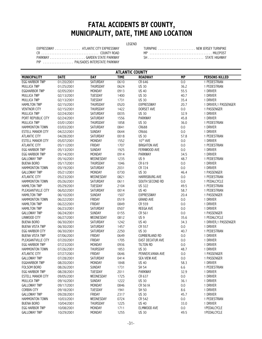## **FATAL ACCIDENTS BY COUNTY, MUNICIPALITY, DATE, TIME AND LOCATION**

#### LEGEND

| EXPRESSWAY ATLANTIC CITY EXPRESSWAY |
|-------------------------------------|
|                                     |
|                                     |
| PIP  PALISADES INTERSTATE PARKWAY   |

| EXPRESSWAY ATLANTIC CITY EXPRESSWAY |  | TURNPIKE  NEW JERSEY TURNPIKE |
|-------------------------------------|--|-------------------------------|
|                                     |  |                               |
|                                     |  |                               |

| <b>ATLANTIC COUNTY</b>   |             |                 |             |                      |           |                       |  |  |  |
|--------------------------|-------------|-----------------|-------------|----------------------|-----------|-----------------------|--|--|--|
| <b>MUNICIPALITY</b>      | <b>DATE</b> | <b>DAY</b>      | <b>TIME</b> | <b>ROADWAY</b>       | <b>MP</b> | <b>PERSONS KILLED</b> |  |  |  |
| <b>EGG HARBOR TWP</b>    | 01/20/2001  | <b>SATURDAY</b> | 0610        | CR 646               | 0.0       | 1 PEDESTRIAN          |  |  |  |
| <b>MULLICA TWP</b>       | 01/25/2001  | THURSDAY        | 0624        | <b>US 30</b>         | 36.2      | 1 PEDESTRIAN          |  |  |  |
| <b>EGGHARBOR TWP</b>     | 02/05/2001  | MONDAY          | 0913        | <b>US 40</b>         | 55.5      | 1 DRIVER              |  |  |  |
| <b>MULLICA TWP</b>       | 02/13/2001  | TUESDAY         | 1400        | <b>US 30</b>         | 40.7      | 1 DRIVER              |  |  |  |
| MULLICA TWP              | 02/13/2001  | TUESDAY         | 1731        | <b>US 30</b>         | 35.4      | 1 DRIVER              |  |  |  |
| <b>HAMILTON TWP</b>      | 02/15/2001  | THURSDAY        | 0520        | <b>EXPRESSWAY</b>    | 20.7      | 1 DRIVER, 1 PASSENGER |  |  |  |
| <b>VENTNOR CITY</b>      | 02/15/2001  | THURSDAY        | 1422        | DORSET AVE           | 0.0       | 1 PASSENGER           |  |  |  |
| MULLICA TWP              | 02/24/2001  | SATURDAY        | 0035        | <b>US 30</b>         | 32.9      | 1 DRIVER              |  |  |  |
| PORT REPUBLIC CITY       | 02/24/2001  | SATURDAY        | 1556        | PARKWAY              | 45.8      | 1 DRIVER              |  |  |  |
| <b>MULLICA TWP</b>       | 03/01/2001  | THURSDAY        | 1858        | <b>US 30</b>         | 36.0      | 1 PEDESTRIAN          |  |  |  |
| HAMMONTON TOWN           | 03/03/2001  | SATURDAY        | 0841        | CR688                | 0.0       | 1 DRIVER              |  |  |  |
| <b>ESTELL MANOR CITY</b> | 04/22/2001  | SUNDAY          | 0644        | CR666                | 0.0       | 1 DRIVER              |  |  |  |
| <b>ATLANTIC CITY</b>     | 04/28/2001  | SATURDAY        | 0018        | <b>US 30</b>         | 57.8      | 1 PEDESTRIAN          |  |  |  |
| <b>ESTELL MANOR CITY</b> | 05/07/2001  | MONDAY          | 1552        | 10TH AVE             | 0.0       | 1 DRIVER              |  |  |  |
| <b>ATLANTIC CITY</b>     | 05/11/2001  | FRIDAY          | 1707        | <b>BRIGHTON AVE</b>  | 0.0       | 1 PEDESTRIAN          |  |  |  |
| <b>EGG HARBOR TWP</b>    | 05/13/2001  | SUNDAY          | 1925        | FERNWOOD AVE         | 0.0       | 1 DRIVER              |  |  |  |
| EGG HARBOR TWP           | 05/14/2001  | MONDAY          | 0914        | <b>PARKWAY</b>       | 34.5      | 1 DRIVER              |  |  |  |
| <b>GALLOWAY TWP</b>      | 05/16/2001  | WEDNESDAY       | 1235        | US <sub>9</sub>      | 48.7      | 1 PEDESTRIAN          |  |  |  |
| <b>BUENA BORO</b>        | 05/17/2001  | THURSDAY        | 1046        | CR 619               | 0.0       | 1 DRIVER              |  |  |  |
| <b>HAMMONTON TOWN</b>    | 05/19/2001  | SATURDAY        | 2031        | CR 724               | 0.0       | 1 DRIVER              |  |  |  |
| <b>GALLOWAY TWP</b>      | 05/21/2001  | MONDAY          | 0730        | <b>US 30</b>         | 46.4      | 1 PASSENGER           |  |  |  |
| ATLANTIC CITY            | 05/23/2001  | WEDNESDAY       | 0821        | HARRISBURG AVE       | 0.0       | 1 PEDESTRIAN          |  |  |  |
| <b>HAMMONTON TOWN</b>    | 05/26/2001  | SATURDAY        | 0611        | SOUTH SECOND RD      | 0.0       | 1 PEDALCYCLE          |  |  |  |
| <b>HAMILTON TWP</b>      | 05/29/2001  | TUESDAY         | 2104        | <b>US 322</b>        | 49.5      | 1 PEDESTRIAN          |  |  |  |
| PLEASANTVILLE CITY       | 06/02/2001  | SATURDAY        | 0014        | <b>US 40</b>         | 58.7      | 1 PEDESTRIAN          |  |  |  |
| <b>HAMILTON TWP</b>      | 06/10/2001  | SUNDAY          | 1507        | <b>EXPRESSWAY</b>    | 20.4      | 1 PASSENGER           |  |  |  |
| HAMMONTON TOWN           | 06/22/2001  | FRIDAY          | 0519        | <b>GRAND AVE</b>     | 0.0       | 1 DRIVER              |  |  |  |
| <b>HAMILTON TWP</b>      | 06/22/2001  | FRIDAY          | 0849        | CR 559               | 0.0       | 1 DRIVER              |  |  |  |
| <b>HAMILTON TWP</b>      | 06/23/2001  | SATURDAY        | 0507        | <b>REEGA AVE</b>     | 0.0       | 1 DRIVER              |  |  |  |
| <b>GALLOWAY TWP</b>      | 06/24/2001  | SUNDAY          | 0155        | CR 561               | 0.0       | 1 PASSENGER           |  |  |  |
| LINWOOD CITY             | 06/27/2001  | WEDNESDAY       | 0812        | US <sub>9</sub>      | 35.6      | 1 PEDALCYCLE          |  |  |  |
| <b>BUENA BORO</b>        | 06/30/2001  | SATURDAY        | 1242        | <b>US 40</b>         | 34.3      | 1 DRIVER, 1 PASSENGER |  |  |  |
| <b>BUENA VISTA TWP</b>   | 06/30/2001  | SATURDAY        | 1457        | CR 557               | 0.0       | 1 DRIVER              |  |  |  |
| <b>EGG HARBOR CITY</b>   | 06/30/2001  | SATURDAY        | 2250        | <b>US 30</b>         | 40.7      | 1 PEDESTRIAN          |  |  |  |
| <b>BUENA VISTA TWP</b>   | 07/06/2001  | FRIDAY          | 0649        | <b>CUMBERLAND RD</b> | 0.0       | 1 DRIVER              |  |  |  |
| PLEASANTVILLE CITY       | 07/20/2001  | FRIDAY          | 1705        | EAST DECATUR AVE     | 0.0       | 1 DRIVER              |  |  |  |
| <b>EGG HARBOR TWP</b>    | 07/23/2001  | MONDAY          | 0936        | TILTON RD            | 0.0       | 1 DRIVER              |  |  |  |
| HAMMONTON TOWN           | 07/26/2001  | THURSDAY        | 1853        | <b>US 30</b>         | 48.7      | 1 DRIVER              |  |  |  |
| <b>ATLANTIC CITY</b>     | 07/27/2001  | FRIDAY          | 0646        | PENNSYLVANIA AVE     | 0.0       | 1 PASSENGER           |  |  |  |
| <b>GALLOWAY TWP</b>      | 07/28/2001  | SATURDAY        | 0414        | SEA VIEW AVE         | 0.0       | 1 PASSENGER           |  |  |  |
| EGGHARBOR TWP            | 08/20/2001  | MONDAY          | 1848        | <b>US 40</b>         | 58.3      | 1 DRIVER              |  |  |  |
| FOLSOM BORO              | 08/26/2001  | SUNDAY          | 1731        | SH 54                | 6.6       | 1 PEDESTRIAN          |  |  |  |
| <b>EGG HARBOR TWP</b>    | 08/28/2001  | TUESDAY         | 2011        | PARKWAY              | 32.9      | 1 DRIVER              |  |  |  |
| ESTELL MANOR CITY        | 09/05/2001  | WEDNESDAY       | 1725        | CR 637               | 0.0       | 1 DRIVER              |  |  |  |
| <b>MULLICA TWP</b>       | 09/16/2001  | <b>SUNDAY</b>   | 1222        | <b>US 30</b>         | 36.1      | 1 DRIVER              |  |  |  |
| <b>GALLOWAY TWP</b>      | 09/17/2001  | MONDAY          | 0846        | CR 561A              | 0.0       | 1 DRIVER              |  |  |  |
| <b>CORBIN CITY</b>       | 09/18/2001  | TUESDAY         | 1941        | SH 50                | 8.6       | 1 DRIVER              |  |  |  |
| <b>GALLOWAY TWP</b>      | 09/28/2001  | FRIDAY          | 2317        | <b>US 30</b>         | 45.7      | 1 DRIVER              |  |  |  |
| <b>HAMMONTON TOWN</b>    | 10/03/2001  | WEDNESDAY       | 0724        | CR 542               | 0.0       | 1 PEDESTRIAN          |  |  |  |
| <b>BUENA BORO</b>        | 10/04/2001  | THURSDAY        | 1225        | <b>US 40</b>         | 33.0      | 1 DRIVER              |  |  |  |
| EGG HARBOR TWP           | 10/08/2001  | MONDAY          | 1711        | ELMWOOD AVE          | 0.0       | 1 PEDALCYCLE          |  |  |  |
| <b>GALLOWAY TWP</b>      | 10/29/2001  | MONDAY          | 1255        | <b>US 30</b>         | 49.5      | 1PEDALCYCLE           |  |  |  |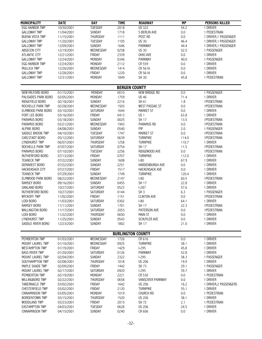| MUNICIPALITY                       | <b>DATE</b>              | <b>DAY</b>                | <b>TIME</b>              | <b>ROADWAY</b>           | <b>MP</b>    | <b>PERSONS KILLED</b>   |
|------------------------------------|--------------------------|---------------------------|--------------------------|--------------------------|--------------|-------------------------|
| EGG HARBOR TWP                     | 10/30/2001               | TUESDAY                   | 2018                     | <b>US 322</b>            | 54.2         | 1 DRIVER                |
| <b>GALLOWAY TWP</b>                | 11/04/2001               | SUNDAY                    | 1718                     | S BERLIN AVE             | 0.0          | 1 PEDESTRIAN            |
| <b>BUENA VISTA TWP</b>             | 11/15/2001               | THURSDAY                  | 1111                     | POST RD                  | 0.0          | 1 DRIVER, 1 PASSENGER   |
| <b>GALLOWAY TWP</b>                | 11/20/2001               | <b>TUESDAY</b>            | 1105                     | <b>US 30</b>             | 46.4         | 1 DRIVER, 1 PASSENGER   |
| <b>GALLOWAY TWP</b>                | 12/09/2001               | SUNDAY                    | 1646                     | PARKWAY                  | 44.4         | 1 DRIVER, 1 PASSENGER   |
| ABSECON CITY                       | 12/19/2001               | WEDNESDAY                 | 0258                     | <b>US 30</b>             | 52.5         | 1 PASSENGER             |
| <b>ATLANTIC CITY</b>               | 12/21/2001               | FRIDAY                    | 2339                     | OHIO AVE                 | 0.0          | 1 DRIVER                |
| <b>GALLOWAY TWP</b>                | 12/24/2001               | MONDAY                    | 0346                     | PARKWAY                  | 40.0         | 1 PASSENGER             |
| <b>EGG HARBOR TWP</b>              | 12/24/2001               | MONDAY                    | 2112                     | CR 559                   | 0.0          | 1 DRIVER                |
| <b>MULLICA TWP</b>                 | 12/26/2001               | WEDNESDAY                 | 1414                     | CR 561A                  | 0.0          | 1 DRIVER                |
| <b>GALLOWAY TWP</b>                | 12/28/2001               | FRIDAY                    | 1220                     | CR 561A                  | 0.0          | 1 DRIVER                |
| <b>GALLOWAY TWP</b>                | 12/31/2001               | MONDAY                    | 1849                     | <b>SH 30</b>             | 45.8         | 1 PEDESTRIAN            |
|                                    |                          |                           | <b>BERGEN COUNTY</b>     |                          |              |                         |
| NEW MILFORD BORO                   | 01/15/2001               | MONDAY                    | 0010                     | NEW BRIDGE RD            | 0.0          | 1 PASSENGER             |
| PALISADES PARK BORO                | 02/05/2001               | MONDAY                    | 1759                     | <b>US 46</b>             | 71.4         | 1 DRIVER                |
| RIDGEFIELD BORO                    | 02/18/2001               | <b>SUNDAY</b>             | 2216                     | SH 61                    | 1.8          | 1 PEDESTRIAN            |
| ROCHELLE PARK TWP                  | 02/28/2001               | WEDNESDAY                 | 1503                     | <b>WEST PASSAIC ST</b>   | 0.0          | 1PEDESTRIAN             |
| ELMWOOD PARK BORO                  | 03/10/2001               | <b>SATURDAY</b>           | 1644                     | <b>MARKET ST</b>         | 0.0          | 1 DRIVER                |
| FORT LEE BORO                      | 03/16/2001               | FRIDAY                    | 0413                     | US <sub>1</sub>          | 63.8         | 1 DRIVER                |
| PARAMUS BORO                       | 03/18/2001               | <b>SUNDAY</b>             | 0025                     | SH 17                    | 13.5         | 1PEDESTRIAN             |
| PARAMUS BORO                       | 03/21/2001               | WEDNESDAY                 | 1943                     | <b>PARAMUS RD</b>        | 0.0          | 1PEDESTRIAN             |
| <b>ALPINE BORO</b>                 | 04/08/2001               | <b>SUNDAY</b>             | 0540                     | PIP                      | 2.0          | 1 PASSENGER             |
| SADDLE BROOK TWP                   | 04/10/2001               | <b>TUESDAY</b>            | 1747                     | <b>MARKET ST</b>         | 0.0          | 1 PEDESTRIAN            |
| CARLSTADT BORO                     | 05/12/2001               | SATURDAY                  | 0639                     | <b>TURNPIKE</b>          | 114.0        | 1PEDESTRIAN             |
| LYNDHURST TWP                      | 06/07/2001               | THURSDAY                  | 1258                     | <b>TURNPIKE</b>          | 110.7        | 1 DRIVER                |
| ROCHELLE PARK TWP                  | 07/07/2001               | SATURDAY                  | 0754                     | SH 17                    | 11.5         | 1 PEDESTRIAN            |
| PARAMUS BORO                       | 07/10/2001               | TUESDAY                   | 2256                     | RIDGEWOOD AVE            | 0.0          | 1PEDESTRIAN             |
| RUTHERFORD BORO                    | 07/13/2001               | <b>FRIDAY</b>             | 0707                     | <b>TURNPIKE</b>          | 112.0        | 1 DRIVER                |
| <b>TEANECK TWP</b>                 | 07/22/2001               | SUNDAY                    | 1608                     | $ -80$                   | 67.9         | 1 DRIVER                |
| DEMAREST BORO                      | 07/22/2001               | SUNDAY                    | 2251                     | HARDENBURGH AVE          | 0.0          | 1 DRIVER                |
| <b>HACKENSACK CITY</b>             | 07/27/2001               | FRIDAY                    | 1517                     | <b>HACKENSACK AVE</b>    | 0.0          | 1 DRIVER                |
| <b>TEANECK TWP</b>                 | 07/29/2001               | <b>SUNDAY</b>             | 1749                     | <b>TURNPIKE</b>          | 120.4        | 1 DRIVER                |
| ELMWOOD PARK BORO                  | 08/22/2001               | WEDNESDAY                 | 2147                     | $ -80$                   | 60.5         | 1 PEDESTRIAN            |
| RAMSEY BORO                        | 09/16/2001               | SUNDAY                    | 0455                     | SH 17                    | 22.8         | 1 DRIVER                |
| OAKLAND BORO                       | 10/27/2001               | SATURDAY                  | 0523                     | $1-287$                  | 57.6         | 1 DRIVER                |
| RUTHERFORD BORO                    | 10/27/2001               | <b>SATURDAY</b>           | 0144                     | SH <sub>3</sub>          | 6.3          | 1 PASSENGER             |
| <b>WYCKOFF TWP</b>                 | 11/02/2001               | FRIDAY                    | 1151                     | <b>CLINTON AVE</b>       | 0.0          | 1PEDESTRIAN             |
| LODI BORO                          | 11/03/2001               | <b>SATURDAY</b>           | 0302                     | $ -80$                   | 64.1         | 1 DRIVER                |
| <b>RAMSEY BORO</b>                 | 11/11/2001               | <b>SUNDAY</b>             | 1701                     | <b>SH 17</b>             | 22.3         | 1PEDESTRIAN             |
| WALLINGTON BORO                    | 11/17/2001               | SATURDAY                  | 2053                     | PATERSON AVE             | 0.0          | 1PEDESTRIAN             |
| LODI BORO                          | 11/22/2001               | THURSDAY                  | 0650                     | <b>MAIN ST</b>           | 0.0          | 1 DRIVER                |
| <b>LYNDHURST TWP</b>               | 11/25/2001               | SUNDAY                    | 0543                     | SCHUYLER AVE             | 0.0          | 1 DRIVER                |
| SADDLE RIVER BORO                  | 12/23/2001               | <b>SUNDAY</b>             | 1802                     | SH 17                    | 21.0         | 1 DRIVER                |
|                                    |                          |                           | <b>BURLINGTON COUNTY</b> |                          |              |                         |
| PEMBERTON TWP                      | 01/03/2001               | WEDNESDAY                 | 1726                     | CR 616                   | 0.0          | 1 DRIVER                |
| MOUNT LAUREL TWP                   | 01/10/2001               | WEDNESDAY                 | 0925                     | <b>TURNPIKE</b>          | 38.1         | 1 DRIVER                |
| <b>WESTAMPTON TWP</b>              | 01/19/2001               | FRIDAY                    | 1429                     | $I-295$                  | 45.8         | 1 DRIVER                |
| <b>BASS RIVER TWP</b>              | 01/20/2001               | <b>SATURDAY</b>           | 0126                     | PARKWAY                  | 52.8         | 1 DRIVER                |
| MOUNT LAUREL TWP                   | 02/04/2001               | SUNDAY                    | 2322                     | $I-295$<br><b>US 206</b> | 38.3         | 1 PASSENGER             |
| SOUTHAMPTON TWP<br>MAPLE SHADE TWP | 02/08/2001               | THURSDAY<br><b>FRIDAY</b> | 1018<br>1442             |                          | 19.9         | 1 DRIVER<br>1 PASSENGER |
| MOUNT LAUREL TWP                   | 02/09/2001               | SATURDAY                  | 0920                     | SH 73<br>$1-295$         | 29.1<br>39.7 | 1 DRIVER                |
| PEMBERTON TWP                      | 02/17/2001<br>02/19/2001 | MONDAY                    | 2221                     | CR 530                   | 0.0          | 1 PEDESTRIAN            |
| WILLINGBORO TWP                    | 02/22/2001               | THURSDAY                  | 0658                     | <b>VANSCIVER PARKWAY</b> | 0.0          | 1 DRIVER                |
| <b>TABERNACLE TWP</b>              | 03/02/2001               | <b>FRIDAY</b>             | 1642                     | <b>US 206</b>            | 16.2         | 1 DRIVER, 2 PASSENGERS  |
| CHESTERFIELD TWP                   | 03/02/2001               | FRIDAY                    | 2120                     | <b>TURNPIKE</b>          | 55.1         | 1 DRIVER                |
| <b>CINNAMINSON TWP</b>             | 03/05/2001               | MONDAY                    | 1019                     | CHURCH RD                | 0.0          | 1 PEDESTRIAN            |
| <b>BORDENTOWN TWP</b>              | 03/15/2001               | THURSDAY                  | 1520                     | <b>US 206</b>            | 38.1         | 1 DRIVER                |
| WOODLAND TWP                       | 03/23/2001               | FRIDAY                    | 2015                     | SH 72                    | 2.1          | 1 PEDESTRIAN            |
| <b>EASTAMPTON TWP</b>              | 04/03/2001               | TUESDAY                   | 0628                     | <b>US 206</b>            | 24.5         | 1 DRIVER                |
| <b>CINNAMINSON TWP</b>             | 04/15/2001               | SUNDAY                    | 0240                     | CR 606                   | 0.0          | 1 DRIVER                |
|                                    |                          |                           |                          |                          |              |                         |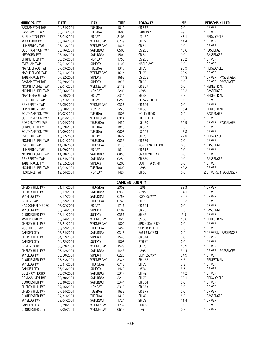|                                             | <b>DATE</b> | <b>DAY</b>      | <b>TIME</b>          | <b>ROADWAY</b>       | MP      |                        |
|---------------------------------------------|-------------|-----------------|----------------------|----------------------|---------|------------------------|
| <b>MUNICIPALITY</b>                         |             |                 |                      |                      |         | <b>PERSONS KILLED</b>  |
| <b>EASTAMPTON TWP</b>                       | 04/24/2001  | <b>TUESDAY</b>  | 1019                 | CR 537               | 0.0     | 1 DRIVER               |
| <b>BASS RIVER TWP</b>                       | 05/01/2001  | TUESDAY         | 1600                 | PARKWAY              | 49.2    | 1 DRIVER               |
| <b>BURLINGTON TWP</b>                       | 05/04/2001  | FRIDAY          | 2103                 | <b>US 130</b>        | 45.1    | 1 PEDALCYCLE           |
| <b>WOODLAND TWP</b>                         | 05/16/2001  | WEDNESDAY       | 0739                 | SH 72                | 11.4    | 1 DRIVER               |
| <b>LUMBERTON TWP</b>                        | 06/13/2001  | WEDNESDAY       | 1026                 | CR 541               | $0.0\,$ | 1 DRIVER               |
| SOUTHAMPTON TWP                             | 06/16/2001  | SATURDAY        | 0500                 | <b>US 206</b>        | 16.6    | 1 PASSENGER            |
| MEDFORD TWP                                 | 06/16/2001  | SATURDAY        | 1501                 | CR 541               | $0.0\,$ | 1 PASSENGER            |
| SPRINGFIELD TWP                             | 06/25/2001  | MONDAY          | 1755                 | <b>US 206</b>        | 28.2    | 1 DRIVER               |
| <b>EVESHAM TWP</b>                          | 07/01/2001  | SUNDAY          | 1102                 | MAPLE AVE            | 0.0     | 1 DRIVER               |
| MAPLE SHADE TWP                             | 07/03/2001  | TUESDAY         | 1317                 | SH 73                | 28.9    | 1 PEDALCYCLE           |
| MAPLE SHADE TWP                             | 07/11/2001  | WEDNESDAY       | 1644                 | SH 73                | 28.9    | 1 DRIVER               |
| <b>TABERNACLE TWP</b>                       | 07/22/2001  | SUNDAY          | 1655                 | <b>US 206</b>        | 14.8    | 1 DRIVER, 1 PASSENGER  |
| <b>EASTAMPTON TWP</b>                       | 07/29/2001  | SUNDAY          | 1838                 | CR 621               | $0.0\,$ | 1 DRIVER, 1 PASSENGER  |
| MOUNT LAUREL TWP                            | 08/01/2001  | WEDNESDAY       | 2116                 | CR 607               | 0.0     | 1 PEDESTRIAN           |
| MOUNT LAUREL TWP                            | 08/06/2001  | MONDAY          | 2206                 | $1-295$              | 38.2    | 1 PASSENGER            |
| MAPLE SHADE TWP                             | 08/10/2001  | FRIDAY          | 2311                 | <b>SH 38</b>         | 4.7     | 1 PEDESTRIAN           |
| PEMBERTON TWP                               | 08/31/2001  | FRIDAY          | 0255                 | <b>ELIZABETH ST</b>  | 0.0     | 1 DRIVER               |
| PEMBERTON TWP                               | 09/05/2001  | WEDNESDAY       | 0328                 | CR 646               | 0.0     | 1 DRIVER               |
| <b>LUMBERTON TWP</b>                        | 09/10/2001  | MONDAY          | 2223                 | <b>SH 38</b>         | 15.4    | 1 PEDESTRIAN           |
| SOUTHAMPTON TWP                             | 10/02/2001  | TUESDAY         | 1803                 | <b>HOLLY BLVD</b>    | 0.0     | 1 PASSENGER            |
| SOUTHAMPTON TWP                             | 10/03/2001  | WEDNESDAY       | 0914                 | <b>BIG HILL RD</b>   | 0.0     | 1 DRIVER               |
| <b>BORDENTOWN TWP</b>                       | 10/04/2001  | THURSDAY        | 1430                 | <b>US 130</b>        | 55.9    | 1 DRIVER, 1 PASSENGER  |
| SPRINGFIELD TWP                             | 10/09/2001  | <b>TUESDAY</b>  | 1815                 | CR 537               | $0.0\,$ | 1 DRIVER               |
| SOUTHAMPTON TWP                             | 10/09/2001  | TUESDAY         | 0605                 | <b>US 206</b>        | 18.8    | 1 DRIVER               |
| <b>EVESHAM TWP</b>                          | 10/12/2001  | FRIDAY          | 1622                 | SH 73                | 22.8    | 1 PEDALCYCLE           |
|                                             |             |                 |                      |                      |         |                        |
| MOUNT LAUREL TWP                            | 11/01/2001  | THURSDAY        | 0633                 | CR 686               | 0.0     | 1 DRIVER               |
| <b>EVESHAM TWP</b>                          | 11/08/2001  | THURSDAY        | 1130                 | NORTH MAPLE AVE      | 0.0     | 1 PASSENGER            |
| <b>LUMBERTON TWP</b>                        | 11/09/2001  | FRIDAY          | 1611                 | CR 612               | 0.0     | 1 DRIVER               |
| MOUNT LAUREL TWP                            | 11/10/2001  | SATURDAY        | 0853                 | UNION MILL RD        | $0.0\,$ | 1 DRIVER               |
| PEMBERTON TWP                               | 11/24/2001  | SATURDAY        | 0251                 | CR 530               | $0.0\,$ | 1 PASSENGER            |
| <b>TABERNACLE TWP</b>                       | 12/02/2001  | SUNDAY          | 0200                 | SOUTH PARK RD        | 0.0     | 1 DRIVER               |
| MOUNT LAUREL TWP                            | 12/04/2001  | TUESDAY         | 1609                 | $I-295$              | 42.2    | 1 DRIVER               |
| <b>FLORENCE TWP</b>                         | 12/24/2001  | <b>MONDAY</b>   | 1424                 | CR 661               | 0.0     | 2 DRIVERS, 1PASSENGER  |
|                                             |             |                 |                      |                      |         |                        |
|                                             |             |                 | <b>CAMDEN COUNTY</b> |                      |         |                        |
| <b>CHERRY HILL TWP</b>                      | 01/11/2001  | <b>THURSDAY</b> | 2008                 | $1-295$              | 33.3    | 1 DRIVER               |
|                                             |             |                 |                      |                      |         |                        |
| <b>CHERRY HILL TWP</b>                      | 02/17/2001  | SATURDAY        | 0931                 | $1-295$              | 34.1    | 1 DRIVER               |
| <b>WINSLOW TWP</b>                          | 02/17/2001  | SATURDAY        | 0758                 | <b>EXPRESSWAY</b>    | 35.7    | 1 DRIVER               |
| <b>BERLIN TWP</b>                           | 02/22/2001  | THURSDAY        | 0741                 | SH 73                | 18.2    | 1 DRIVER               |
| HADDONFIELD BORO                            | 03/02/2001  | FRIDAY          | 1716                 | CR 644               | 0.0     | 1 DRIVER               |
|                                             |             |                 |                      |                      |         |                        |
| <b>WINSLOW TWP</b><br><b>GLOUCESTER TWP</b> | 03/04/2001  | SUNDAY          | 0107                 | CR 706               | 0.0     | 1 PASSENGER            |
|                                             | 03/11/2001  | <b>SUNDAY</b>   | 0356                 | SH 42                | 6.9     | 1 DRIVER               |
| WATERFORD TWP                               | 03/14/2001  | WEDNESDAY       | 2020                 | <b>US 30</b>         | 19.6    | 1 PEDESTRIAN           |
| CHERRY HILL TWP                             | 03/21/2001  | WEDNESDAY       | 1600                 | SPRINGDALE RD        | 0.0     | 1 DRIVER               |
| <b>VOORHEES TWP</b>                         | 03/22/2001  | THURSDAY        | 1452                 | SOMERDALE RD         | 0.0     | 1 DRIVER               |
| <b>CAMDEN CITY</b>                          | 03/24/2001  | SATURDAY        | 0315                 | <b>EAST STATE ST</b> | 0.0     | 2 DRIVERS, 1 PASSENGER |
| CHERRY HILL TWP                             | 04/22/2001  | SUNDAY          | 1543                 | CR 644               | 0.0     | 1 DRIVER               |
| <b>CAMDEN CITY</b>                          | 04/22/2001  | SUNDAY          | 1805                 | 8TH ST               | 0.0     | 1 DRIVER               |
| <b>BERLIN BORO</b>                          | 05/09/2001  | WEDNESDAY       | 1528                 | SH 73                | 16.9    | 1 DRIVER               |
| <b>CHERRY HILL TWP</b>                      | 05/12/2001  | SATURDAY        | 1843                 | $1-295$              | 34.4    | 1 DRIVER, 1 PASSENGER  |
| <b>WINSLOW TWP</b>                          | 05/20/2001  | <b>SUNDAY</b>   | 0226                 | <b>EXPRESSWAY</b>    | 34.9    | 1 DRIVER               |
| <b>GLOUCESTER TWP</b>                       | 05/23/2001  | WEDNESDAY       | 2324                 | SH 168               | 4.3     | 1 PEDESTRIAN           |
| <b>WINSLOW TWP</b>                          | 05/31/2001  | THURSDAY        | 0718                 | SH 73                | 7.2     | 1 DRIVER               |
| <b>CAMDEN CITY</b>                          | 06/03/2001  | SUNDAY          | 1422                 | $1-676$              | 3.5     | 1 DRIVER               |
| <b>BELLMAWR BORO</b>                        | 06/09/2001  | SATURDAY        | 2314                 | SH 42                | 14.2    | 1 DRIVER               |
| PENNSAUKEN TWP                              | 06/30/2001  | SATURDAY        | 2211                 | SH 73                | 32.1    | 1 PEDALCYCLE           |
| <b>GLOUCESTER TWP</b>                       | 06/30/2001  | SATURDAY        | 2341                 | CR 534               | 0.0     | 1 DRIVER               |
| CHERRY HILL TWP                             | 07/16/2001  | MONDAY          | 2340                 | CR 673               | 0.0     | 1 DRIVER               |
| CHERRY HILL TWP                             | 07/24/2001  | TUESDAY         | 1632                 | CR 675               | 0.0     | 1 DRIVER               |
| <b>GLOUCESTER TWP</b>                       | 07/31/2001  | TUESDAY         | 1419                 | SH 42                | 8.8     | 1 PASSENGER            |
| <b>WINSLOW TWP</b>                          | 08/04/2001  | SATURDAY        | 1721                 | SH 73                | 11.4    | 1 DRIVER               |
| <b>CAMDEN CITY</b>                          | 08/29/2001  | WEDNESDAY       | 1737                 | 3RD ST               | 0.0     | 1 DRIVER               |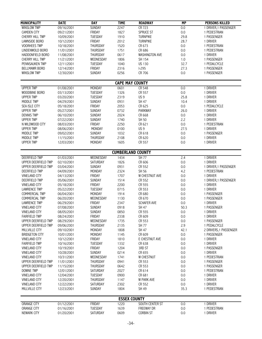| <b>MUNICIPALITY</b>                   | <b>DATE</b>              | <b>DAY</b>        | <b>TIME</b>         | <b>ROADWAY</b>           | <b>MP</b>  | <b>PERSONS KILLED</b>             |  |  |  |  |  |
|---------------------------------------|--------------------------|-------------------|---------------------|--------------------------|------------|-----------------------------------|--|--|--|--|--|
| <b>WINSLOW TWP</b>                    | 09/16/2001               | <b>SUNDAY</b>     | 2247                | CR 723                   | 0.0        | 1 DRIVER, 1 PASSENGER             |  |  |  |  |  |
| <b>CAMDEN CITY</b>                    | 09/21/2001               | FRIDAY            | 1827                | SPRUCE ST                | 0.0        | 1 PEDESTRIAN                      |  |  |  |  |  |
| CHERRY HILL TWP                       | 10/09/2001               | TUESDAY           | 1910                | <b>TURNPIKE</b>          | 29.8       | 1 PASSENGER                       |  |  |  |  |  |
| LAWNSIDE BORO                         | 10/12/2001               | FRIDAY            | 2012                | <b>TURNPIKE</b>          | 28.7       | 1 DRIVER                          |  |  |  |  |  |
| <b>VOORHEES TWP</b>                   | 10/18/2001               | THURSDAY          | 1520                | CR 673                   | 0.0        | 1 PEDESTRIAN                      |  |  |  |  |  |
| LINDENWOLD BORO                       | 11/01/2001               | <b>THURSDAY</b>   | 1751                | CR 686                   | 0.0        | 1 PEDESTRIAN                      |  |  |  |  |  |
| HADDONFIELD BORO                      | 11/08/2001               | THURSDAY          | 0617                | <b>WASHINGTON AVE</b>    | 0.0        | 1 DRIVER                          |  |  |  |  |  |
| <b>CHERRY HILL TWP</b>                | 11/21/2001               | WEDNESDAY         | 1806                | SH 154                   | 1.0        | 1 PASSENGER                       |  |  |  |  |  |
| PENNSAUKEN TWP                        | 12/11/2001               | <b>TUESDAY</b>    | 1040                | <b>US 130</b>            | 32.7       | 1 PEDALCYCLE                      |  |  |  |  |  |
| <b>BELLMAWR BORO</b>                  | 12/14/2001               | FRIDAY            | 2316                | $1-295$                  | 27.3       | 1 PASSENGER                       |  |  |  |  |  |
| <b>WINSLOW TWP</b>                    | 12/30/2001               | SUNDAY            | 0256                | CR 706                   | 0.0        | 1 PASSENGER                       |  |  |  |  |  |
|                                       | <b>CAPE MAY COUNTY</b>   |                   |                     |                          |            |                                   |  |  |  |  |  |
|                                       |                          |                   |                     |                          |            |                                   |  |  |  |  |  |
| <b>UPPER TWP</b>                      | 01/08/2001               | <b>MONDAY</b>     | 0601                | CR 548                   | 0.0        | 1 DRIVER                          |  |  |  |  |  |
| WOODBINE BORO                         | 03/13/2001               | TUESDAY           | 1326                | CR 557                   | 0.0        | 1 DRIVER                          |  |  |  |  |  |
| <b>UPPER TWP</b>                      | 03/20/2001               | TUESDAY           | 2319                | US <sub>9</sub>          | 25.8       | 1 DRIVER                          |  |  |  |  |  |
| MIDDLE TWP                            | 04/29/2001               | SUNDAY            | 0931                | SH 47                    | 10.4       | 1 DRIVER                          |  |  |  |  |  |
| SEA ISLE CITY                         | 05/18/2001               | FRIDAY            | 2053                | CR 625                   | 0.0        | 1 PEDALCYCLE                      |  |  |  |  |  |
| <b>UPPER TWP</b>                      | 05/27/2001               | SUNDAY            | 0732                | PARKWAY                  | 26.0       | 1 DRIVER                          |  |  |  |  |  |
| <b>DENNIS TWP</b>                     | 06/10/2001               | SUNDAY            | 2024                | CR 668                   | 0.0        | 1 DRIVER                          |  |  |  |  |  |
| <b>UPPER TWP</b>                      | 07/22/2001               | SUNDAY            | 1740                | SH 50                    | 2.2        | 1 DRIVER                          |  |  |  |  |  |
| N WILDWOOD CITY                       | 08/03/2001               | FRIDAY            | 2250                | CR 621                   | 0.0        | 1 PEDESTRIAN                      |  |  |  |  |  |
| <b>UPPER TWP</b>                      | 08/06/2001               | MONDAY            | 0100                | US <sub>9</sub>          | 27.5       | 1 DRIVER                          |  |  |  |  |  |
| MIDDLE TWP                            | 09/02/2001               | SUNDAY            | 1032                | CR 618                   | $0.0\,$    | 1 PASSENGER                       |  |  |  |  |  |
| <b>MIDDLE TWP</b>                     | 11/15/2001               | THURSDAY          | 2108                | CR 620                   | 0.0        | 1 DRIVER                          |  |  |  |  |  |
| <b>UPPER TWP</b>                      | 12/03/2001               | MONDAY            | 1605                | CR 557                   | 0.0        | 1 DRIVER                          |  |  |  |  |  |
| <b>CUMBERLAND COUNTY</b>              |                          |                   |                     |                          |            |                                   |  |  |  |  |  |
|                                       |                          |                   |                     |                          |            |                                   |  |  |  |  |  |
| DEERFIELD TWP                         | 01/03/2001               | WEDNESDAY         | 1434                | SH 77                    | 2.4        | 1 DRIVER                          |  |  |  |  |  |
| UPPER DEERFIELD TWP                   | 02/10/2001               | SATURDAY          | 1826                | CR 606                   | 0.0        | 1 DRIVER                          |  |  |  |  |  |
| UPPER DEERFIELD TWP                   | 03/04/2001               | SUNDAY            | 0931                | CR 552                   | 0.0        | 1 DRIVER, 1 PASSENGER             |  |  |  |  |  |
| DEERFIELD TWP                         | 04/09/2001               | MONDAY            | 2324                | SH 56                    | 4.2        | 1 PEDESTRIAN                      |  |  |  |  |  |
| <b>VINELAND CITY</b><br>DEERFIELD TWP | 04/13/2001               | FRIDAY<br>SUNDAY  | 1707<br>1514        | W CHESTNUT AVE<br>CR 552 | 0.0<br>0.0 | 1 DRIVER<br>1 DRIVER, 1 PASSENGER |  |  |  |  |  |
| <b>VINELAND CITY</b>                  | 05/06/2001               | FRIDAY            | 2200                | CR 555                   | 0.0        | 1 DRIVER                          |  |  |  |  |  |
|                                       | 05/18/2001               |                   |                     |                          |            | 1 DRIVER                          |  |  |  |  |  |
| <b>LAWRENCE TWP</b><br>COMMERCIAL TWP | 05/22/2001<br>06/04/2001 | TUESDAY<br>MONDAY | 0715<br>1914        | CR 553<br>CR 680         | 0.0<br>0.0 | 1 PASSENGER                       |  |  |  |  |  |
| COMMERCIAL TWP                        | 06/20/2001               | WEDNESDAY         | 1130                | CR 670                   | 0.0        | 1 PASSENGER                       |  |  |  |  |  |
| <b>LAWRENCE TWP</b>                   | 06/29/2001               | FRIDAY            | 2347                | SCHAFER AVE              | 0.0        | 1 DRIVER                          |  |  |  |  |  |
| <b>VINELAND CITY</b>                  | 07/08/2001               | SUNDAY            | 0918                | SH 47                    | 50.3       | 1 PASSENGER                       |  |  |  |  |  |
| VINELAND CITY                         | 08/05/2001               | SUNDAY            | 0850                | CR 555                   | 0.0        | 1 DRIVER                          |  |  |  |  |  |
| <b>FAIRFIELD TWP</b>                  | 08/24/2001               | FRIDAY            | 2338                | CR 609                   | 0.0        | 1 DRIVER                          |  |  |  |  |  |
| UPPER DEERFIELD TWP                   | 08/29/2001               | WEDNESDAY         | 1735                | CR 553                   | 0.0        | 1 PASSENGER                       |  |  |  |  |  |
| UPPER DEERFIELD TWP                   | 09/06/2001               | <b>THURSDAY</b>   | 2135                | SH 77                    | 2.9        | 1 PEDALCYCLE                      |  |  |  |  |  |
| MILLVILLE CITY                        | 09/10/2001               | MONDAY            | 1808                | SH 47                    | 42.1       | 2 DRIVERS, 1 PASSENGER            |  |  |  |  |  |
| <b>BRIDGETON CITY</b>                 | 10/01/2001               | MONDAY            | 1145                | CR 609                   | 0.0        | 1 PASSENGER                       |  |  |  |  |  |
| <b>VINELAND CITY</b>                  | 10/12/2001               | FRIDAY            | 1810                | E CHESTNUT AVE           | 0.0        | 1 DRIVER                          |  |  |  |  |  |
| <b>FAIRFIELD TWP</b>                  | 10/16/2001               | TUESDAY           | 1332                | CR 638                   | 0.0        | 1 DRIVER                          |  |  |  |  |  |
| <b>VINELAND CITY</b>                  | 10/19/2001               | FRIDAY            | 1204                | 3RD ST                   | 0.0        | 1 PASSENGER                       |  |  |  |  |  |
| <b>VINELAND CITY</b>                  | 10/28/2001               | SUNDAY            | 0214                | CR 655                   | 0.0        | 1 DRIVER                          |  |  |  |  |  |
| <b>VINELAND CITY</b>                  | 10/31/2001               | WEDNESDAY         | 1741                | W CHESTNUT               | 0.0        | 1 PEDESTRIAN                      |  |  |  |  |  |
| UPPER DEERFIELD TWP                   | 11/01/2001               | THURSDAY          | 0941                | CR 553                   | 0.0        | 1 PASSENGER                       |  |  |  |  |  |
| UPPER DEERFIELD TWP                   | 11/15/2001               | THURSDAY          | 0642                | CR 553                   | 0.0        | 1 PASSENGER                       |  |  |  |  |  |
| <b>DOWNE TWP</b>                      | 12/01/2001               | SATURDAY          | 2027                | CR 614                   | 0.0        | 1 PEDESTRIAN                      |  |  |  |  |  |
| <b>VINELAND CITY</b>                  | 12/04/2001               | TUESDAY           | 0900                | CR 681                   | 0.0        | 1 DRIVER                          |  |  |  |  |  |
| <b>VINELAND CITY</b>                  | 12/20/2001               | THURSDAY          | 1147                | <b>W PARK AVE</b>        | 0.0        | 1 DRIVER                          |  |  |  |  |  |
| <b>VINELAND CITY</b>                  | 12/22/2001               | SATURDAY          | 2302                | CR 552                   | 0.0        | 1 DRIVER                          |  |  |  |  |  |
| MILLVILLE CITY                        | 12/23/2001               | SUNDAY            | 1804                | SH 49                    | 35.3       | 1 PEDESTRIAN                      |  |  |  |  |  |
|                                       |                          |                   |                     |                          |            |                                   |  |  |  |  |  |
|                                       |                          |                   | <b>ESSEX COUNTY</b> |                          |            |                                   |  |  |  |  |  |
| ORANGE CITY                           | 01/12/2001               | <b>FRIDAY</b>     | 1220                | SOUTH CENTER ST          | 0.0        | 1 DRIVER                          |  |  |  |  |  |
| ORANGE CITY                           | 01/16/2001               | TUESDAY           | 1639                | <b>FREEWAY DR</b>        | 0.0        | 1 PEDESTRIAN                      |  |  |  |  |  |
| NEWARK CITY                           | 01/20/2001               | SATURDAY          | 0609                | CORBIN ST                | 0.0        | 1 DRIVER                          |  |  |  |  |  |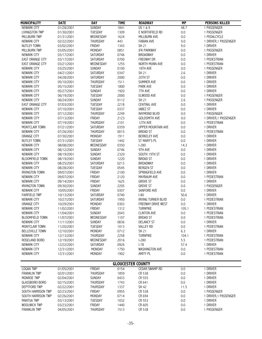| <b>MUNICIPALITY</b>     | <b>DATE</b>              | <b>DAY</b>     | <b>TIME</b> | <b>ROADWAY</b>            | <b>MP</b>  | <b>PERSONS KILLED</b> |
|-------------------------|--------------------------|----------------|-------------|---------------------------|------------|-----------------------|
| NEWARK CITY             | 01/28/2001               | <b>SUNDAY</b>  | 1841        | US 1 & 9                  | 48.7       | 1 PASSENGER           |
| LIVINGSTON TWP          | 01/30/2001               | TUESDAY        | 1309        | E NORTHFIELD RD           | $0.0\,$    | 1 PASSENGER           |
| <b>MILLBURN TWP</b>     | 01/31/2001               | WEDNESDAY      | 1624        | <b>MILLBURN AVE</b>       | 0.0        | 1 PEDALCYCLE          |
| NEWARK CITY             | 02/22/2001               | THURSDAY       | 443         | <b>FABIAN AVE</b>         | 0.0        | 1 DRIVER, 1 PASSENGER |
| <b>NUTLEY TOWN</b>      | 03/02/2001               | FRIDAY         | 1343        | SH 21                     | 9.0        | 1 DRIVER              |
| <b>MILLBURN TWP</b>     | 03/05/2001               | MONDAY         | 0851        | <b>JFK PARKWAY</b>        | 0.0        | 1 PASSENGER           |
| NEWARK CITY             | 03/17/2001               | SATURDAY       | 0746        | <b>BROADWAY</b>           | 0.0        | 1 DRIVER              |
| EAST ORANGE CITY        | 03/17/2001               | SATURDAY       | 0700        | FREEWAY DR                | 0.0        | 1 PEDESTRIAN          |
| <b>EAST ORANGE CITY</b> | 03/21/2001               | WEDNESDAY      | 1255        | NORTH MUNN AVE            | 0.0        | 1 PEDESTRIAN          |
| NEWARK CITY             | 03/25/2001               | SUNDAY         | 0100        | 18TH AVE                  | $0.0\,$    | 1 PASSENGER           |
| NEWARK CITY             | 04/21/2001               | SATURDAY       | 0347        | <b>SH 21</b>              | 2.6        | 1 DRIVER              |
| NEWARK CITY             | 04/28/2001               | SATURDAY       | 2000        | 20TH ST                   | 0.0        | 1 DRIVER              |
| NEWARK CITY             | 05/10/2001               | THURSDAY       | 1511        | SUMMER AVE                | 0.0        | 1 DRIVER              |
| NEWARK CITY             |                          | TUESDAY        | 1800        | PARK AVE                  | 0.0        | 1 DRIVER              |
| NEWARK CITY             | 05/15/2001<br>05/27/2001 | SUNDAY         | 1920        | 7TH AVE                   | 0.0        | 1 DRIVER              |
| NEWARK CITY             | 06/19/2001               | TUESDAY        | 2000        | ELWOOD AVE                | 0.0        | 1 PASSENGER           |
|                         |                          |                |             |                           |            |                       |
| NEWARK CITY             | 06/24/2001               | SUNDAY         | 0112        | <b>SH 21</b>              | 2.6        | 1 PASSENGER           |
| <b>EAST ORANGE CITY</b> | 07/03/2001               | TUESDAY        | 2218        | <b>CENTRAL AVE</b>        | 0.0        | 1 DRIVER              |
| NEWARK CITY             | 07/10/2001               | TUESDAY        | 0337        | <b>JABEZ ST</b>           | 0.0        | 1 DRIVER              |
| <b>NEWARK CITY</b>      | 07/12/2001               | THURSDAY       | 2249        | RAYMOND BLVD              | 0.0        | 1 PASSENGER           |
| <b>NEWARK CITY</b>      | 07/13/2001               | FRIDAY         | 2123        | <b>GOLDSMITH AVE</b>      | 0.0        | 1 DRIVER, 1 PASSENGER |
| NEWARK CITY             | 07/19/2001               | THURSDAY       | 2101        | 12TH AVE                  | 0.0        | 1 PEDESTRIAN          |
| MONTCLAIR TOWN          | 07/21/2001               | SATURDAY       | 0359        | UPPER MOUNTAIN AVE        | 0.0        | 1 DRIVER              |
| NEWARK CITY             | 07/26/2001               | THURSDAY       | 0015        | <b>BROAD ST</b>           | 0.0        | 1 PEDESTRIAN          |
| <b>ORANGE CITY</b>      | 07/30/2001               | MONDAY         | 1911        | <b>BERKELEY AVE</b>       | 0.0        | 1 DRIVER              |
| NUTLEY TOWN             | 07/31/2001               | TUESDAY        | 1442        | ST MARY'S PL              | 0.0        | 1 DRIVER              |
| NEWARK CITY             | 08/08/2001               | WEDNESDAY      | 0350        | $1 - 280$                 | 14.3       | 1 DRIVER              |
| NEWARK CITY             | 08/12/2001               | SUNDAY         | 0746        | 9TH AVE                   | $0.0\,$    | 1 DRIVER              |
| NEWARK CITY             | 08/19/2001               | SUNDAY         | 2320        | SOUTH 19TH ST             | 0.0        | 1 DRIVER              |
| <b>BLOOMFIELD TOWN</b>  | 08/19/2001               | SUNDAY         | 1220        | <b>BROAD ST</b>           | 0.0        | 1 DRIVER              |
| NEWARK CITY             | 08/25/2001               | SATURDAY       | 0213        | <b>BROADWAY</b>           | $0.0\,$    | 1 DRIVER              |
| NEWARK CITY             | 08/28/2001               | TUESDAY        | 0545        | <b>BERGEN ST</b>          | $0.0\,$    | 1 DRIVER              |
| <b>IRVINGTON TOWN</b>   | 09/07/2001               | FRIDAY         | 2100        | SPRINGFIELD AVE           | 0.0        | 1 DRIVER              |
| NEWARK CITY             | 09/07/2001               | FRIDAY         | 2120        | MAYBAUM AVE               | 0.0        | 1 PEDESTRIAN          |
| NEWARK CITY             | 09/14/2001               | FRIDAY         | 1625        | <b>GROVE ST</b>           | $0.0\,$    | 1 DRIVER              |
| <b>IRVINGTON TOWN</b>   | 09/30/2001               | SUNDAY         | 2205        | <b>GROVE ST</b>           | 0.0        | 1 PASSENGER           |
| NEWARK CITY             | 10/05/2001               | FRIDAY         | 0307        | SANFORD AVE               | 0.0        | 1 DRIVER              |
| <b>FAIRFIELD TWP</b>    | 10/13/2001               | SATURDAY       | 0740        | $I-80$                    | 50.6       | 1 DRIVER              |
| NEWARK CITY             | 10/27/2001               | SATURDAY       | 1950        | <b>IRVING TURNER BLVD</b> | $0.0\,$    | 1 PEDESTRIAN          |
| ORANGE CITY             | 10/29/2001               | MONDAY         | 0303        | FREEWAY DRIVE WEST        | 0.0        | 1 DRIVER              |
| NEWARK CITY             | 11/02/2001               | FRIDAY         | 1312        | <b>TURNPIKE</b>           | 105.1      | 1 PEDESTRIAN          |
| NEWARK CITY             | 11/04/2001               | SUNDAY         | 2043        | <b>CLINTON AVE</b>        | 0.0        | 1 PEDESTRIAN          |
| <b>BLOOMFIELD TOWN</b>  | 11/07/2001               | WEDNESDAY      | 1107        | <b>BROAD ST</b>           | 0.0        | 1 PEDESTRIAN          |
| NEWARK CITY             | 11/11/2001               | SUNDAY         | 0836        | <b>DELANCY ST</b>         | 0.0        | 1 DRIVER              |
| <b>MONTCLAIR TOWN</b>   | 11/20/2001               | TUESDAY        | 1013        | <b>VALLEY RD</b>          | 0.0        | 1 PEDESTRIAN          |
| <b>BELLEVILLE TOWN</b>  | 12/10/2001               | MONDAY         | 0712        | <b>SH 21</b>              | 6.3        | 1 DRIVER              |
| NEWARK CITY             | 12/13/2001               | THURSDAY       | 2258        | <b>TURNPIKE</b>           | 104.1      | 1 PEDESTRIAN          |
| ROSELAND BORO           | 12/19/2001               | WEDNESDAY      | 2016        | $1-280$                   | 5.5        | 1 PEDESTRIAN          |
| NEWARK CITY             | 12/22/2001               | SATURDAY       | 0926        | $I-78$                    | 57.4       | 1 DRIVER              |
| NEWARK CITY             | 12/31/2001               | MONDAY         | 1750        | <b>WASHINGTON AVE</b>     | $0.0\,$    | 1 PEDESTRIAN          |
| <b>NEWARK CITY</b>      | 12/31/2001               | MONDAY         | 1902        | <b>AMITY PL</b>           | 0.0        | 1 PEDESTRIAN          |
|                         |                          |                |             |                           |            |                       |
|                         |                          |                |             | <b>GLOUCESTER COUNTY</b>  |            |                       |
| <b>LOGAN TWP</b>        | 01/05/2001               | FRIDAY         | 0154        | CEDAR SWAMP RD            | 0.0        | 1 DRIVER              |
| <b>FRANKLIN TWP</b>     | 02/01/2001               | THURSDAY       | 1859        | CR 538                    | 0.0        | 1 DRIVER              |
| MONROE TWP              | 02/04/2001               | SUNDAY         | 0433        | CR 555                    | 0.0        | 1 DRIVER              |
| <b>GLASSBORO BORO</b>   | 02/15/2001               | THURSDAY       | 1743        | CR 641                    | 0.0        | 1 DRIVER              |
| DEPTFORD TWP            | 02/22/2001               | THURSDAY       | 1337        | SH 42                     | 11.5       | 1 DRIVER              |
| SOUTH HARRISON TWP      | 02/23/2001               | FRIDAY         | 0955        | CR 538                    | $0.0\,$    | 1 PASSENGER           |
| SOUTH HARRISON TWP      | 02/26/2001               | MONDAY         | 0714        | CR 694                    | 0.0        | 1 DRIVER, 1 PASSENGER |
| <b>MANTUA TWP</b>       | 03/13/2001               | <b>TUESDAY</b> | 1032        | CR 553                    | 0.0        | 1 DRIVER              |
| WOOLWICH TWP            |                          |                |             | CR 605                    |            |                       |
|                         | 03/23/2001               | FRIDAY         | 1440        |                           | 0.0<br>0.0 | 1 DRIVER              |
| <b>FRANKLIN TWP</b>     | 04/05/2001               | THURSDAY       | 1513        | CR 538                    |            | 1 PASSENGER           |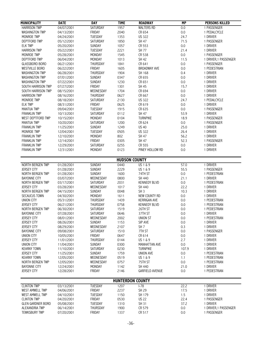| <b>MUNICIPALITY</b>      | <b>DATE</b> | <b>DAY</b>      | <b>TIME</b>             | <b>ROADWAY</b>         | <b>MP</b> | <b>PERSONS KILLED</b> |
|--------------------------|-------------|-----------------|-------------------------|------------------------|-----------|-----------------------|
| <b>HARRISON TWP</b>      | 04/07/2001  | SATURDAY        | 1957                    | <b>WALTERS RD</b>      | 0.0       | 1 PASSENGER           |
| <b>WASHINGTON TWP</b>    | 04/13/2001  | FRIDAY          | 2040                    | CR 654                 | 0.0       | 1 PEDALCYCLE          |
| MONROE TWP               | 04/24/2001  | TUESDAY         | 1353                    | <b>US 322</b>          | 24.7      | 1 DRIVER              |
| DEPTFORD TWP             | 05/12/2001  | SATURDAY        | 1850                    | SH 47                  | 71.5      | 1 PASSENGER           |
| <b>ELK TWP</b>           | 05/20/2001  | <b>SUNDAY</b>   | 1057                    | CR 553                 | 0.0       | 1 DRIVER              |
| <b>HARRISON TWP</b>      | 05/22/2001  | TUESDAY         | 2221                    | SH 77                  | 21.4      | 1 DRIVER              |
|                          |             |                 |                         |                        |           |                       |
| MONROE TWP               | 05/28/2001  | MONDAY          | 1545                    | CR 538                 | 0.0       | 1 PASSENGER           |
| DEPTFORD TWP             | 06/04/2001  | MONDAY          | 1013                    | SH 42                  | 11.5      | 1 DRIVER, 1 PASSENGER |
| <b>GLASSBORO BORO</b>    | 06/21/2001  | THURSDAY        | 1841                    | CR 641                 | 0.0       | 1 PASSENGER           |
| <b>WESTVILLE BORO</b>    | 06/22/2001  | FRIDAY          | 1605                    | <b>BROADWAY AVE</b>    | 0.0       | 1 PEDESTRIAN          |
| <b>WASHINGTON TWP</b>    | 06/28/2001  | THURSDAY        | 1904                    | SH 168                 | 0.4       | 1 DRIVER              |
| <b>WASHINGTON TWP</b>    | 07/01/2001  | SUNDAY          | 0347                    | CR 655                 | 0.0       | 1 DRIVER              |
| <b>WASHINGTON TWP</b>    | 07/22/2001  | SUNDAY          | 1230                    | CR 651                 | 0.0       | 1 DRIVER              |
| SOUTH HARRISON TWP       | 07/27/2001  | FRIDAY          | 1301                    | SH 45                  | 15.7      | 1 DRIVER              |
| SOUTH HARRISON TWP       | 08/15/2001  | WEDNESDAY       | 1704                    | CR 694                 | 0.0       | 1 DRIVER              |
|                          |             |                 |                         |                        |           |                       |
| <b>HARRISON TWP</b>      | 08/16/2001  | THURSDAY        | 0627                    | CR 667                 | 0.0       | 1 DRIVER              |
| MONROE TWP               | 08/18/2001  | SATURDAY        | 2130                    | <b>US 322</b>          | 24.7      | 1 PEDALCYCLE          |
| <b>ELK TWP</b>           | 08/31/2001  | FRIDAY          | 0625                    | CR 619                 | $0.0\,$   | 1 DRIVER              |
| <b>MANTUA TWP</b>        | 09/04/2001  | <b>TUESDAY</b>  | 1915                    | CR 635                 | 0.0       | 1 PASSENGER           |
| <b>FRANKLIN TWP</b>      | 10/13/2001  | SATURDAY        | 0112                    | SH 47                  | 53.9      | 1 DRIVER              |
| WEST DEPTFORD TWP        | 10/15/2001  | MONDAY          | 0104                    | <b>TURNPIKE</b>        | 18.9      | 1 PASSENGER           |
| <b>MANTUA TWP</b>        | 10/20/2001  | SATURDAY        | 1200                    | CR 624                 | 0.0       | 1 PASSENGER           |
| <b>FRANKLIN TWP</b>      | 11/25/2001  | <b>SUNDAY</b>   | 1249                    | <b>US 40</b>           | 25.0      | 1 DRIVER              |
| MONROE TWP               | 12/04/2001  | <b>TUESDAY</b>  | 0505                    | <b>US 322</b>          | 26.4      | 1 DRIVER              |
|                          |             |                 |                         |                        |           |                       |
| <b>FRANKLIN TWP</b>      | 12/10/2001  | MONDAY          | 802                     | SH 47                  | 56.2      | 1 DRIVER              |
| <b>FRANKLIN TWP</b>      | 12/14/2001  | FRIDAY          | 0305                    | SH 47                  | 52.3      | 1 PASSENGER           |
| <b>FRANKLIN TWP</b>      | 12/29/2001  | SATURDAY        | 0255                    | CR 555                 | $0.0\,$   | 1 DRIVER              |
| <b>FRANKLIN TWP</b>      | 12/31/2001  | MONDAY          | 0123                    | PINEY HOLLOW RD        | 0.0       | 1 DRIVER              |
|                          |             |                 |                         |                        |           |                       |
|                          |             |                 | <b>HUDSON COUNTY</b>    |                        |           |                       |
| NORTH BERGEN TWP         | 01/28/2001  | SUNDAY          | 0440                    | $\overline{US}$ 1 & 9  | 57.0      | 1 DRIVER              |
| <b>JERSEY CITY</b>       | 01/28/2001  | SUNDAY          | 2229                    | US 1 & 9               | 55.5      | 1 PASSENGER           |
| NORTH BERGEN TWP         | 01/28/2001  | SUNDAY          | 1600                    | 74TH ST                | 0.0       | 1 PEDESTRIAN          |
| <b>BAYONNE CITY</b>      | 03/07/2001  | WEDNESDAY       | 0800                    | SH 440                 | 21.1      | 1 DRIVER              |
| NORTH BERGEN TWP         | 03/17/2001  | SATURDAY        | 2031                    | <b>KENNEDY BLVD</b>    | 0.0       | 1 PEDESTRIAN          |
| <b>JERSEY CITY</b>       | 03/28/2001  | WEDNESDAY       | 1017                    | SH 440                 | 22.2      | 1 DRIVER              |
|                          | 04/15/2001  |                 |                         |                        |           |                       |
| NORTH BERGEN TWP         |             | <b>SUNDAY</b>   | 0048                    | SH <sub>3</sub>        | 10.3      | 1 DRIVER              |
| <b>SECAUCUS TOWN</b>     | 04/30/2001  | MONDAY          | 1611                    | NEW COUNTY RD          | 0.0       | 1 DRIVER              |
| <b>UNION CITY</b>        | 05/31/2001  | <b>THURSDAY</b> | 1439                    | <b>KERRIGAN AVE</b>    | 0.0       | 1 PEDESTRIAN          |
| <b>JERSEY CITY</b>       | 06/21/2001  | THURSDAY        | 0758                    | <b>KENNEDY BLVD</b>    | 0.0       | 1 PEDESTRIAN          |
| NORTH BERGEN TWP         | 06/30/2001  | SATURDAY        | 1519                    | 26TH ST                | 0.0       | 1 PEDESTRIAN          |
| <b>BAYONNE CITY</b>      | 07/28/2001  | SATURDAY        | 0646                    | 37TH ST                | 0.0       | 1 DRIVER              |
| <b>JERSEY CITY</b>       | 08/01/2001  | WEDNESDAY       | 2002                    | <b>UNION ST</b>        | $0.0\,$   | 1 PEDESTRIAN          |
| JERSEY CITY              | 08/26/2001  | SUNDAY          | 1153                    | SIP AVE                | 0.0       | 1 DRIVER              |
| <b>JERSEY CITY</b>       | 08/29/2001  | WEDNESDAY       | 2107                    | SH <sub>7</sub>        | 0.3       | 1 DRIVER              |
| <b>BAYONNE CITY</b>      | 09/08/2001  | SATURDAY        | 1510                    | 7TH ST                 | 0.0       | 1 PASSENGER           |
| <b>UNION CITY</b>        | 10/05/2001  | <b>FRIDAY</b>   | 0647                    | CR 614                 | 0.0       | 1 DRIVER              |
| JERSEY CITY              | 11/01/2001  | THURSDAY        | 0144                    | US 1 & 9               | 2.7       | 1 DRIVER              |
| <b>UNION CITY</b>        | 11/04/2001  | SUNDAY          | 0300                    | <b>MANHATTAN AVE</b>   | 0.0       | 1 DRIVER              |
| <b>KEARNY TOWN</b>       | 11/10/2001  | SATURDAY        | 0230                    | <b>TURNPIKE</b>        | 107.9     | 1 DRIVER              |
| <b>JERSEY CITY</b>       | 11/25/2001  | <b>SUNDAY</b>   | 1759                    | <b>UNION AVE</b>       | 0.0       | 1 PEDESTRIAN          |
| <b>KEARNY TOWN</b>       | 12/05/2001  | WEDNESDAY       | 0519                    | US 1 & 9               | 1.1       | 1 PEDESTRIAN          |
|                          |             |                 |                         |                        |           |                       |
| NORTH BERGEN TWP         | 12/05/2001  | WEDNESDAY       | 0757                    | 75TH ST                | $0.0\,$   | 1 PEDESTRIAN          |
| <b>BAYONNE CITY</b>      | 12/24/2001  | MONDAY          | 1142                    | SH 440                 | 21.0      | 1 DRIVER              |
| <b>JERSEY CITY</b>       | 12/28/2001  | FRIDAY          | 2146                    | <b>GARFIELD AVENUE</b> | 0.0       | 1 PEDESTRIAN          |
|                          |             |                 |                         |                        |           |                       |
|                          |             |                 | <b>HUNTERDON COUNTY</b> |                        |           |                       |
| <b>CLINTON TWP</b>       | 03/13/2001  | <b>TUESDAY</b>  | 1207                    | $1-78$                 | 22.2      | 1 DRIVER              |
| <b>WEST AMWELL TWP</b>   | 04/06/2001  | FRIDAY          | 2237                    | SH 29                  | 17.5      | 1 DRIVER              |
| <b>WEST AMWELL TWP</b>   | 04/10/2001  | <b>TUESDAY</b>  | 1150                    | SH 179                 | 1.5       | 1 DRIVER              |
| <b>CLINTON TWP</b>       | 04/20/2001  | FRIDAY          | 0530                    | <b>US 22</b>           | 22.4      | 1 PASSENGER           |
| <b>GLEN GARDNER BORO</b> | 05/08/2001  | TUESDAY         | 1310                    | SH 31                  | 37.2      | 1 DRIVER              |
| ALEXANDRIA TWP           | 06/14/2001  | THURSDAY        | 1900                    | CR 579                 | 0.0       | 1 DRIVER, 1 PASSENGER |
| <b>TEWKSBURY TWP</b>     | 07/20/2001  | FRIDAY          | 1337                    | CR 517                 | 0.0       | 1 PASSENGER           |
|                          |             |                 |                         |                        |           |                       |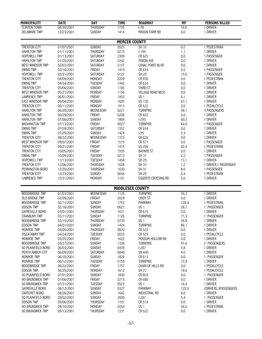| <b>MUNICIPALITY</b>                    | <b>DATE</b>              | <b>DAY</b>         | <b>TIME</b>             | <b>ROADWAY</b>                | <b>MP</b>      | <b>PERSONS KILLED</b>   |  |  |
|----------------------------------------|--------------------------|--------------------|-------------------------|-------------------------------|----------------|-------------------------|--|--|
| <b>CLINTON TOWN</b>                    | 08/30/2001               | <b>THURSDAY</b>    | 1735                    | $-78$                         | 16.6           | 1 DRIVER                |  |  |
| <b>DELAWARE TWP</b>                    | 12/23/2001               | SUNDAY             | 1414                    | MASON FARM RD                 | 0.0            | 1 DRIVER                |  |  |
|                                        |                          |                    |                         |                               |                |                         |  |  |
|                                        |                          |                    | <b>MERCER COUNTY</b>    |                               |                |                         |  |  |
| <b>TRENTON CITY</b>                    | 01/07/2001               | <b>SUNDAY</b>      | 2023                    | SH 33                         | 0.2            | 1 PEDESTRIAN            |  |  |
| <b>HAMILTON TWP</b>                    | 01/11/2001               | THURSDAY           | 0215                    | $1-195$                       | 1.1            | 1 DRIVER                |  |  |
| HOPEWELL TWP                           | 01/13/2001               | SATURDAY           | 2309                    | CR 625                        | 0.0            | 1 PASSENGER             |  |  |
| <b>HAMILTON TWP</b>                    | 01/20/2001<br>02/03/2001 | SATURDAY           | 2242                    | PAXON AVE<br>CANAL POINT BLVD | 0.0            | 1 DRIVER<br>1 DRIVER    |  |  |
| WEST WINDSOR TWP<br><b>EWING TWP</b>   | 02/16/2001               | SATURDAY<br>FRIDAY | 2157<br>1419            | CR 634                        | $0.0\,$<br>0.0 | 1 PASSENGER             |  |  |
| <b>HOPEWELL TWP</b>                    | 03/31/2001               | SATURDAY           | 0127                    | SH 29                         | 15.0           | 1 PASSENGER             |  |  |
| <b>TRENTON CITY</b>                    | 04/09/2001               | MONDAY             | 2209                    | CR 650                        | 0.0            | 1 PEDESTRIAN            |  |  |
| <b>EWING TWP</b>                       | 04/24/2001               | TUESDAY            | 1442                    | CR 634                        | 0.0            | 1 DRIVER                |  |  |
| <b>TRENTON CITY</b>                    | 05/06/2001               | <b>SUNDAY</b>      | 1105                    | THIRD ST                      | 0.0            | 1 DRIVER                |  |  |
| WEST WINDSOR TWP                       | 05/21/2001               | MONDAY             | 1156                    | <b>VILLAGE ROAD WEST</b>      | 0.0            | 1 DRIVER                |  |  |
| <b>LAWRENCE TWP</b>                    | 06/01/2001               | FRIDAY             | 1953                    | US <sub>1</sub>               | 6.1            | 1 DRIVER                |  |  |
| <b>EAST WINDSOR TWP</b>                | 06/04/2001               | MONDAY             | 1605                    | <b>US 130</b>                 | 67.1           | 1 DRIVER                |  |  |
| <b>TRENTON CITY</b>                    | 06/11/2001               | MONDAY             | 1913                    | CR 622                        | 0.0            | 1 PEDALCYCLE            |  |  |
| <b>HAMILTON TWP</b>                    | 06/20/2001               | WEDNESDAY          | 0221                    | <b>TURNPIKE</b>               | 58.1           | 3 PASSENGERS            |  |  |
| <b>HAMILTON TWP</b>                    | 06/29/2001               | <b>FRIDAY</b>      | 0206                    | CR 622                        | $0.0\,$        | 1 DRIVER                |  |  |
| <b>HAMILTON TWP</b>                    | 07/08/2001               | SUNDAY             | 1804                    | $1-295$                       | 60.2           | 1 DRIVER                |  |  |
| <b>WASHINGTON TWP</b>                  | 07/13/2001               | FRIDAY             | 0027                    | <b>TURNPIKE</b>               | 64.0           | 1 PASSENGER             |  |  |
| <b>EWING TWP</b>                       | 07/28/2001               | SATURDAY           | 1357                    | CR 634                        | $0.0\,$        | 1 DRIVER                |  |  |
| <b>EWING TWP</b>                       | 07/29/2001               | SUNDAY             | 1424                    | $I-95$                        | 2.3            | 1 DRIVER                |  |  |
| <b>TRENTON CITY</b>                    | 08/22/2001               | WEDNESDAY          | 1333                    | CR 626                        | $0.0\,$        | 1 DRIVER                |  |  |
| WEST WINDSOR TWP                       | 09/07/2001               | FRIDAY             | 1515                    | CR 571                        | 0.0            | 1 PASSENGER             |  |  |
| <b>TRENTON CITY</b>                    | 09/21/2001               | FRIDAY             | 1415                    | <b>US 206</b>                 | 42.4           | 1 PEDESTRIAN            |  |  |
| <b>TRENTON CITY</b>                    | 10/05/2001               | FRIDAY             | 1935                    | <b>BAYARD ST</b>              | $0.0\,$        | 1 DRIVER                |  |  |
| <b>EWING TWP</b>                       | 10/09/2001               | TUESDAY            | 0212                    | SH 31                         | 2.2            | 1 PASSENGER             |  |  |
| HOPEWELL TWP                           | 11/13/2001               | TUESDAY            | 1458                    | SH 29                         | 13.1           | 1 DRIVER                |  |  |
| <b>TRENTON CITY</b>                    | 12/06/2001               | THURSDAY           | 1038                    | SH 33                         | 1.2            | 1 DRIVER, 1 PASSENGER   |  |  |
| PENNINGTON BORO                        | 12/20/2001               | THURSDAY           | 1630                    | <b>SH 31</b>                  | 8.0            | 1 PASSENGER             |  |  |
| <b>TRENTON CITY</b>                    | 12/23/2001               | <b>SUNDAY</b>      | 0644                    | SH 29                         | 6.4            | 1 PEDESTRIAN            |  |  |
| <b>LAWRENCE TWP</b>                    | 12/31/2001               | MONDAY             | 1101                    | EGGERTS CROSSING RD           | 0.0            | 1 DRIVER                |  |  |
|                                        |                          |                    | <b>MIDDLESEX COUNTY</b> |                               |                |                         |  |  |
| WOODBRIDGE TWP                         | 01/03/2001               | WEDNESDAY          | 1125                    | <b>TURNPIKE</b>               | 93.3           | 1 DRIVER                |  |  |
| OLD BRIDGE TWP                         | 02/09/2001               | FRIDAY             | 2029                    | <b>CINDY ST</b>               | 0.0            | 1 DRIVER                |  |  |
| WOODBRIDGE TWP                         | 02/11/2001               | SUNDAY             | 1753                    | <b>PARKWAY</b>                | 128.4          | 1 PEDESTRIAN            |  |  |
| <b>EDISON TWP</b>                      | 02/18/2001               | <b>SUNDAY</b>      | 0627                    | US <sub>1</sub>               | 28.7           | 1 PASSENGER             |  |  |
| SAYREVILLE BORO                        | 03/01/2001               | THURSDAY           | 1631                    | CR 615                        | 0.0            | 1 DRIVER                |  |  |
| <b>CRANBURY TWP</b>                    | 03/11/2001               | SUNDAY             | 1126                    | <b>TURNPIKE</b>               | 71.3           | 1 PASSENGER             |  |  |
| WOODBRIDGE TWP                         | 03/15/2001               | THURSDAY           | 0739                    | US <sub>1</sub>               | 36.8           | 1 DRIVER                |  |  |
| <b>EDISON TWP</b>                      | 04/01/2001               | <b>SUNDAY</b>      | 1424                    | <b>TURNPIKE</b>               | 86.1           | 1 DRIVER                |  |  |
| MONROE TWP                             | 04/05/2001               | THURSDAY           | 0820                    | CR 522                        | 0.0            | 1 DRIVER                |  |  |
| PISCATAWAY TWP                         | 04/24/2001               | TUESDAY            | 0033                    | CR 529                        | 0.0            | 1 PEDALCYCLE            |  |  |
| <b>MONROE TWP</b>                      | 05/25/2001               | FRIDAY             | 1622                    | POSSUM HOLLOW RD              | 0.0            | 1 DRIVER                |  |  |
| WOODBRIDGE TWP                         | 05/27/2001               | SUNDAY             | 1336                    | <b>TURNPIKE</b>               | 91.6           | 2 PASSENGERS            |  |  |
| SO PLAINFIELD BORO<br>PERTH AMBOY CITY | 06/03/2001               | SUNDAY<br>SATURDAY | 0439                    | $1-287$<br>SH 440             | 5.8            | 1 DRIVER                |  |  |
| MONROE TWP                             | 06/09/2001               | <b>SUNDAY</b>      | 0840<br>1829            |                               | 4.0<br>0.0     | 1 DRIVER<br>1 PASSENGER |  |  |
| MONROE TWP                             | 06/10/2001<br>06/12/2001 | <b>TUESDAY</b>     | 0159                    | CR 613<br><b>TURNPIKE</b>     | 73.9           | 1 DRIVER                |  |  |
| WOODBRIDGE TWP                         | 06/22/2001               | FRIDAY             | 1757                    | CHAIN OF HILLS RD             | 0.0            | 1 PEDALCYCLE            |  |  |
| <b>EDISON TWP</b>                      | 06/25/2001               | MONDAY             | 1612                    | SH 27                         | 18.6           | 1 PEDALCYCLE            |  |  |
| SO PLAINFIELD BORO                     | 07/01/2001               | SUNDAY             | 1840                    | CR 603                        | $0.0\,$        | 1 PASSENGER             |  |  |
| NO BRUNSWICK TWP                       | 07/06/2001               | FRIDAY             | 2213                    | CR 680                        | 0.0            | 1 DRIVER                |  |  |
| SO BRUNSWICK TWP                       | 07/31/2001               | TUESDAY            | 0523                    | US <sub>1</sub>               | 16.4           | 1 DRIVER                |  |  |
| SAYREVILLE BORO                        | 08/12/2001               | SUNDAY             | 0327                    | PARKWAY                       | 125.0          | 2DRIVERS, 3PASSENGERS   |  |  |
| CARTERET BORO                          | 08/26/2001               | SUNDAY             | 1642                    | <b>INDUSTRIAL RD</b>          | 0.0            | 1 DRIVER                |  |  |
| SO PLAINFIELD BORO                     | 09/02/2001               | SUNDAY             | 2000                    | $1-287$                       | 5.4            | 1 PASSENGER             |  |  |
| <b>EDISON TWP</b>                      | 09/06/2001               | THURSDAY           | 1101                    | CR 514                        | 0.0            | 1 DRIVER                |  |  |
| NO BRUNSWICK TWP                       | 09/10/2001               | MONDAY             | 2054                    | US <sub>1</sub>               | 36.6           | 1 PEDESTRIAN            |  |  |
| SO BRUNSWICK TWP                       | 09/13/2001               | THURSDAY           | 1331                    | CR 522                        | 0.0            | 1 DRIVER                |  |  |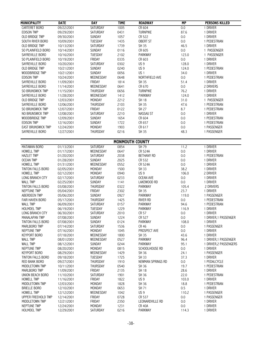| <b>MUNICIPALITY</b>                     | <b>DATE</b>              | <b>DAY</b>          | <b>TIME</b>            | <b>ROADWAY</b>            | <b>MP</b>        | <b>PERSONS KILLED</b>       |
|-----------------------------------------|--------------------------|---------------------|------------------------|---------------------------|------------------|-----------------------------|
| <b>CARTERET BORO</b>                    | 09/22/2001               | <b>SATURDAY</b>     | 1005                   | CR 604                    | 0.0              | 1 DRIVER                    |
| <b>EDISON TWP</b>                       | 09/29/2001               | SATURDAY            | 0431                   | <b>TURNPIKE</b>           | 87.6             | 1 DRIVER                    |
| OLD BRIDGE TWP                          | 09/30/2001               | <b>SUNDAY</b>       | 1057                   | CR 522                    | 0.0              | 1 DRIVER                    |
| SOUTH RIVER BORO                        | 10/09/2001               | TUESDAY             | 1435                   | <b>OBERT ST</b>           | 0.0              | 1 PEDESTRIAN                |
| OLD BRIDGE TWP                          | 10/13/2001               | SATURDAY            | 1739                   | SH 35                     | 46.5             | 1 DRIVER                    |
| SO PLAINFIELD BORO                      | 10/14/2001               | SUNDAY              | 0116                   | CR 605                    | 0.0              | 1 PASSENGER                 |
| SAYREVILLE BORO                         | 10/16/2001               | <b>TUESDAY</b>      | 2102                   | PARKWAY                   | 123.0            | 1 PASSENGER                 |
| SO PLAINFIELD BORO                      | 10/19/2001               | FRIDAY              | 0335                   | CR 603                    | 0.0              | 1 DRIVER                    |
| SAYREVILLE BORO                         | 10/20/2001               | SATURDAY            | 0302                   | US <sub>9</sub>           | 128.0            | 1 DRIVER                    |
| OLD BRIDGE TWP                          | 10/21/2001               | SUNDAY              | 0240                   | US <sub>9</sub>           | 124.0            | 1 PEDESTRIAN                |
| WOODBRIDGE TWP                          | 10/21/2001               | SUNDAY              | 0056                   | US <sub>1</sub>           | 34.0             | 1 DRIVER                    |
| <b>EDISON TWP</b>                       | 10/24/2001               | WEDNESDAY           | 0648                   | NORTHFIELD AVE            | 0.0              | 1 PEDESTRIAN                |
| SAYREVILLE BORO                         | 11/09/2001               | FRIDAY              | 1814                   | SH 35                     | 51.4             | 1 DRIVER                    |
| SAYREVILLE BORO                         | 11/14/2001               | WEDNESDAY           | 0641                   | CR 670                    | 0.0              | 2 DRIVERS                   |
| SO BRUNSWICK TWP                        | 11/15/2001               | THURSDAY            | 0656                   | <b>TURNPIKE</b>           | 76.2             | 1 DRIVER                    |
| SAYREVILLE BORO                         | 11/28/2001               | WEDNESDAY           | 1412                   | PARKWAY                   | 124.0            | 1 DRIVER                    |
| OLD BRIDGE TWP                          | 12/03/2001               | MONDAY              | 2212                   | <b>SH 18</b>              | 31.0             | 1 PASSENGER                 |
| SAYREVILLE BORO                         | 12/06/2001               | THURSDAY            | 2103                   | SH 35                     | 47.6             | 1 PEDESTRIAN                |
| SO BRUNSWICK TWP                        | 12/07/2001               | FRIDAY              | 0122                   | SH 27                     | 8.7              | 1 PEDESTRIAN                |
| NO BRUNSWICK TWP                        | 12/08/2001               | SATURDAY            | 2210                   | NASSAU ST                 | $0.0\,$          | 1 DRIVER                    |
| WOODBRIDGE TWP                          | 12/09/2001               | SUNDAY              | 1654                   | CR 604                    | 0.0              | 1 PEDESTRIAN                |
| <b>EDISON TWP</b>                       | 12/16/2001               | SUNDAY              | 1722                   | CR 657                    | 0.0              | 1 PEDESTRIAN                |
| <b>EAST BRUNSWICK TWP</b>               | 12/24/2001               | MONDAY              | 1903                   | CR 617                    | 0.0              | 1 PASSENGER                 |
| SAYREVILLE BORO                         | 12/27/2001               | THURSDAY            | 0216                   | SH 35                     | 48.3             | 1 PASSENGER                 |
|                                         |                          |                     |                        |                           |                  |                             |
|                                         |                          |                     | <b>MONMOUTH COUNTY</b> |                           |                  |                             |
| <b>MATAWAN BORO</b>                     | 01/13/2001               | SATURDAY            | 0854                   | SH 79                     | 11.2             | 1 DRIVER                    |
| <b>HOWELL TWP</b>                       | 01/17/2001               | WEDNESDAY           | 0647                   | CR 524A                   | $0.0\,$          | 1 DRIVER                    |
| <b>HAZLET TWP</b>                       | 01/20/2001               | SATURDAY            | 2038                   | <b>BETHANY RD</b>         | 0.0              | 1 PEDESTRIAN                |
| <b>OCEAN TWP</b>                        | 01/28/2001               | <b>SUNDAY</b>       | 2025                   | CR 532                    | 0.0              | 1 DRIVER                    |
| <b>HOWELL TWP</b>                       | 01/31/2001               | WEDNESDAY           | 0552                   | CR 524A                   | 0.0              | 1 DRIVER                    |
| TINTON FALLS BORO                       | 02/05/2001               | MONDAY              | 1500                   | SH 33                     | 38.2             | 1 DRIVER                    |
| <b>HOWELL TWP</b>                       | 02/12/2001               | MONDAY              | 0940                   | US <sub>9</sub>           | 106.0            | 2 DRIVER                    |
| LONG BRANCH CITY                        | 02/17/2001               | SATURDAY            | 0233                   | <b>OCEAN AVE</b>          | 0.0              | 1 DRIVER                    |
| <b>WALL TWP</b>                         | 02/25/2001               | <b>SUNDAY</b>       | 1141                   | LAKEWOOD RD               | 0.0              | 1 DRIVER                    |
| TINTON FALLS BORO                       | 03/08/2001               | <b>THURSDAY</b>     | 0322                   | PARKWAY                   | 105.4            | 2 DRIVERS                   |
| NEPTUNE TWP                             | 05/04/2001               | FRIDAY              | 2302                   | SH 35<br><b>PARKWAY</b>   | 23.7             | 1 DRIVER                    |
| ABERDEEN TWP<br><b>FAIR HAVEN BORO</b>  | 05/06/2001<br>05/17/2001 | SUNDAY<br>THURSDAY  | 0927<br>1425           | <b>RIVER RD</b>           | 119.0<br>$0.0\,$ | 1 PASSENGER<br>1 PEDESTRIAN |
| <b>WALL TWP</b>                         | 06/09/2001               | SATURDAY            | 0157                   | PARKWAY                   | 94.6             | 1 PEDESTRIAN                |
| HOLMDEL TWP                             | 06/19/2001               | TUESDAY             | 1229                   | <b>PARKWAY</b>            | 116.9            | 1 DRIVER                    |
| LONG BRANCH CITY                        | 06/30/2001               | SATURDAY            | 2010                   | CR 57                     | 0.0              | 1 DRIVER                    |
| <b>MANALAPAN TWP</b>                    | 07/08/2001               | SUNDAY              | 1224                   | CR 527                    | $0.0\,$          | 1 DRIVER, 1 PASSENGER       |
| TINTON FALLS BORO                       | 07/08/2001               | SUNDAY              | 0124                   | PARKWAY                   | 108.0            | 1 DRIVER                    |
| MARLBORO TWP                            | 07/14/2001               | SATURDAY            | 1536                   | CR 46                     | 0.0              | 1 PASSENGER                 |
| NEPTUNE TWP                             | 07/16/2001               | MONDAY              | 1045                   | PROSPECT AVE              | 0.0              | 1 DRIVER                    |
| <b>KEYPORT BORO</b>                     | 07/18/2001               | WEDNESDAY           | 1800                   | SH 35                     | 43.6             | 1 DRIVER                    |
| <b>WALL TWP</b>                         | 08/01/2001               | WEDNESDAY           | 0527                   | <b>PARKWAY</b>            | 96.4             | 1 DRIVER, 1 PASSENGER       |
| <b>WALL TWP</b>                         | 08/12/2001               | <b>SUNDAY</b>       | 0244                   | <b>PARKWAY</b>            | 95.1             | 1 DRIVER, 2 PASSENGERS      |
| NEPTUNE TWP                             | 08/20/2001               | MONDAY              | 0815                   | SCHOOLHOUSE RD            | 0.0              | 1 DRIVER                    |
| <b>KEYPORT BORO</b>                     | 08/29/2001               | WEDNESDAY           | 1429                   | SH 36                     | 24.1             | 1 PASSENGER                 |
| TINTON FALLS BORO                       | 09/18/2001               | TUESDAY             | 1725                   | SH 33                     | 37.3             | 1 DRIVER                    |
| RED BANK BORO                           | 09/27/2001               | THURSDAY            | 1910                   | NEWMAN SPRINGS RD         | 0.0              | 1 PEDALCYCLE                |
| MIDDLETOWN TWP                          | 10/11/2001               | THURSDAY            | 0540                   | SH 36                     | 19.7             | 1 PEDESTRIAN                |
| MARLBORO TWP                            | 11/09/2001               | FRIDAY              | 2135                   | <b>SH 18</b>              | 28.6             | 1 DRIVER                    |
| UNION BEACH BORO                        | 11/10/2001               | SATURDAY            | 1901                   | SH 36                     | 22.0             | 1 PEDESTRIAN                |
| <b>HOWELL TWP</b>                       | 11/16/2001               | FRIDAY              | 1822                   | US <sub>9</sub>           | 103.0            | 1 DRIVER                    |
| MIDDLETOWN TWP                          | 12/03/2001               | MONDAY              | 1828                   | SH 36                     | 18.8             | 1 PEDESTRIAN                |
| <b>BRIELLE BORO</b>                     | 12/10/2001               | MONDAY              | 0653                   | SH 71                     | 0.5              | 1 DRIVER                    |
| <b>HOWELL TWP</b><br>UPPER FREEHOLD TWP | 12/12/2001               | WEDNESDAY<br>FRIDAY | 1042<br>0728           | US <sub>9</sub><br>CR 537 | 110.2<br>$0.0\,$ | 1 PASSENGER<br>1 PASSENGER  |
| MIDDLETOWN TWP                          | 12/14/2001<br>12/21/2001 | FRIDAY              | 2350                   | LEONARDVILLE RD           | 0.0              | 1 DRIVER                    |
| NEPTUNE TWP                             | 12/24/2001               | MONDAY              | 1231                   | <b>CR 40A</b>             | 0.0              | 1 DRIVER                    |
| HOLMDEL TWP                             | 12/29/2001               | SATURDAY            | 0216                   | PARKWAY                   | 114.3            | 1 DRIVER                    |
|                                         |                          |                     |                        |                           |                  |                             |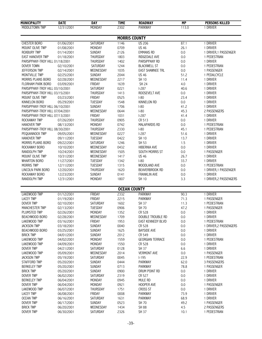| <b>MUNICIPALITY</b>             | <b>DATE</b> | <b>DAY</b>     | <b>TIME</b>         | <b>ROADWAY</b>           | <b>MP</b> | <b>PERSONS KILLED</b>  |
|---------------------------------|-------------|----------------|---------------------|--------------------------|-----------|------------------------|
| MIDDLETOWN TWP                  | 12/31/2001  | <b>MONDAY</b>  | 2302                | <b>PARKWAY</b>           | 113.0     | 1 DRIVER               |
|                                 |             |                |                     |                          |           |                        |
|                                 |             |                |                     | <b>MORRIS COUNTY</b>     |           |                        |
| <b>CHESTER BORO</b>             | 01/06/2001  | SATURDAY       | 1146                | <b>US 206</b>            | 87.1      | 1 DRIVER               |
| MOUNT OLIVE TWP                 | 01/08/2001  | MONDAY         | 0709                | <b>US 46</b>             | 26.1      | 1 DRIVER               |
| <b>ROXBURY TWP</b>              | 01/14/2001  | SUNDAY         | 2126                | <b>EMMANS RD</b>         | 0.0       | 1 DRIVER, 1 PASSENGER  |
| <b>EAST HANOVER TWP</b>         | 01/18/2001  | THURSDAY       | 1803                | RIDGEDALE AVE            | $0.0\,$   | 1 PEDESTRIAN           |
| PARSIPPANY-TROY HILL 01/18/2001 |             | THURSDAY       | 1402                | PARSIPPANY RD            | $0.0\,$   | 1 DRIVER               |
| DOVER TOWN                      | 02/10/2001  | SATURDAY       | 1244                | <b>BLACKWELL ST</b>      | $0.0\,$   | 1 PEDESTRIAN           |
| <b>JEFFERSON TWP</b>            | 02/14/2001  | WEDNESDAY      | 1035                | <b>EAST SHAWNEE TRL</b>  | 0.0       | 1 PASSENGER            |
| MONTVILLE TWP                   | 02/25/2001  | SUNDAY         | 2044                | <b>US 46</b>             | 51.2      | 1 PEDALCYCLE           |
| MORRIS PLAINS BORO              | 02/28/2001  | WEDNESDAY      | 2217                | SH 10                    | 11.4      | 1 DRIVER               |
| FLORHAM PARK BORO               | 03/09/2001  | FRIDAY         | 1639                | <b>SH 24</b>             | 4.0       | 1 DRIVER               |
| PARSIPPANY-TROY HILL 03/10/2001 |             | SATURDAY       | 0221                | $1-287$                  | 40.6      | 1 DRIVER               |
| PARSIPPANY-TROY HILL 03/15/2001 |             | THURSDAY       | 1413                | ROOSEVELT AVE            | 0.0       | 1 DRIVER               |
| MOUNT OLIVE TWP                 | 03/23/2001  | FRIDAY         | 0525                | $ -80$                   | 23.4      | 1 DRIVER               |
| KINNELON BORO                   | 05/29/2001  | TUESDAY        | 1548                | <b>KINNELON RD</b>       | 0.0       | 1 DRIVER               |
| PARSIPPANY-TROY HILL 06/10/2001 |             | <b>SUNDAY</b>  | 1706                | $ -80$                   | 41.2      | 1 DRIVER               |
| PARSIPPANY-TROY HILL 07/04/2001 |             | WEDNESDAY      | 0644                | $I-80$                   | 45.3      | 2 PASSENGERS           |
| PARSIPPANY-TROY HILL 07/13/2001 |             | FRIDAY         | 1031                | $1-287$                  | 41.4      | 1 DRIVER               |
| <b>ROCKAWAY TWP</b>             | 07/26/2001  | THURSDAY       | 0905                | CR 513                   | 0.0       | 1 DRIVER               |
| <b>HANOVER TWP</b>              | 08/13/2001  | MONDAY         | 0742                | <b>MALAPARDIS RD</b>     | $0.0\,$   | 1 PEDESTRIAN           |
| PARSIPPANY-TROY HILL 08/30/2001 |             | THURSDAY       | 2330                | $I-80$                   | 45.1      | 1 PEDESTRIAN           |
| PEQUANNOCK TWP                  | 09/05/2001  | WEDNESDAY      | 0227                | $1-287$                  | 51.6      | 1 DRIVER               |
| <b>HANOVER TWP</b>              | 09/11/2001  | <b>TUESDAY</b> | 0422                | <b>SH 10</b>             | 13.7      | 1 DRIVER               |
| MORRIS PLAINS BORO              | 09/22/2001  | SATURDAY       | 1246                | SH 53                    | 1.5       | 1 DRIVER               |
| ROCKAWAY BORO                   | 10/10/2001  | WEDNESDAY      | 0432                | <b>HIBERNIA AVE</b>      | 0.0       | 1 DRIVER               |
| <b>RANDOLPH TWP</b>             | 10/24/2001  | WEDNESDAY      | 1505                | SOUTH MORRIS ST          | 0.0       | 1 PASSENGER            |
| MOUNT OLIVE TWP                 | 10/31/2001  | WEDNESDAY      | 1417                | <b>US 46</b>             | 26.7      | 1 DRIVER               |
| <b>WHARTON BORO</b>             | 11/27/2001  | <b>TUESDAY</b> | 1342                | $ -80$                   | 33.7      | 1 DRIVER               |
| <b>MORRIS TWP</b>               | 12/11/2001  | TUESDAY        | 1315                | WOODLAND AVE             | 0.0       | 1 PEDESTRIAN           |
| LINCOLN PARK BORO               | 12/20/2001  | THURSDAY       | 1620                | <b>BEAVERBROOK RD</b>    | 0.0       | 1 DRIVER, 1 PASSENGER  |
| ROCKAWAY BORO                   | 12/23/2001  | SUNDAY         | 0141                | <b>FRANKLIN AVE</b>      | $0.0\,$   | 1 DRIVER               |
| RANDOLPH TWP                    | 12/31/2001  | MONDAY         | 1807                | <b>SH 10</b>             | 3.3       | 1 DRIVER, 2 PASSENGERS |
|                                 |             |                |                     |                          |           |                        |
| <b>LAKEWOOD TWP</b>             |             |                | <b>OCEAN COUNTY</b> |                          |           | 1 DRIVER               |
|                                 | 01/12/2001  | FRIDAY         | 2332                | PARKWAY                  | 90.3      |                        |
| <b>LACEY TWP</b>                | 01/19/2001  | FRIDAY         | 2215                | <b>PARKWAY</b>           | 71.3      | 1 PASSENGER            |
| <b>DOVER TWP</b>                | 02/10/2001  | SATURDAY       | 1602                | <b>SH 37</b>             | 11.3      | 1 PEDESTRIAN           |
| <b>MANCHESTER TWP</b>           | 02/13/2001  | TUESDAY        | 0906                | <b>SH 70</b>             | 47.2      | 1 PASSENGER            |
| PLUMSTED TWP                    | 02/26/2001  | MONDAY         | 1352                | CR 528                   | 0.0       | 1 DRIVER               |
| BEACHWOOD BORO                  | 02/28/2001  | WEDNESDAY      | 1709                | DOUBLE TROUBLE RD        | 0.0       | 1 DRIVER               |
| LAKEWOOD TWP                    | 03/16/2001  | FRIDAY         | 1953                | <b>EAST KENNEDY BLVD</b> | 0.0       | 1 PEDESTRIAN           |
| <b>JACKSON TWP</b>              | 03/18/2001  | SUNDAY         | 0040                | CR 528                   | 0.0       | 1 DRIVER, 2 PASSENGERS |
| BEACHWOOD BORO                  | 03/25/2001  | SUNDAY         | 1625                | <b>BAYSIDE AVE</b>       | 0.0       | 1 DRIVER               |
| <b>BRICK TWP</b>                | 04/01/2001  | SUNDAY         | 2012                | CR 549                   | 0.0       | 1 DRIVER               |
| <b>LAKEWOOD TWP</b>             | 04/02/2001  | MONDAY         | 1559                | <b>GEORGIAN TERRACE</b>  | 0.0       | 1 PEDESTRIAN           |
| <b>LAKEWOOD TWP</b>             | 04/09/2001  | MONDAY         | 1550                | CR 528                   | 0.0       | 1 DRIVER               |
| <b>DOVER TWP</b>                | 04/21/2001  | SATURDAY       | 0128                | SH 37                    | 6.6       | 1 DRIVER               |
| <b>LAKEWOOD TWP</b>             | 05/09/2001  | WEDNESDAY      | 2014                | <b>VERMONT AVE</b>       | 0.0       | 1 PASSENGER            |
| <b>JACKSON TWP</b>              | 05/19/2001  | SATURDAY       | 0045                | $1-195$                  | 22.9      | 1 PEDESTRIAN           |
| <b>STAFFORD TWP</b>             | 05/20/2001  | <b>SUNDAY</b>  | 0444                | <b>PARKWAY</b>           | 62.0      | 3 PASSENGERS           |
| <b>BERKELEY TWP</b>             | 05/20/2001  | SUNDAY         | 0713                | <b>PARKWAY</b>           | 78.8      | 1 PASSENGER            |
| <b>BRICK TWP</b>                | 05/20/2001  | SUNDAY         | 0900                | DRUM POINT RD            | 0.0       | 1 DRIVER               |
| <b>DOVER TWP</b>                | 06/02/2001  | SATURDAY       | 2319                | CR 527                   | 0.0       | 1 DRIVER               |
| <b>BERKELEY TWP</b>             | 06/04/2001  | MONDAY         | 0945                | MULE RD                  | 0.0       | 1 DRIVER               |
| <b>DOVER TWP</b>                | 06/04/2001  | MONDAY         | 0921                | HOOPER AVE               | 0.0       | 1 PASSENGER            |
| <b>LAKEWOOD TWP</b>             | 06/07/2001  | THURSDAY       | 1751                | <b>CROSS ST</b>          | 0.0       | 1 DRIVER               |
| <b>LACEY TWP</b>                | 06/08/2001  | FRIDAY         | 0008                | PARKWAY                  | 73.9      | 1 DRIVER               |
| <b>OCEAN TWP</b>                | 06/16/2001  | SATURDAY       | 1631                | <b>PARKWAY</b>           | 68.9      | 1 DRIVER               |
| <b>DOVER TWP</b>                | 06/17/2001  | SUNDAY         | 0523                | <b>SH 70</b>             | 49.2      | 1 PASSENGER            |
| <b>BRICK TWP</b>                | 06/20/2001  | WEDNESDAY      | 1434                | <b>SH 88</b>             | 4.5       | 2 PASSENGERS           |
| DOVER TWP                       | 06/30/2001  | SATURDAY       | 2326                | SH 37                    | 10.1      | 1 PEDESTRIAN           |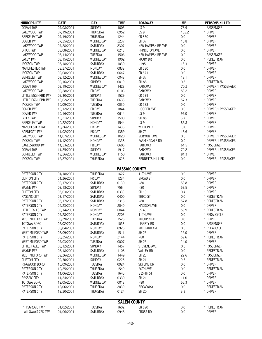| <b>MUNICIPALITY</b> | <b>DATE</b> | <b>DAY</b>      | <b>TIME</b>           | <b>ROADWAY</b>          | <b>MP</b> | <b>PERSONS KILLED</b> |  |
|---------------------|-------------|-----------------|-----------------------|-------------------------|-----------|-----------------------|--|
| <b>OCEAN TWP</b>    | 07/08/2001  | <b>SUNDAY</b>   | 1003                  | US <sub>9</sub>         | 78.9      | 1 PASSENGER           |  |
| LAKEWOOD TWP        | 07/19/2001  | THURSDAY        | 0952                  | US <sub>9</sub>         | 102.2     | 1 DRIVER              |  |
| <b>BERKELEY TWP</b> | 07/19/2001  | THURSDAY        | 1244                  | CR 530                  | 0.0       | 1 DRIVER              |  |
| <b>DOVER TWP</b>    | 07/25/2001  | WEDNESDAY       | 2237                  | SH 37                   | 10.8      | 1 DRIVER              |  |
| LAKEWOOD TWP        | 07/28/2001  | SATURDAY        | 2307                  | NEW HAMPSHIRE AVE       | 0.0       | 1 DRIVER              |  |
| <b>BRICK TWP</b>    | 08/08/2001  | WEDNESDAY       | 0213                  | PRINCETON AVE           | $0.0\,$   | 1 DRIVER              |  |
| LAKEWOOD TWP        | 08/14/2001  | <b>TUESDAY</b>  | 1506                  | NEW HAMPSHIRE AVE       | 0.0       | 1 PASSENGER           |  |
| <b>LACEY TWP</b>    | 08/15/2001  | WEDNESDAY       | 1902                  | <b>MAXIM DR</b>         | 0.0       | 1 PEDESTRIAN          |  |
| <b>JACKSON TWP</b>  | 08/18/2001  | SATURDAY        | 1030                  | $1-195$                 | 18.3      | 1 DRIVER              |  |
| MANCHESTER TWP      | 08/27/2001  | MONDAY          | 0838                  | CR 530                  | 0.0       | 1 DRIVER              |  |
| <b>JACKSON TWP</b>  | 09/08/2001  | SATURDAY        | 0647                  | CR 571                  | $0.0\,$   | 1 DRIVER              |  |
| <b>BERKELEY TWP</b> | 09/12/2001  | WEDNESDAY       | 0943                  | SH 37                   | 13.1      | 1 DRIVER              |  |
| LAKEWOOD TWP        | 09/16/2001  | SUNDAY          | 0019                  | <b>SH 88</b>            | 0.8       | 1 PEDESTRIAN          |  |
| <b>OCEAN TWP</b>    | 09/19/2001  | WEDNESDAY       | 1423                  | PARKWAY                 | 70.2      | 1 DRIVER, 1 PASSENGER |  |
| LAKEWOOD TWP        | 09/28/2001  | FRIDAY          | 0106                  | PARKWAY                 | 88.2      | 1 DRIVER              |  |
| LITTLE EGG HRBR TWP | 09/30/2001  | SUNDAY          | 1529                  | CR 539                  | 0.0       | 1 DRIVER              |  |
| LITTLE EGG HRBR TWP | 10/02/2001  | TUESDAY         | 0635                  | PARKWAY                 | 57.3      | 1 DRIVER              |  |
| <b>JACKSON TWP</b>  | 10/09/2001  | TUESDAY         | 0030                  | CR 528                  | $0.0\,$   | 1 DRIVER              |  |
| DOVER TWP           | 10/12/2001  | FRIDAY          | 1844                  | HOOPER AVE              | 0.0       | 1 DRIVER, 1 PASSENGER |  |
| <b>DOVER TWP</b>    | 10/16/2001  | TUESDAY         | 0614                  | US <sub>9</sub>         | 96.0      | 1 DRIVER              |  |
| <b>BRICK TWP</b>    | 10/21/2001  | SUNDAY          | 1500                  | <b>SH 88</b>            | 3.7       | 1 DRIVER              |  |
| <b>BERKELEY TWP</b> | 10/22/2001  | MONDAY          | 1544                  | US <sub>9</sub>         | 85.8      | 1 DRIVER              |  |
| MANCHESTER TWP      | 10/26/2001  | FRIDAY          | 1436                  | <b>WELDON RD</b>        | $0.0\,$   | 1 DRIVER              |  |
| <b>BARNEGAT TWP</b> | 11/02/2001  | FRIDAY          | 1359                  | SH 72                   | 15.6      | 1 DRIVER              |  |
| LAKEWOOD TWP        | 11/07/2001  | WEDNESDAY       | 1020                  | <b>VERMONT AVE</b>      | 0.0       | 1 DRIVER, 1 PASSENGER |  |
| <b>JACKSON TWP</b>  | 11/12/2001  | MONDAY          | 1338                  | FARMINGDALE RD          | 0.0       | 1 DRIVER, 1 PASSENGER |  |
| EAGLESWOOD TWP      | 11/23/2001  | FRIDAY          | 0606                  | <b>PARKWAY</b>          | 61.5      | 1 PASSENGER           |  |
| <b>OCEAN TWP</b>    | 11/25/2001  | SUNDAY          | 1917                  | PARKWAY                 | 70.2      | 1 DRIVER, 1 PASSENGER |  |
| <b>BERKELEY TWP</b> | 12/26/2001  | WEDNESDAY       | 1150                  | <b>PARKWAY</b>          | 81.3      | 1 DRIVER              |  |
| <b>JACKSON TWP</b>  | 12/27/2001  | THURSDAY        | 1628                  | <b>BENNETTS MILL RD</b> | 0.0       | 1 DRIVER, 1 PASSENGER |  |
|                     |             |                 |                       |                         |           |                       |  |
|                     |             |                 | <b>PASSAIC COUNTY</b> |                         |           |                       |  |
| PATERSON CITY       | 01/18/2001  | THURSDAY        | 1627                  | 11TH AVE                | 0.0       | 1 DRIVER              |  |
| <b>CLIFTON CITY</b> | 01/26/2001  | FRIDAY          | 1234                  | <b>BROAD ST</b>         | 0.0       | 1 DRIVER              |  |
| PATERSON CITY       | 02/17/2001  | SATURDAY        | 0130                  | $I-80$                  | 58.8      | 1 DRIVER              |  |
| <b>WAYNE TWP</b>    | 02/18/2001  | <b>SUNDAY</b>   | 756                   | $I-80$                  | 53.5      | 1 DRIVER              |  |
| <b>CLIFTON CITY</b> | 03/03/2001  | SATURDAY        | 0333                  | SH 19                   | 0.4       | 1 DRIVER              |  |
| PASSAIC CITY        | 03/17/2001  | SATURDAY        | 0400                  | THIRD ST                | 0.0       | 1 PEDESTRIAN          |  |
| PATERSON CITY       | 03/17/2001  | <b>SATURDAY</b> | 2315                  | $I-80$                  | 57.8      | 1 PEDESTRIAN          |  |
| PATERSON CITY       | 04/23/2001  | MONDAY          | 2040                  | MADISON AVE             | 0.0       | 1 DRIVER              |  |
| LITTLE FALLS TWP    | 05/14/2001  | MONDAY          | 0044                  | <b>US 46</b>            | 59.9      | 1 PEDESTRIAN          |  |
| PATERSON CITY       | 05/28/2001  | MONDAY          | 2203                  | 11TH AVE                | 0.0       | 1 PEDALCYCLE          |  |
| WEST MILFORD TWP    | 05/29/2001  | TUESDAY         | 1528                  | MACOPIN RD              | 0.0       | 1 DRIVER              |  |
| <b>TOTOWA BORO</b>  | 06/02/2001  | SATURDAY        | 1038                  | <b>LIBERTY RD</b>       | 0.0       | 1 PASSENGER           |  |
| PATERSON CITY       | 06/04/2001  | MONDAY          | 0926                  | MAITLAND AVE            | 0.0       | 1 PEDALCYCLE          |  |
| WEST MILFORD TWP    | 06/09/2001  | SATURDAY        | 1511                  | <b>SH 23</b>            | 22.0      | 1 DRIVER              |  |
| PATERSON CITY       | 06/25/2001  | MONDAY          | 2144                  | $I-80$                  | 59.6      | 1 PEDESTRIAN          |  |
| WEST MILFORD TWP    | 07/03/2001  | TUESDAY         | 0007                  | <b>SH 23</b>            | 24.0      | 1 DRIVER              |  |
| LITTLE FALLS TWP    | 08/12/2001  | <b>SUNDAY</b>   | 1457                  | <b>STEVENS AVE</b>      | 0.0       | 1 PASSENGER           |  |
| <b>WAYNE TWP</b>    | 08/18/2001  | SATURDAY        | 1108                  | <b>VALLEY RD</b>        | 0.0       | 1 PEDESTRIAN          |  |
| WEST MILFORD TWP    | 09/26/2001  | WEDNESDAY       | 1449                  | SH 23                   | 22.6      | 1 PASSENGER           |  |
| <b>CLIFTON CITY</b> | 09/30/2001  | <b>SUNDAY</b>   | 0225                  | <b>SH 21</b>            | 9.6       | 1 PEDESTRIAN          |  |
| RINGWOOD BORO       | 10/09/2001  | TUESDAY         | 0924                  | SKYLINE DR              | 0.0       | 1 DRIVER              |  |
| PATERSON CITY       | 10/25/2001  | THURSDAY        | 1549                  | 20TH AVE                | 0.0       | 1 PEDESTRIAN          |  |
| PATERSON CITY       | 11/06/2001  | <b>TUESDAY</b>  | 1645                  | E 24TH ST               | 0.0       | 1 DRIVER              |  |
| PASSAIC CITY        | 11/24/2001  | SATURDAY        | 0330                  | SH 21                   | 11.0      | 1 DRIVER              |  |
| <b>TOTOWA BORO</b>  | 12/05/2001  | WEDNESDAY       | 0013                  | $ -80$                  | 56.3      | 1 DRIVER              |  |
| PATERSON CITY       | 12/06/2001  | THURSDAY        | 2030                  | <b>BROADWAY</b>         | 0.0       | 1 PEDESTRIAN          |  |
| PATERSON CITY       | 12/20/2001  | THURSDAY        | 0124                  | <b>SH 20</b>            | 3.9       | 1 DRIVER              |  |
|                     |             |                 |                       |                         |           |                       |  |
| <b>SALEM COUNTY</b> |             |                 |                       |                         |           |                       |  |
| PITTSGROVE TWP      | 01/02/2001  | <b>TUESDAY</b>  | 1602                  | CR 690                  | 0.0       | 1 PEDESTRIAN          |  |
| L ALLOWAYS CRK TWP  | 01/06/2001  | SATURDAY        | 0945                  | CROSS RD                | 0.0       | 1 DRIVER              |  |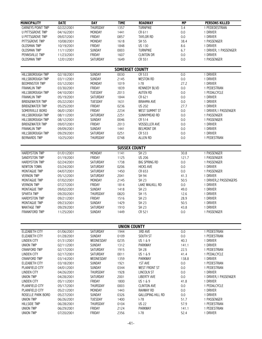| <b>MUNICIPALITY</b>     | <b>DATE</b> | <b>DAY</b>      | <b>TIME</b> | <b>ROADWAY</b>           | MP               | <b>PERSONS KILLED</b>  |
|-------------------------|-------------|-----------------|-------------|--------------------------|------------------|------------------------|
| CARNEYS POINT TWP       | 02/22/2001  | <b>THURSDAY</b> | 1357        | <b>TURNPIKE</b>          | $\overline{3.4}$ | 1 PEDEDESTRIAN         |
| <b>U PITTSGROVE TWP</b> | 04/16/2001  | MONDAY          | 1441        | CR 611                   | $0.0\,$          | 1 DRIVER               |
| <b>U PITTSGROVE TWP</b> | 09/07/2001  | FRIDAY          | 0857        | <b>TAYLOR RD</b>         | 0.0              | 1 DRIVER               |
| PITTSGROVE TWP          | 10/08/2001  | MONDAY          | 1618        | SH 55                    | 38.4             | 1 PASSENGER            |
| <b>OLDSMAN TWP</b>      | 10/19/2001  | FRIDAY          | 1848        | <b>US 130</b>            | 8.6              | 1 DRIVER               |
| <b>OLDSMAN TWP</b>      | 11/11/2001  | SUNDAY          | 0003        | <b>TURNPIKE</b>          | 6.7              | 1 DRIVER, 1 PASSENGER  |
| PENNSVILLE TWP          | 11/23/2001  | FRIDAY          | 1607        | <b>CLINTON DR</b>        | 0.0              | 1 DRIVER               |
| <b>OLDSMAN TWP</b>      | 12/01/2001  | SATURDAY        | 1649        | CR 551                   | 0.0              | 1 PASSENGER            |
|                         |             |                 |             |                          |                  |                        |
|                         |             |                 |             | <b>SOMERSET COUNTY</b>   |                  |                        |
| <b>HILLSBOROUGH TWP</b> | 02/18/2001  | <b>SUNDAY</b>   | 0030        | CR 533                   | 0.0              | 1 DRIVER               |
| <b>HILLSBOROUGH TWP</b> | 03/11/2001  | <b>SUNDAY</b>   | 2145        | <b>WESTON RD</b>         | $0.0\,$          | 1 DRIVER               |
| <b>BEDMINSTER TWP</b>   | 03/12/2001  | MONDAY          | 1019        | $I-78$                   | 27.2             | 1 DRIVER               |
| <b>FRANKLIN TWP</b>     | 03/30/2001  | FRIDAY          | 1839        | <b>KENNEDY BLVD</b>      | $0.0\,$          | 1 PEDESTRIAN           |
| <b>HILLSBOROUGH TWP</b> | 04/10/2001  | TUESDAY         | 2013        | <b>AUTEN RD</b>          | 0.0              | 1 PEDALCYCLE           |
| <b>FRANKLIN TWP</b>     | 05/19/2001  | SATURDAY        | 1844        | CR 621                   | 0.0              | 1 DRIVER               |
| <b>BRIDGEWATER TWP</b>  | 05/22/2001  | <b>TUESDAY</b>  | 1631        | <b>BRAHMA AVE</b>        | 0.0              | 1 DRIVER               |
| <b>BRIDGEWATER TWP</b>  | 05/25/2001  | FRIDAY          | 0236        | <b>US 202</b>            | 27.7             | 1 DRIVER               |
| SOMERVILLE BORO         | 06/01/2001  | FRIDAY          | 2234        | WEST SUMMIT ST           | 0.0              | 1 DRIVER, 1 PASSENGER  |
| HILLSBOROUGH TWP        | 08/11/2001  | SATURDAY        | 2251        | SUNNYMEAD RD             | 0.0              | 1 PASSENGER            |
| <b>HILLSBOROUGH TWP</b> | 08/12/2001  | SUNDAY          | 0046        | CR 514                   | 0.0              | 1 PASSENGER            |
| <b>BRIDGEWATER TWP</b>  | 09/07/2001  | FRIDAY          | 2013        | <b>VOSSELLER AVE</b>     | 0.0              | 1 DRIVER               |
| <b>FRANKLIN TWP</b>     | 09/09/2001  | SUNDAY          | 1441        | <b>BELMONT DR</b>        | 0.0              | 1 DRIVER               |
| <b>HILLSBOROUGH TWP</b> | 09/29/2001  | SATURDAY        | 0251        | CR 533                   | 0.0              | 1 DRIVER               |
| <b>BERNARDS TWP</b>     | 10/25/2001  | THURSDAY        | 0748        | <b>ALLEN RD</b>          | 0.0              | 1 PEDESTRIAN           |
|                         |             |                 |             | <b>SUSSEX COUNTY</b>     |                  |                        |
| <b>HARDYSTON TWP</b>    | 01/01/2001  | MONDAY          | 1141        | SH 23                    | 30.8             | 1 PASSENGER            |
| SANDYSTON TWP           | 01/19/2001  | FRIDAY          | 1125        | <b>US 206</b>            | 121.7            | 1 PASSENGER            |
| <b>HARDYSTON TWP</b>    | 02/24/2001  | SATURDAY        | 1738        | <b>BIG SPRING RD</b>     | $0.0\,$          | 1 PASSENGER            |
| <b>NEWTON TOWN</b>      | 03/24/2001  | SATURDAY        | 0206        | <b>HICKS AVE</b>         | 0.0              | 1 DRIVER               |
| MONTAGUE TWP            | 04/07/2001  | SATURDAY        | 1450        | CR 653                   | 0.0              | 1 PASSENGER            |
| <b>VERNON TWP</b>       | 05/12/2001  | SATURDAY        | 2041        | SH 94                    | 41.3             | 1 DRIVER               |
| MONTAGUE TWP            | 07/02/2001  | MONDAY          | 2145        | SH 23                    | 50.5             | 1 DRIVER, 2 PASSENGERS |
| <b>VERNON TWP</b>       | 07/27/2001  | FRIDAY          | 1814        | LAKE WALKILL RD          | 0.0              | 1 DRIVER               |
| MONTAGUE TWP            | 09/02/2001  | SUNDAY          | 1418        | SH 23                    | 49.0             | 1 DRIVER               |
| <b>SPARTA TWP</b>       | 09/20/2001  | THURSDAY        | 0820        | SH 15                    | 12.6             | 1 DRIVER               |
| <b>HARDYSTON TWP</b>    | 09/21/2001  | FRIDAY          | 1516        | SH 23                    | 28.9             | 1 DRIVER               |
| MONTAGUE TWP            | 09/23/2001  | SUNDAY          | 1429        | SH 23                    | 50.5             | 1 DRIVER               |
| <b>WANTAGE TWP</b>      | 09/29/2001  | SATURDAY        | 1910        | <b>SH 23</b>             | 43.8             | 1 DRIVER               |
| FRANKFORD TWP           | 11/25/2001  | SUNDAY          | 1449        | CR 521                   | $0.0\,$          | 1 PASSENGER            |
|                         |             |                 |             |                          |                  |                        |
|                         |             |                 |             | <b>UNION COUNTY</b>      |                  |                        |
| ELIZABETH CITY          | 01/06/2001  | SATURDAY        | 1944        | 3RD AVE                  | 0.0              | 1 PEDESTRIAN           |
| ELIZABETH CITY          | 01/28/2001  | SUNDAY          | 0109        | SOUTH ST                 | $0.0\,$          | 1 PEDESTRIAN           |
| <b>LINDEN CITY</b>      | 01/31/2001  | WEDNESDAY       | 0235        | US 1 & 9                 | 40.3             | 1 DRIVER               |
| <b>UNION TWP</b>        | 02/11/2001  | <b>SUNDAY</b>   | 1312        | <b>PARKWAY</b>           | 141.1            | 1 DRIVER               |
| <b>CRANFORD TWP</b>     | 02/17/2001  | SATURDAY        | 1915        | <b>SH 28</b>             | 22.5             | 1 PEDESTRIAN           |
| <b>LINDEN CITY</b>      | 02/17/2001  | SATURDAY        | 0011        | US 1 & 9                 | 41.4             | 1 PEDALCYCLE           |
| <b>CRANFORD TWP</b>     | 03/14/2001  | WEDNESDAY       | 1359        | <b>PARKWAY</b>           | 138.8            | 1 DRIVER               |
| ELIZABETH CITY          | 03/18/2001  | SUNDAY          | 1921        | 1ST AVE                  | 0.0              | 1 PEDESTRIAN           |
| PLAINFIELD CITY         | 04/01/2001  | SUNDAY          | 0344        | <b>WEST FRONT ST</b>     | $0.0\,$          | 1 PEDESTRIAN           |
| LINDEN CITY             | 04/26/2001  | THURSDAY        | 1928        | LINCOLN ST               | 0.0              | 1 DRIVER               |
| <b>UNION TWP</b>        | 04/28/2001  | SATURDAY        | 2001        | <b>LIBERTY AVE</b>       | 0.0              | 1 DRIVER, 1 PASSENGER  |
| LINDEN CITY             | 05/11/2001  | FRIDAY          | 1800        | US 1 & 9                 | 41.8             | 1 DRIVER               |
| PLAINFIELD CITY         | 05/17/2001  | THURSDAY        | 0003        | <b>CLINTON AVE</b>       | 0.0              | 1 PEDALCYCLE           |
| PLAINFIELD CITY         | 05/21/2001  | MONDAY          | 1443        | <b>RAHWAY RD</b>         | 0.0              | 1 DRIVER               |
| ROSELLE PARK BORO       | 05/27/2001  | SUNDAY          | 0326        | <b>GALLOPING HILL RD</b> | 0.0              | 1 DRIVER               |
| <b>UNION TWP</b>        | 06/26/2001  | TUESDAY         | 1400        | $I-78$                   | 51.7             | 1 PASSENGER            |
| <b>HILLSIDE TWP</b>     | 06/28/2001  | THURSDAY        | 0104        | <b>US 22</b>             | 57.9             | 1 PEDESTRIAN           |
| <b>UNION TWP</b>        | 06/29/2001  | FRIDAY          | 2124        | PARKWAY                  | 141.1            | 1 PEDESTRIAN           |
| <b>UNION TWP</b>        | 07/20/2001  | FRIDAY          | 2356        | $I-78$                   | 52.4             | 1 DRIVER               |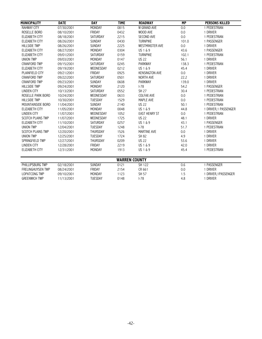| <b>MUNICIPALITY</b>      | <b>DATE</b> | <b>DAY</b>                       | <b>TIME</b>  | <b>ROADWAY</b>         | <b>MP</b> | <b>PERSONS KILLED</b>    |
|--------------------------|-------------|----------------------------------|--------------|------------------------|-----------|--------------------------|
| <b>RAHWAY CITY</b>       | 07/30/2001  | <b>MONDAY</b>                    | 0815         | <b>W GRAND AVE</b>     | 0.0       | 1 PEDESTRIAN             |
| ROSELLE BORO             |             |                                  |              | WOOD AVE               | 0.0       |                          |
| <b>ELIZABETH CITY</b>    | 08/10/2001  | <b>FRIDAY</b><br><b>SATURDAY</b> | 0432<br>2215 | <b>SECOND AVE</b>      |           | 1 DRIVER<br>1 PEDESTRIAN |
|                          | 08/18/2001  |                                  |              |                        | 0.0       |                          |
| <b>ELIZABETH CITY</b>    | 08/26/2001  | <b>SUNDAY</b>                    | 0430         | <b>TURNPIKE</b>        | 101.0     | 1 PASSENGER              |
| <b>HILLSIDE TWP</b>      | 08/26/2001  | <b>SUNDAY</b>                    | 2225         | <b>WESTMINSTER AVE</b> | 0.0       | 1 DRIVER                 |
| <b>ELIZABETH CITY</b>    | 08/27/2001  | <b>MONDAY</b>                    | 0304         | US 1 & 9               | 43.6      | 1 PASSENGER              |
| <b>ELIZABETH CITY</b>    | 09/01/2001  | SATURDAY                         | 0159         | <b>TURNPIKE</b>        | 102.1     | 1 PEDESTRIAN             |
| <b>UNION TWP</b>         | 09/03/2001  | MONDAY                           | 0147         | <b>US 22</b>           | 56.1      | 1 DRIVER                 |
| <b>CRANFORD TWP</b>      | 09/15/2001  | <b>SATURDAY</b>                  | 0245         | <b>PARKWAY</b>         | 138.3     | 1 PEDESTRIAN             |
| <b>ELIZABETH CITY</b>    | 09/19/2001  | WEDNESDAY                        | 0212         | US 1 & 9               | 45.4      | 1 DRIVER                 |
| PLAINFIELD CITY          | 09/21/2001  | <b>FRIDAY</b>                    | 0925         | <b>KENSINGTON AVE</b>  | 0.0       | 1 DRIVER                 |
| <b>CRANFORD TWP</b>      | 09/22/2001  | <b>SATURDAY</b>                  | 0501         | <b>NORTH AVE</b>       | 22.2      | 1 DRIVER                 |
| <b>CRANFORD TWP</b>      | 09/23/2001  | <b>SUNDAY</b>                    | 0608         | <b>PARKWAY</b>         | 139.0     | 1 DRIVER                 |
| <b>HILLSIDE TWP</b>      | 09/24/2001  | <b>MONDAY</b>                    | 2120         | $-78$                  | 54.2      | 1 PASSENGER              |
| LINDEN CITY              | 10/13/2001  | <b>SATURDAY</b>                  | 0552         | <b>SH 27</b>           | 30.4      | 1 PEDESTRIAN             |
| ROSELLE PARK BORO        | 10/24/2001  | WEDNESDAY                        | 0633         | <b>COLFAX AVE</b>      | 0.0       | 1 PEDESTRIAN             |
| <b>HILLSIDE TWP</b>      | 10/30/2001  | <b>TUESDAY</b>                   | 1529         | MAPLE AVE              | 0.0       | 1 PEDESTRIAN             |
| MOUNTAINSIDE BORO        | 11/04/2001  | <b>SUNDAY</b>                    | 2140         | <b>US 22</b>           | 50.1      | 1 PEDESTRIAN             |
| <b>ELIZABETH CITY</b>    | 11/05/2001  | <b>MONDAY</b>                    | 0048         | US 1 & 9               | 44.8      | 1 DRIVER, 1 PASSENGER    |
| <b>LINDEN CITY</b>       | 11/07/2001  | WEDNESDAY                        | 1052         | <b>EAST HENRY ST</b>   | 0.0       | 1 PEDESTRIAN             |
| <b>SCOTCH PLAINS TWP</b> | 11/07/2001  | WEDNESDAY                        | 1725         | <b>US 22</b>           | 48.1      | 1 DRIVER                 |
| <b>ELIZABETH CITY</b>    | 11/10/2001  | SATURDAY                         | 0257         | US 1 & 9               | 43.1      | 1 PASSENGER              |
| <b>UNION TWP</b>         | 12/04/2001  | <b>TUESDAY</b>                   | 1248         | $ -78$                 | 51.7      | 1 PEDESTRIAN             |
| <b>SCOTCH PLAINS TWP</b> | 12/20/2001  | <b>THURSDAY</b>                  | 1526         | MARTINE AVE            | 0.0       | 1 DRIVER                 |
| <b>UNION TWP</b>         | 12/25/2001  | TUESDAY                          | 1724         | <b>SH 82</b>           | 4.9       | 1 DRIVER                 |
| SPRINGFIELD TWP          | 12/27/2001  | <b>THURSDAY</b>                  | 0209         | <b>US 22</b>           | 53.6      | 1 DRIVER                 |
| <b>LINDEN CITY</b>       | 12/28/2001  | <b>FRIDAY</b>                    | 2219         | US 1 & 9               | 42.0      | 1 DRIVER                 |
| <b>ELIZABETH CITY</b>    | 12/31/2001  | <b>MONDAY</b>                    | 1913         | US 1 & 9               | 45.4      | 1 PEDESTRIAN             |
|                          |             |                                  |              |                        |           |                          |
|                          |             |                                  |              | <b>WARREN COUNTY</b>   |           |                          |
| PHILLIPSBURG TWP         | 02/18/2001  | <b>SUNDAY</b>                    | 0121         | SH 122                 | 0.6       | 1 PASSENGER              |
| <b>FRELINGHUYSEN TWP</b> | 08/24/2001  | <b>FRIDAY</b>                    | 2154         | CR 661                 | 0.0       | 1 DRIVER                 |
| <b>LOPATCONG TWP</b>     | 09/10/2001  | MONDAY                           | 1123         | SH 57                  | 1.5       | 1 DRIVER, 1PASSENGER     |
| <b>GREENWICH TWP</b>     | 11/13/2001  | <b>TUESDAY</b>                   | 0148         | $1-78$                 | 4.8       | 1 DRIVER                 |